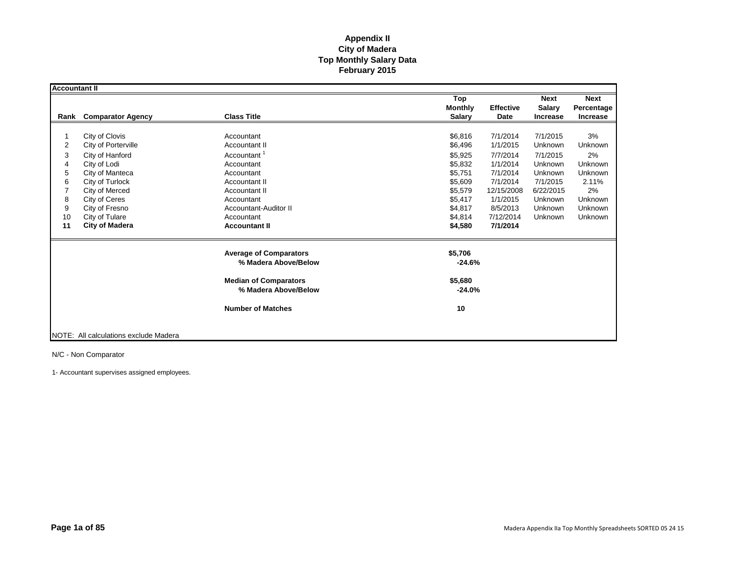| <b>Accountant II</b>                        |                                                                                                                                                                                                                |                                                                                                                                                                                                                        |                                                                                                                       |                                                                                                                                                                                                                                                        |                                                                                                  |
|---------------------------------------------|----------------------------------------------------------------------------------------------------------------------------------------------------------------------------------------------------------------|------------------------------------------------------------------------------------------------------------------------------------------------------------------------------------------------------------------------|-----------------------------------------------------------------------------------------------------------------------|--------------------------------------------------------------------------------------------------------------------------------------------------------------------------------------------------------------------------------------------------------|--------------------------------------------------------------------------------------------------|
| Rank                                        | <b>Comparator Agency</b>                                                                                                                                                                                       | <b>Class Title</b>                                                                                                                                                                                                     | Top<br><b>Monthly</b><br><b>Salary</b>                                                                                | <b>Next</b><br><b>Effective</b><br><b>Salary</b><br>Date<br><b>Increase</b>                                                                                                                                                                            | <b>Next</b><br>Percentage<br>Increase                                                            |
| 2<br>3<br>4<br>5<br>6<br>8<br>9<br>10<br>11 | City of Clovis<br>City of Porterville<br>City of Hanford<br>City of Lodi<br>City of Manteca<br>City of Turlock<br>City of Merced<br>City of Ceres<br>City of Fresno<br>City of Tulare<br><b>City of Madera</b> | Accountant<br><b>Accountant II</b><br>Accountant <sup>1</sup><br>Accountant<br>Accountant<br>Accountant II<br><b>Accountant II</b><br>Accountant<br><b>Accountant-Auditor II</b><br>Accountant<br><b>Accountant II</b> | \$6.816<br>\$6,496<br>\$5,925<br>\$5,832<br>\$5,751<br>\$5,609<br>\$5,579<br>\$5,417<br>\$4,817<br>\$4,814<br>\$4,580 | 7/1/2014<br>7/1/2015<br>1/1/2015<br>Unknown<br>7/7/2014<br>7/1/2015<br>1/1/2014<br>Unknown<br>7/1/2014<br>Unknown<br>7/1/2014<br>7/1/2015<br>12/15/2008<br>6/22/2015<br>1/1/2015<br>Unknown<br>8/5/2013<br>Unknown<br>7/12/2014<br>Unknown<br>7/1/2014 | 3%<br>Unknown<br>2%<br><b>Unknown</b><br>Unknown<br>2.11%<br>2%<br>Unknown<br>Unknown<br>Unknown |
|                                             |                                                                                                                                                                                                                | <b>Average of Comparators</b><br>% Madera Above/Below<br><b>Median of Comparators</b><br>% Madera Above/Below<br><b>Number of Matches</b>                                                                              | \$5,706<br>$-24.6%$<br>\$5,680<br>$-24.0%$<br>10                                                                      |                                                                                                                                                                                                                                                        |                                                                                                  |
|                                             | <b>INOTE: All calculations exclude Madera</b>                                                                                                                                                                  |                                                                                                                                                                                                                        |                                                                                                                       |                                                                                                                                                                                                                                                        |                                                                                                  |

N/C - Non Comparator

1- Accountant supervises assigned employees.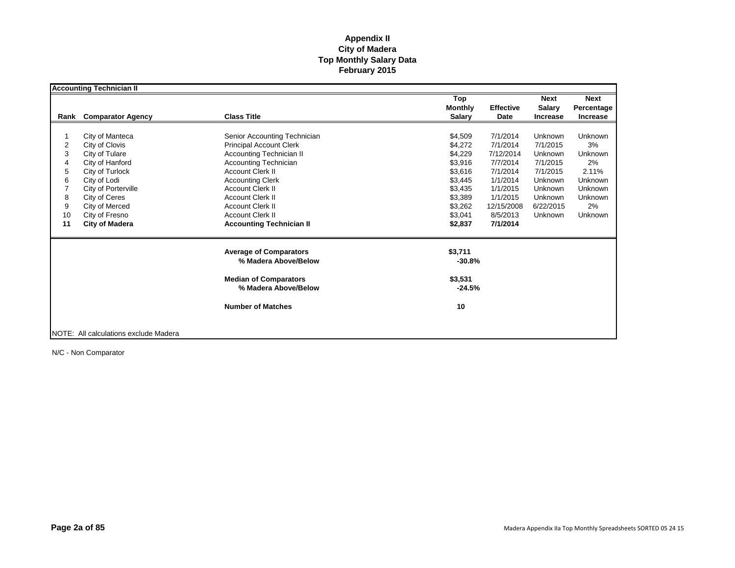|                | <b>Accounting Technician II</b>       |                                                      |                     |                  |                 |                 |
|----------------|---------------------------------------|------------------------------------------------------|---------------------|------------------|-----------------|-----------------|
|                |                                       |                                                      | Top                 |                  | <b>Next</b>     | <b>Next</b>     |
|                |                                       |                                                      | <b>Monthly</b>      | <b>Effective</b> | <b>Salary</b>   | Percentage      |
| Rank           | <b>Comparator Agency</b>              | <b>Class Title</b>                                   | <b>Salary</b>       | Date             | <b>Increase</b> | <b>Increase</b> |
|                |                                       |                                                      |                     |                  |                 |                 |
|                | City of Manteca                       | Senior Accounting Technician                         | \$4,509             | 7/1/2014         | Unknown         | <b>Unknown</b>  |
| $\overline{2}$ | City of Clovis                        | <b>Principal Account Clerk</b>                       | \$4,272             | 7/1/2014         | 7/1/2015        | 3%              |
| 3              | City of Tulare                        | <b>Accounting Technician II</b>                      | \$4,229             | 7/12/2014        | Unknown         | Unknown         |
| 4              | City of Hanford                       | <b>Accounting Technician</b>                         | \$3,916             | 7/7/2014         | 7/1/2015        | 2%              |
| 5              | City of Turlock                       | <b>Account Clerk II</b>                              | \$3,616             | 7/1/2014         | 7/1/2015        | 2.11%           |
| 6              | City of Lodi                          | <b>Accounting Clerk</b>                              | \$3,445             | 1/1/2014         | Unknown         | Unknown         |
|                | City of Porterville                   | <b>Account Clerk II</b>                              | \$3,435             | 1/1/2015         | Unknown         | <b>Unknown</b>  |
| 8              | City of Ceres                         | <b>Account Clerk II</b>                              | \$3,389             | 1/1/2015         | Unknown         | <b>Unknown</b>  |
| 9              | City of Merced                        | <b>Account Clerk II</b>                              | \$3,262             | 12/15/2008       | 6/22/2015       | 2%              |
| 10             | City of Fresno                        | <b>Account Clerk II</b>                              | \$3,041             | 8/5/2013         | Unknown         | Unknown         |
| 11             | <b>City of Madera</b>                 | <b>Accounting Technician II</b>                      | \$2,837             | 7/1/2014         |                 |                 |
|                |                                       | <b>Average of Comparators</b>                        | \$3,711             |                  |                 |                 |
|                |                                       | % Madera Above/Below                                 | $-30.8%$            |                  |                 |                 |
|                |                                       | <b>Median of Comparators</b><br>% Madera Above/Below | \$3,531<br>$-24.5%$ |                  |                 |                 |
|                |                                       | <b>Number of Matches</b>                             | 10                  |                  |                 |                 |
|                | NOTE: All calculations exclude Madera |                                                      |                     |                  |                 |                 |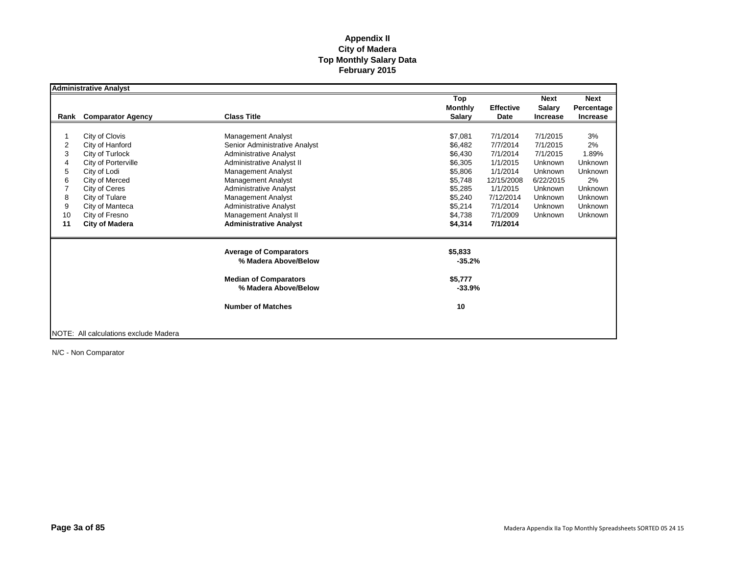|      | <b>Administrative Analyst</b>         |                                  |                |                  |                 |                 |
|------|---------------------------------------|----------------------------------|----------------|------------------|-----------------|-----------------|
|      |                                       |                                  | Top            |                  | <b>Next</b>     | <b>Next</b>     |
|      |                                       |                                  | <b>Monthly</b> | <b>Effective</b> | <b>Salary</b>   | Percentage      |
| Rank | <b>Comparator Agency</b>              | <b>Class Title</b>               | <b>Salary</b>  | Date             | <b>Increase</b> | <b>Increase</b> |
|      |                                       |                                  |                |                  |                 |                 |
|      | City of Clovis                        | <b>Management Analyst</b>        | \$7,081        | 7/1/2014         | 7/1/2015        | 3%              |
| 2    | City of Hanford                       | Senior Administrative Analyst    | \$6,482        | 7/7/2014         | 7/1/2015        | 2%              |
| 3    | City of Turlock                       | <b>Administrative Analyst</b>    | \$6,430        | 7/1/2014         | 7/1/2015        | 1.89%           |
| 4    | City of Porterville                   | <b>Administrative Analyst II</b> | \$6,305        | 1/1/2015         | Unknown         | Unknown         |
| 5    | City of Lodi                          | <b>Management Analyst</b>        | \$5,806        | 1/1/2014         | Unknown         | <b>Unknown</b>  |
| 6    | City of Merced                        | <b>Management Analyst</b>        | \$5,748        | 12/15/2008       | 6/22/2015       | 2%              |
|      | City of Ceres                         | <b>Administrative Analyst</b>    | \$5,285        | 1/1/2015         | Unknown         | <b>Unknown</b>  |
| 8    | City of Tulare                        | <b>Management Analyst</b>        | \$5,240        | 7/12/2014        | Unknown         | Unknown         |
| 9    | City of Manteca                       | <b>Administrative Analyst</b>    | \$5,214        | 7/1/2014         | Unknown         | Unknown         |
| 10   | City of Fresno                        | Management Analyst II            | \$4,738        | 7/1/2009         | Unknown         | Unknown         |
| 11   | <b>City of Madera</b>                 | <b>Administrative Analyst</b>    | \$4,314        | 7/1/2014         |                 |                 |
|      |                                       | <b>Average of Comparators</b>    | \$5,833        |                  |                 |                 |
|      |                                       | % Madera Above/Below             | $-35.2%$       |                  |                 |                 |
|      |                                       | <b>Median of Comparators</b>     | \$5,777        |                  |                 |                 |
|      |                                       | % Madera Above/Below             | $-33.9%$       |                  |                 |                 |
|      |                                       | <b>Number of Matches</b>         | 10             |                  |                 |                 |
|      |                                       |                                  |                |                  |                 |                 |
|      | NOTE: All calculations exclude Madera |                                  |                |                  |                 |                 |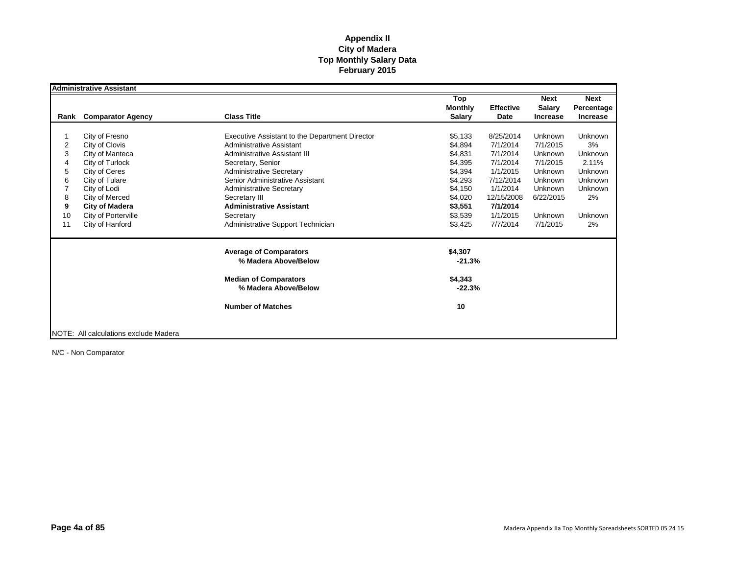|      | <b>Administrative Assistant</b>       |                                                       |                                        |                          |                                                 |                                              |
|------|---------------------------------------|-------------------------------------------------------|----------------------------------------|--------------------------|-------------------------------------------------|----------------------------------------------|
| Rank | <b>Comparator Agency</b>              | <b>Class Title</b>                                    | Top<br><b>Monthly</b><br><b>Salary</b> | <b>Effective</b><br>Date | <b>Next</b><br><b>Salary</b><br><b>Increase</b> | <b>Next</b><br>Percentage<br><b>Increase</b> |
|      |                                       |                                                       |                                        |                          |                                                 |                                              |
|      | City of Fresno                        | Executive Assistant to the Department Director        | \$5,133                                | 8/25/2014                | Unknown                                         | Unknown                                      |
| 2    | City of Clovis                        | Administrative Assistant                              | \$4,894                                | 7/1/2014                 | 7/1/2015                                        | 3%                                           |
| 3    | City of Manteca                       | Administrative Assistant III                          | \$4,831                                | 7/1/2014                 | Unknown                                         | Unknown                                      |
| 4    | City of Turlock                       | Secretary, Senior                                     | \$4.395                                | 7/1/2014                 | 7/1/2015                                        | 2.11%                                        |
| 5    | City of Ceres                         | <b>Administrative Secretary</b>                       | \$4,394                                | 1/1/2015                 | Unknown                                         | Unknown                                      |
| 6    | City of Tulare                        | Senior Administrative Assistant                       | \$4,293                                | 7/12/2014                | <b>Unknown</b>                                  | Unknown                                      |
|      | City of Lodi                          | <b>Administrative Secretary</b>                       | \$4,150                                | 1/1/2014                 | <b>Unknown</b>                                  | <b>Unknown</b>                               |
| 8    | City of Merced                        | Secretary III                                         | \$4,020                                | 12/15/2008               | 6/22/2015                                       | 2%                                           |
| 9    | <b>City of Madera</b>                 | <b>Administrative Assistant</b>                       | \$3,551                                | 7/1/2014                 |                                                 |                                              |
| 10   | City of Porterville                   | Secretary                                             | \$3,539                                | 1/1/2015                 | Unknown                                         | <b>Unknown</b>                               |
| 11   | City of Hanford                       | Administrative Support Technician                     | \$3,425                                | 7/7/2014                 | 7/1/2015                                        | 2%                                           |
|      |                                       | <b>Average of Comparators</b><br>% Madera Above/Below | \$4,307<br>$-21.3%$                    |                          |                                                 |                                              |
|      |                                       |                                                       |                                        |                          |                                                 |                                              |
|      |                                       | <b>Median of Comparators</b><br>% Madera Above/Below  | \$4,343<br>$-22.3%$                    |                          |                                                 |                                              |
|      |                                       | <b>Number of Matches</b>                              | 10                                     |                          |                                                 |                                              |
|      | NOTE: All calculations exclude Madera |                                                       |                                        |                          |                                                 |                                              |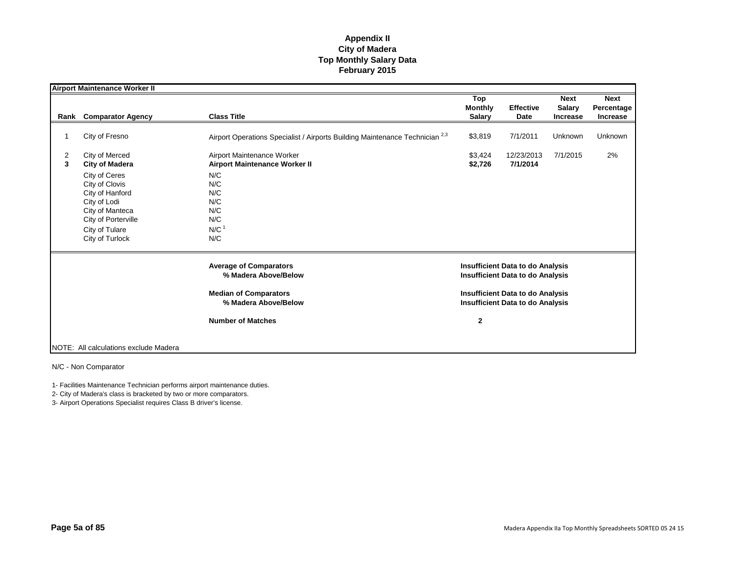|        | <b>Airport Maintenance Worker II</b>                                                                                                              |                                                                                         |                                                                                    |                          |                                          |                                              |
|--------|---------------------------------------------------------------------------------------------------------------------------------------------------|-----------------------------------------------------------------------------------------|------------------------------------------------------------------------------------|--------------------------|------------------------------------------|----------------------------------------------|
| Rank   | <b>Comparator Agency</b>                                                                                                                          | <b>Class Title</b>                                                                      | Top<br><b>Monthly</b><br><b>Salary</b>                                             | <b>Effective</b><br>Date | <b>Next</b><br><b>Salary</b><br>Increase | <b>Next</b><br>Percentage<br><b>Increase</b> |
|        | City of Fresno                                                                                                                                    | Airport Operations Specialist / Airports Building Maintenance Technician <sup>2,3</sup> | \$3,819                                                                            | 7/1/2011                 | Unknown                                  | Unknown                                      |
| 2<br>3 | City of Merced<br><b>City of Madera</b>                                                                                                           | Airport Maintenance Worker<br><b>Airport Maintenance Worker II</b>                      | \$3,424<br>\$2,726                                                                 | 12/23/2013<br>7/1/2014   | 7/1/2015                                 | 2%                                           |
|        | City of Ceres<br>City of Clovis<br>City of Hanford<br>City of Lodi<br>City of Manteca<br>City of Porterville<br>City of Tulare<br>City of Turlock | N/C<br>N/C<br>N/C<br>N/C<br>N/C<br>N/C<br>N/C <sup>1</sup><br>N/C                       |                                                                                    |                          |                                          |                                              |
|        |                                                                                                                                                   | <b>Average of Comparators</b><br>% Madera Above/Below                                   | <b>Insufficient Data to do Analysis</b><br><b>Insufficient Data to do Analysis</b> |                          |                                          |                                              |
|        |                                                                                                                                                   | <b>Median of Comparators</b><br>% Madera Above/Below                                    | <b>Insufficient Data to do Analysis</b><br><b>Insufficient Data to do Analysis</b> |                          |                                          |                                              |
|        |                                                                                                                                                   | <b>Number of Matches</b>                                                                | $\overline{2}$                                                                     |                          |                                          |                                              |
|        | NOTE: All calculations exclude Madera                                                                                                             |                                                                                         |                                                                                    |                          |                                          |                                              |

N/C - Non Comparator

1- Facilities Maintenance Technician performs airport maintenance duties.

2- City of Madera's class is bracketed by two or more comparators.

3- Airport Operations Specialist requires Class B driver's license.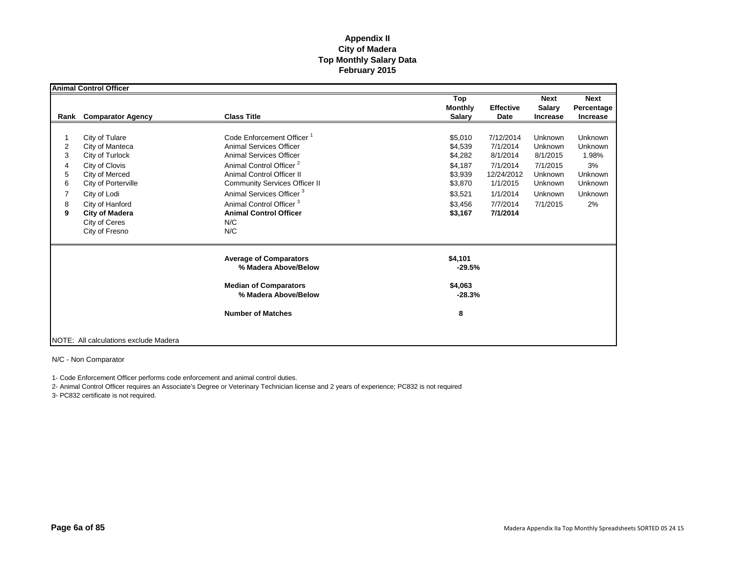|                                 | <b>Animal Control Officer</b>                                                                                                                                                                                  |                                                                                                                                                                                                                                                                                                                                                     |                                                                                                                                                                                                                |                                                                                         |                                                                          |
|---------------------------------|----------------------------------------------------------------------------------------------------------------------------------------------------------------------------------------------------------------|-----------------------------------------------------------------------------------------------------------------------------------------------------------------------------------------------------------------------------------------------------------------------------------------------------------------------------------------------------|----------------------------------------------------------------------------------------------------------------------------------------------------------------------------------------------------------------|-----------------------------------------------------------------------------------------|--------------------------------------------------------------------------|
|                                 | Rank Comparator Agency                                                                                                                                                                                         | <b>Class Title</b>                                                                                                                                                                                                                                                                                                                                  | Top<br><b>Effective</b><br><b>Monthly</b><br><b>Salary</b><br>Date                                                                                                                                             | <b>Next</b><br><b>Salary</b><br><b>Increase</b>                                         | <b>Next</b><br>Percentage<br><b>Increase</b>                             |
| 2<br>3<br>4<br>5<br>6<br>8<br>9 | City of Tulare<br>City of Manteca<br>City of Turlock<br>City of Clovis<br>City of Merced<br>City of Porterville<br>City of Lodi<br>City of Hanford<br><b>City of Madera</b><br>City of Ceres<br>City of Fresno | Code Enforcement Officer <sup>1</sup><br><b>Animal Services Officer</b><br><b>Animal Services Officer</b><br>Animal Control Officer <sup>2</sup><br>Animal Control Officer II<br><b>Community Services Officer II</b><br>Animal Services Officer <sup>3</sup><br>Animal Control Officer <sup>3</sup><br><b>Animal Control Officer</b><br>N/C<br>N/C | \$5,010<br>7/12/2014<br>\$4,539<br>7/1/2014<br>\$4,282<br>8/1/2014<br>\$4,187<br>7/1/2014<br>\$3,939<br>12/24/2012<br>\$3,870<br>1/1/2015<br>\$3,521<br>1/1/2014<br>\$3.456<br>7/7/2014<br>\$3,167<br>7/1/2014 | Unknown<br>Unknown<br>8/1/2015<br>7/1/2015<br>Unknown<br>Unknown<br>Unknown<br>7/1/2015 | Unknown<br>Unknown<br>1.98%<br>3%<br>Unknown<br>Unknown<br>Unknown<br>2% |
|                                 |                                                                                                                                                                                                                | <b>Average of Comparators</b><br>% Madera Above/Below<br><b>Median of Comparators</b><br>% Madera Above/Below                                                                                                                                                                                                                                       | \$4,101<br>$-29.5%$<br>\$4,063<br>$-28.3%$                                                                                                                                                                     |                                                                                         |                                                                          |
|                                 | NOTE: All calculations exclude Madera                                                                                                                                                                          | <b>Number of Matches</b>                                                                                                                                                                                                                                                                                                                            | 8                                                                                                                                                                                                              |                                                                                         |                                                                          |

N/C - Non Comparator

1- Code Enforcement Officer performs code enforcement and animal control duties.

2- Animal Control Officer requires an Associate's Degree or Veterinary Technician license and 2 years of experience; PC832 is not required

3- PC832 certificate is not required.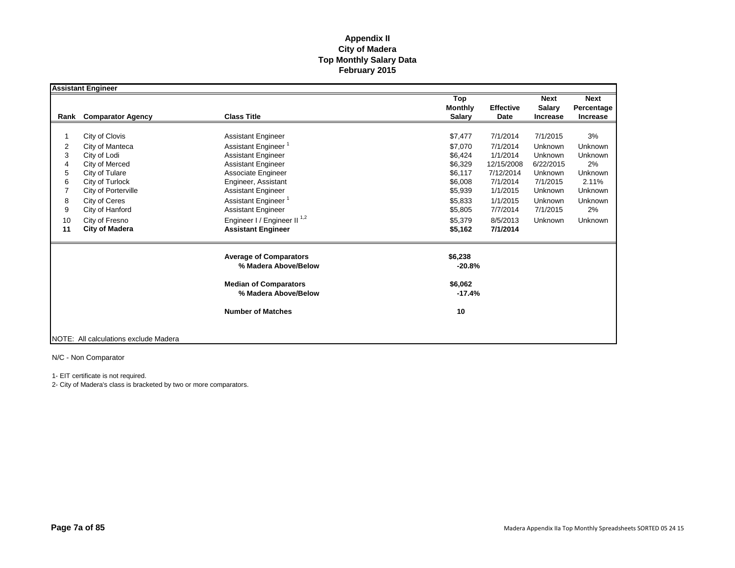|      | <b>Assistant Engineer</b>             |                                                       |                                        |                          |                                                 |                                       |
|------|---------------------------------------|-------------------------------------------------------|----------------------------------------|--------------------------|-------------------------------------------------|---------------------------------------|
| Rank | <b>Comparator Agency</b>              | <b>Class Title</b>                                    | Top<br><b>Monthly</b><br><b>Salary</b> | <b>Effective</b><br>Date | <b>Next</b><br><b>Salary</b><br><b>Increase</b> | <b>Next</b><br>Percentage<br>Increase |
|      |                                       |                                                       |                                        |                          |                                                 |                                       |
|      | City of Clovis                        | <b>Assistant Engineer</b>                             | \$7,477                                | 7/1/2014                 | 7/1/2015                                        | 3%                                    |
| 2    | City of Manteca                       | Assistant Engineer <sup>1</sup>                       | \$7.070                                | 7/1/2014                 | Unknown                                         | Unknown                               |
| 3    | City of Lodi                          | <b>Assistant Engineer</b>                             | \$6,424                                | 1/1/2014                 | Unknown                                         | Unknown                               |
| 4    | City of Merced                        | <b>Assistant Engineer</b>                             | \$6,329                                | 12/15/2008               | 6/22/2015                                       | 2%                                    |
| 5    | City of Tulare                        | Associate Engineer                                    | \$6,117                                | 7/12/2014                | Unknown                                         | Unknown                               |
| 6    | City of Turlock                       | Engineer, Assistant                                   | \$6,008                                | 7/1/2014                 | 7/1/2015                                        | 2.11%                                 |
| 7    | City of Porterville                   | <b>Assistant Engineer</b>                             | \$5,939                                | 1/1/2015                 | Unknown                                         | Unknown                               |
| 8    | City of Ceres                         | Assistant Engineer <sup>1</sup>                       | \$5,833                                | 1/1/2015                 | Unknown                                         | <b>Unknown</b>                        |
| 9    | City of Hanford                       | <b>Assistant Engineer</b>                             | \$5,805                                | 7/7/2014                 | 7/1/2015                                        | 2%                                    |
| 10   | City of Fresno                        | Engineer I / Engineer II <sup>1,2</sup>               | \$5,379                                | 8/5/2013                 | Unknown                                         | Unknown                               |
| 11   | <b>City of Madera</b>                 | <b>Assistant Engineer</b>                             | \$5,162                                | 7/1/2014                 |                                                 |                                       |
|      |                                       | <b>Average of Comparators</b><br>% Madera Above/Below | \$6,238<br>$-20.8%$                    |                          |                                                 |                                       |
|      |                                       | <b>Median of Comparators</b><br>% Madera Above/Below  | \$6,062<br>$-17.4%$                    |                          |                                                 |                                       |
|      |                                       | <b>Number of Matches</b>                              | 10                                     |                          |                                                 |                                       |
|      | NOTE: All calculations exclude Madera |                                                       |                                        |                          |                                                 |                                       |

N/C - Non Comparator

1- EIT certificate is not required.

2- City of Madera's class is bracketed by two or more comparators.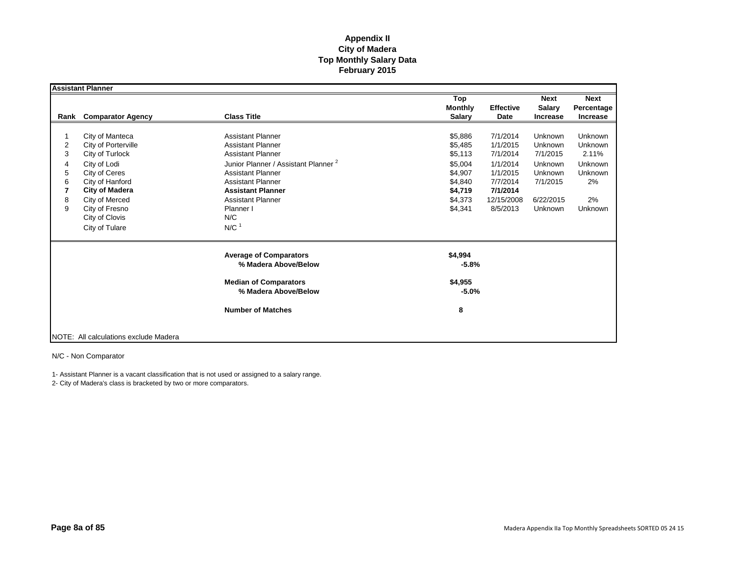|                                      | <b>Assistant Planner</b>                                                                                                                                                                                       |                                                                                                                                                                                                                                                                                               |                                                                                                 |                                                                                                            |                                                                                          |                                                                                               |
|--------------------------------------|----------------------------------------------------------------------------------------------------------------------------------------------------------------------------------------------------------------|-----------------------------------------------------------------------------------------------------------------------------------------------------------------------------------------------------------------------------------------------------------------------------------------------|-------------------------------------------------------------------------------------------------|------------------------------------------------------------------------------------------------------------|------------------------------------------------------------------------------------------|-----------------------------------------------------------------------------------------------|
| Rank                                 | <b>Comparator Agency</b>                                                                                                                                                                                       | <b>Class Title</b>                                                                                                                                                                                                                                                                            | Top<br><b>Monthly</b><br><b>Salary</b>                                                          | <b>Effective</b><br>Date                                                                                   | <b>Next</b><br><b>Salary</b><br><b>Increase</b>                                          | <b>Next</b><br>Percentage<br><b>Increase</b>                                                  |
| 2<br>3<br>4<br>5<br>6<br>7<br>8<br>9 | City of Manteca<br>City of Porterville<br>City of Turlock<br>City of Lodi<br>City of Ceres<br>City of Hanford<br><b>City of Madera</b><br>City of Merced<br>City of Fresno<br>City of Clovis<br>City of Tulare | <b>Assistant Planner</b><br><b>Assistant Planner</b><br><b>Assistant Planner</b><br>Junior Planner / Assistant Planner <sup>2</sup><br><b>Assistant Planner</b><br><b>Assistant Planner</b><br><b>Assistant Planner</b><br><b>Assistant Planner</b><br>Planner I<br>N/C<br>$N/C$ <sup>1</sup> | \$5,886<br>\$5,485<br>\$5,113<br>\$5,004<br>\$4,907<br>\$4,840<br>\$4,719<br>\$4,373<br>\$4,341 | 7/1/2014<br>1/1/2015<br>7/1/2014<br>1/1/2014<br>1/1/2015<br>7/7/2014<br>7/1/2014<br>12/15/2008<br>8/5/2013 | Unknown<br>Unknown<br>7/1/2015<br>Unknown<br>Unknown<br>7/1/2015<br>6/22/2015<br>Unknown | <b>Unknown</b><br>Unknown<br>2.11%<br><b>Unknown</b><br><b>Unknown</b><br>2%<br>2%<br>Unknown |
|                                      |                                                                                                                                                                                                                | <b>Average of Comparators</b><br>% Madera Above/Below<br><b>Median of Comparators</b><br>% Madera Above/Below                                                                                                                                                                                 | \$4,994<br>$-5.8%$<br>\$4,955<br>$-5.0\%$                                                       |                                                                                                            |                                                                                          |                                                                                               |
|                                      | NOTE: All calculations exclude Madera                                                                                                                                                                          | <b>Number of Matches</b>                                                                                                                                                                                                                                                                      | 8                                                                                               |                                                                                                            |                                                                                          |                                                                                               |

N/C - Non Comparator

1- Assistant Planner is a vacant classification that is not used or assigned to a salary range.

2- City of Madera's class is bracketed by two or more comparators.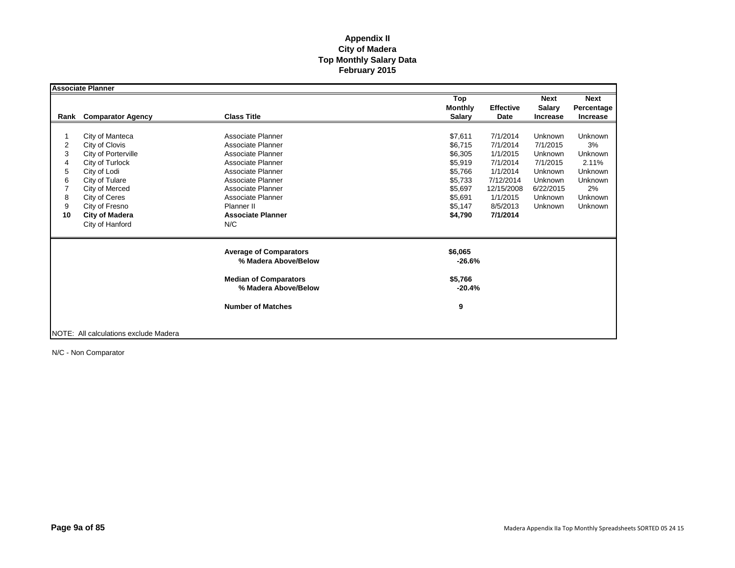|      | <b>Associate Planner</b>              |                                                      |                     |                                   |                 |
|------|---------------------------------------|------------------------------------------------------|---------------------|-----------------------------------|-----------------|
|      |                                       |                                                      | Top                 | <b>Next</b>                       | <b>Next</b>     |
|      |                                       |                                                      | <b>Monthly</b>      | <b>Effective</b><br><b>Salary</b> | Percentage      |
| Rank | <b>Comparator Agency</b>              | <b>Class Title</b>                                   | <b>Salary</b>       | Date<br><b>Increase</b>           | <b>Increase</b> |
|      |                                       |                                                      |                     |                                   |                 |
|      | City of Manteca                       | Associate Planner                                    | \$7,611             | 7/1/2014<br>Unknown               | <b>Unknown</b>  |
| 2    | City of Clovis                        | Associate Planner                                    | \$6,715             | 7/1/2014<br>7/1/2015              | 3%              |
| 3    | City of Porterville                   | Associate Planner                                    | \$6,305             | 1/1/2015<br>Unknown               | Unknown         |
| 4    | City of Turlock                       | Associate Planner                                    | \$5,919             | 7/1/2014<br>7/1/2015              | 2.11%           |
| 5    | City of Lodi                          | Associate Planner                                    | \$5,766             | 1/1/2014<br>Unknown               | <b>Unknown</b>  |
| 6    | City of Tulare                        | Associate Planner                                    | \$5,733             | 7/12/2014<br>Unknown              | <b>Unknown</b>  |
|      | City of Merced                        | Associate Planner                                    | \$5,697             | 12/15/2008<br>6/22/2015           | 2%              |
| 8    | City of Ceres                         | Associate Planner                                    | \$5,691             | 1/1/2015<br>Unknown               | Unknown         |
| 9    | City of Fresno                        | Planner II                                           | \$5,147             | 8/5/2013<br>Unknown               | Unknown         |
| 10   | <b>City of Madera</b>                 | <b>Associate Planner</b>                             | \$4,790             | 7/1/2014                          |                 |
|      | City of Hanford                       | N/C                                                  |                     |                                   |                 |
|      |                                       | <b>Average of Comparators</b>                        | \$6,065             |                                   |                 |
|      |                                       | % Madera Above/Below                                 | $-26.6%$            |                                   |                 |
|      |                                       | <b>Median of Comparators</b><br>% Madera Above/Below | \$5,766<br>$-20.4%$ |                                   |                 |
|      |                                       |                                                      |                     |                                   |                 |
|      |                                       | <b>Number of Matches</b>                             | 9                   |                                   |                 |
|      |                                       |                                                      |                     |                                   |                 |
|      | NOTE: All calculations exclude Madera |                                                      |                     |                                   |                 |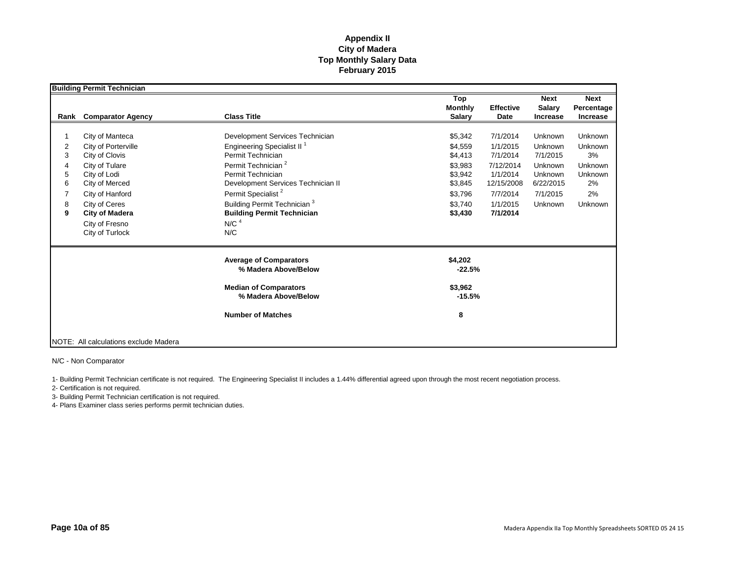|                                 | <b>Building Permit Technician</b>                                                                                                                                                                              |                                                                                                                                                                                                                                                                                                                                          |                                                                                                 |                                                                                                             |                                                                                          |                                                                                     |
|---------------------------------|----------------------------------------------------------------------------------------------------------------------------------------------------------------------------------------------------------------|------------------------------------------------------------------------------------------------------------------------------------------------------------------------------------------------------------------------------------------------------------------------------------------------------------------------------------------|-------------------------------------------------------------------------------------------------|-------------------------------------------------------------------------------------------------------------|------------------------------------------------------------------------------------------|-------------------------------------------------------------------------------------|
| Rank                            | <b>Comparator Agency</b>                                                                                                                                                                                       | <b>Class Title</b>                                                                                                                                                                                                                                                                                                                       | Top<br><b>Monthly</b><br><b>Salary</b>                                                          | <b>Effective</b><br>Date                                                                                    | <b>Next</b><br><b>Salary</b><br><b>Increase</b>                                          | <b>Next</b><br>Percentage<br><b>Increase</b>                                        |
| 2<br>3<br>4<br>5<br>6<br>8<br>9 | City of Manteca<br>City of Porterville<br>City of Clovis<br>City of Tulare<br>City of Lodi<br>City of Merced<br>City of Hanford<br>City of Ceres<br><b>City of Madera</b><br>City of Fresno<br>City of Turlock | Development Services Technician<br>Engineering Specialist II <sup>1</sup><br>Permit Technician<br>Permit Technician <sup>2</sup><br>Permit Technician<br>Development Services Technician II<br>Permit Specialist <sup>2</sup><br>Building Permit Technician <sup>3</sup><br><b>Building Permit Technician</b><br>N/C <sup>4</sup><br>N/C | \$5,342<br>\$4.559<br>\$4,413<br>\$3,983<br>\$3,942<br>\$3,845<br>\$3,796<br>\$3.740<br>\$3,430 | 7/1/2014<br>1/1/2015<br>7/1/2014<br>7/12/2014<br>1/1/2014<br>12/15/2008<br>7/7/2014<br>1/1/2015<br>7/1/2014 | Unknown<br>Unknown<br>7/1/2015<br>Unknown<br>Unknown<br>6/22/2015<br>7/1/2015<br>Unknown | <b>Unknown</b><br>Unknown<br>3%<br>Unknown<br><b>Unknown</b><br>2%<br>2%<br>Unknown |
|                                 |                                                                                                                                                                                                                | <b>Average of Comparators</b><br>% Madera Above/Below<br><b>Median of Comparators</b><br>% Madera Above/Below<br><b>Number of Matches</b>                                                                                                                                                                                                | \$4,202<br>$-22.5%$<br>\$3,962<br>$-15.5%$<br>8                                                 |                                                                                                             |                                                                                          |                                                                                     |
|                                 | NOTE: All calculations exclude Madera                                                                                                                                                                          |                                                                                                                                                                                                                                                                                                                                          |                                                                                                 |                                                                                                             |                                                                                          |                                                                                     |

N/C - Non Comparator

1- Building Permit Technician certificate is not required. The Engineering Specialist II includes a 1.44% differential agreed upon through the most recent negotiation process.

2- Certification is not required.

3- Building Permit Technician certification is not required.

4- Plans Examiner class series performs permit technician duties.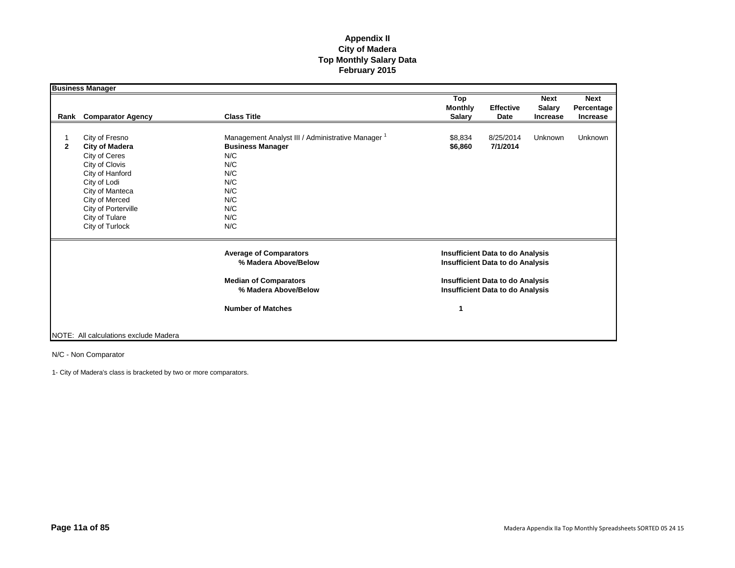|              | <b>Business Manager</b>                                                                                                                                                                                        |                                                                                                                                                        |                                        |                                                                                                                                                                          |                                                 |                                       |
|--------------|----------------------------------------------------------------------------------------------------------------------------------------------------------------------------------------------------------------|--------------------------------------------------------------------------------------------------------------------------------------------------------|----------------------------------------|--------------------------------------------------------------------------------------------------------------------------------------------------------------------------|-------------------------------------------------|---------------------------------------|
| Rank         | <b>Comparator Agency</b>                                                                                                                                                                                       | <b>Class Title</b>                                                                                                                                     | Top<br><b>Monthly</b><br><b>Salary</b> | <b>Effective</b><br>Date                                                                                                                                                 | <b>Next</b><br><b>Salary</b><br><b>Increase</b> | <b>Next</b><br>Percentage<br>Increase |
| $\mathbf{2}$ | City of Fresno<br><b>City of Madera</b><br>City of Ceres<br>City of Clovis<br>City of Hanford<br>City of Lodi<br>City of Manteca<br>City of Merced<br>City of Porterville<br>City of Tulare<br>City of Turlock | Management Analyst III / Administrative Manager <sup>1</sup><br><b>Business Manager</b><br>N/C<br>N/C<br>N/C<br>N/C<br>N/C<br>N/C<br>N/C<br>N/C<br>N/C | \$8,834<br>\$6,860                     | 8/25/2014<br>7/1/2014                                                                                                                                                    | Unknown                                         | Unknown                               |
|              |                                                                                                                                                                                                                | <b>Average of Comparators</b><br>% Madera Above/Below<br><b>Median of Comparators</b><br>% Madera Above/Below                                          |                                        | <b>Insufficient Data to do Analysis</b><br><b>Insufficient Data to do Analysis</b><br><b>Insufficient Data to do Analysis</b><br><b>Insufficient Data to do Analysis</b> |                                                 |                                       |
|              | NOTE: All calculations exclude Madera                                                                                                                                                                          | <b>Number of Matches</b>                                                                                                                               | 1                                      |                                                                                                                                                                          |                                                 |                                       |

N/C - Non Comparator

1- City of Madera's class is bracketed by two or more comparators.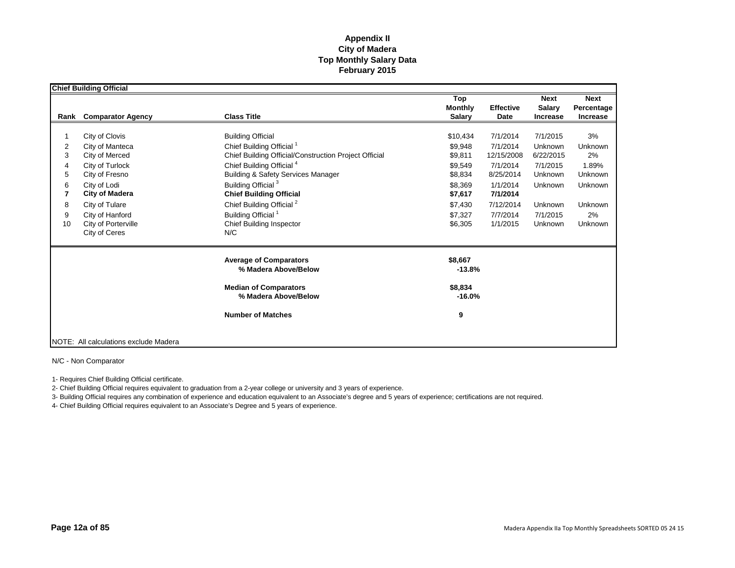|                                       | <b>Chief Building Official</b>                                                                                                                                                                                 |                                                                                                                                                                                                                                                                                                                                                                                                     |                                                                                                             |                                                                                                                          |                                                                                                      |                                                                                |
|---------------------------------------|----------------------------------------------------------------------------------------------------------------------------------------------------------------------------------------------------------------|-----------------------------------------------------------------------------------------------------------------------------------------------------------------------------------------------------------------------------------------------------------------------------------------------------------------------------------------------------------------------------------------------------|-------------------------------------------------------------------------------------------------------------|--------------------------------------------------------------------------------------------------------------------------|------------------------------------------------------------------------------------------------------|--------------------------------------------------------------------------------|
| Rank                                  | <b>Comparator Agency</b>                                                                                                                                                                                       | <b>Class Title</b>                                                                                                                                                                                                                                                                                                                                                                                  | Top<br><b>Monthly</b><br><b>Salary</b>                                                                      | <b>Effective</b><br>Date                                                                                                 | <b>Next</b><br>Salary<br><b>Increase</b>                                                             | <b>Next</b><br>Percentage<br><b>Increase</b>                                   |
| 2<br>3<br>4<br>5<br>6<br>8<br>9<br>10 | City of Clovis<br>City of Manteca<br>City of Merced<br>City of Turlock<br>City of Fresno<br>City of Lodi<br><b>City of Madera</b><br>City of Tulare<br>City of Hanford<br>City of Porterville<br>City of Ceres | <b>Building Official</b><br>Chief Building Official <sup>1</sup><br>Chief Building Official/Construction Project Official<br>Chief Building Official <sup>4</sup><br><b>Building &amp; Safety Services Manager</b><br>Building Official <sup>3</sup><br><b>Chief Building Official</b><br>Chief Building Official <sup>2</sup><br>Building Official <sup>1</sup><br>Chief Building Inspector<br>N/C | \$10,434<br>\$9,948<br>\$9,811<br>\$9,549<br>\$8,834<br>\$8,369<br>\$7,617<br>\$7,430<br>\$7,327<br>\$6,305 | 7/1/2014<br>7/1/2014<br>12/15/2008<br>7/1/2014<br>8/25/2014<br>1/1/2014<br>7/1/2014<br>7/12/2014<br>7/7/2014<br>1/1/2015 | 7/1/2015<br>Unknown<br>6/22/2015<br>7/1/2015<br>Unknown<br>Unknown<br>Unknown<br>7/1/2015<br>Unknown | 3%<br>Unknown<br>2%<br>1.89%<br>Unknown<br>Unknown<br>Unknown<br>2%<br>Unknown |
|                                       |                                                                                                                                                                                                                | <b>Average of Comparators</b><br>% Madera Above/Below<br><b>Median of Comparators</b><br>% Madera Above/Below<br><b>Number of Matches</b>                                                                                                                                                                                                                                                           | \$8,667<br>$-13.8%$<br>\$8,834<br>$-16.0%$<br>9                                                             |                                                                                                                          |                                                                                                      |                                                                                |
|                                       | NOTE: All calculations exclude Madera                                                                                                                                                                          |                                                                                                                                                                                                                                                                                                                                                                                                     |                                                                                                             |                                                                                                                          |                                                                                                      |                                                                                |

N/C - Non Comparator

1- Requires Chief Building Official certificate.

2- Chief Building Official requires equivalent to graduation from a 2-year college or university and 3 years of experience.

3- Building Official requires any combination of experience and education equivalent to an Associate's degree and 5 years of experience; certifications are not required.

4- Chief Building Official requires equivalent to an Associate's Degree and 5 years of experience.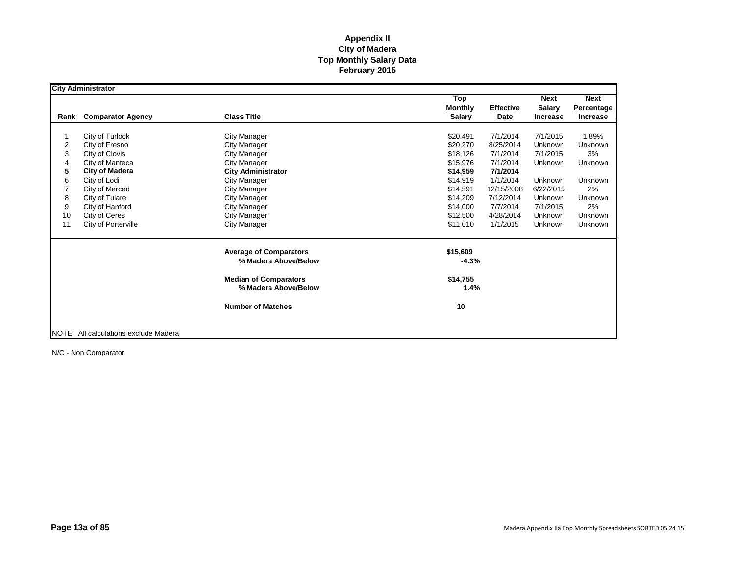|      | <b>City Administrator</b>             |                                                      |                                    |                 |                |
|------|---------------------------------------|------------------------------------------------------|------------------------------------|-----------------|----------------|
|      |                                       |                                                      | Top                                | <b>Next</b>     | <b>Next</b>    |
|      |                                       |                                                      | <b>Monthly</b><br><b>Effective</b> | <b>Salary</b>   | Percentage     |
| Rank | <b>Comparator Agency</b>              | <b>Class Title</b>                                   | <b>Salary</b><br>Date              | <b>Increase</b> | Increase       |
|      |                                       |                                                      |                                    |                 |                |
|      | City of Turlock                       | <b>City Manager</b>                                  | 7/1/2014<br>\$20,491               | 7/1/2015        | 1.89%          |
| 2    | City of Fresno                        | <b>City Manager</b>                                  | \$20,270<br>8/25/2014              | Unknown         | Unknown        |
| 3    | City of Clovis                        | <b>City Manager</b>                                  | \$18,126<br>7/1/2014               | 7/1/2015        | 3%             |
| 4    | City of Manteca                       | <b>City Manager</b>                                  | \$15,976<br>7/1/2014               | Unknown         | Unknown        |
| 5    | <b>City of Madera</b>                 | <b>City Administrator</b>                            | \$14,959<br>7/1/2014               |                 |                |
| 6    | City of Lodi                          | <b>City Manager</b>                                  | 1/1/2014<br>\$14,919               | Unknown         | <b>Unknown</b> |
|      | City of Merced                        | <b>City Manager</b>                                  | \$14,591<br>12/15/2008             | 6/22/2015       | 2%             |
| 8    | City of Tulare                        | <b>City Manager</b>                                  | \$14,209<br>7/12/2014              | Unknown         | Unknown        |
| 9    | City of Hanford                       | <b>City Manager</b>                                  | 7/7/2014<br>\$14,000               | 7/1/2015        | 2%             |
| 10   | City of Ceres                         | City Manager                                         | \$12,500<br>4/28/2014              | Unknown         | <b>Unknown</b> |
| 11   | City of Porterville                   | <b>City Manager</b>                                  | \$11,010<br>1/1/2015               | Unknown         | <b>Unknown</b> |
|      |                                       | <b>Average of Comparators</b>                        | \$15,609                           |                 |                |
|      |                                       | % Madera Above/Below                                 | $-4.3%$                            |                 |                |
|      |                                       | <b>Median of Comparators</b><br>% Madera Above/Below | \$14,755<br>1.4%                   |                 |                |
|      |                                       | <b>Number of Matches</b>                             | 10                                 |                 |                |
|      | NOTE: All calculations exclude Madera |                                                      |                                    |                 |                |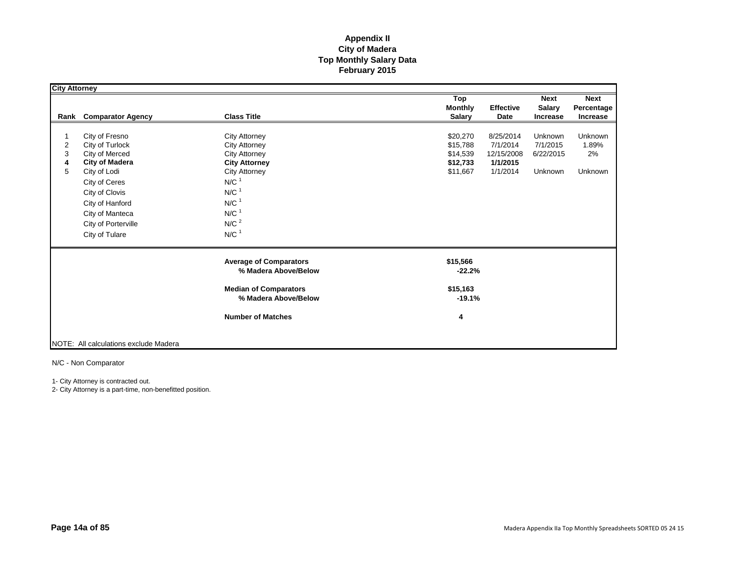| <b>City Attorney</b> |                                       |                               |                             |               |                |
|----------------------|---------------------------------------|-------------------------------|-----------------------------|---------------|----------------|
|                      |                                       |                               | Top                         | <b>Next</b>   | <b>Next</b>    |
|                      |                                       |                               | <b>Monthly</b><br>Effective | <b>Salary</b> | Percentage     |
| Rank                 | <b>Comparator Agency</b>              | <b>Class Title</b>            | <b>Salary</b><br>Date       | Increase      | Increase       |
|                      |                                       |                               |                             |               |                |
| 1                    | City of Fresno                        | <b>City Attorney</b>          | \$20,270<br>8/25/2014       | Unknown       | Unknown        |
| $\overline{2}$       | City of Turlock                       | <b>City Attorney</b>          | \$15,788<br>7/1/2014        | 7/1/2015      | 1.89%          |
| 3                    | City of Merced                        | <b>City Attorney</b>          | \$14,539<br>12/15/2008      | 6/22/2015     | 2%             |
| 4                    | <b>City of Madera</b>                 | <b>City Attorney</b>          | \$12,733<br>1/1/2015        |               |                |
| 5                    | City of Lodi                          | <b>City Attorney</b>          | 1/1/2014<br>\$11,667        | Unknown       | <b>Unknown</b> |
|                      | City of Ceres                         | $N/C$ <sup>1</sup>            |                             |               |                |
|                      | City of Clovis                        | $N/C$ <sup>1</sup>            |                             |               |                |
|                      | City of Hanford                       | $N/C$ <sup>1</sup>            |                             |               |                |
|                      | City of Manteca                       | $N/C$ <sup>1</sup>            |                             |               |                |
|                      | City of Porterville                   | N/C <sup>2</sup>              |                             |               |                |
|                      |                                       |                               |                             |               |                |
|                      | City of Tulare                        | $N/C$ <sup>1</sup>            |                             |               |                |
|                      |                                       | <b>Average of Comparators</b> | \$15,566                    |               |                |
|                      |                                       | % Madera Above/Below          | $-22.2%$                    |               |                |
|                      |                                       | <b>Median of Comparators</b>  | \$15,163                    |               |                |
|                      |                                       | % Madera Above/Below          | $-19.1%$                    |               |                |
|                      |                                       | <b>Number of Matches</b>      | 4                           |               |                |
|                      |                                       |                               |                             |               |                |
|                      | NOTE: All calculations exclude Madera |                               |                             |               |                |

N/C - Non Comparator

1- City Attorney is contracted out.

2- City Attorney is a part-time, non-benefitted position.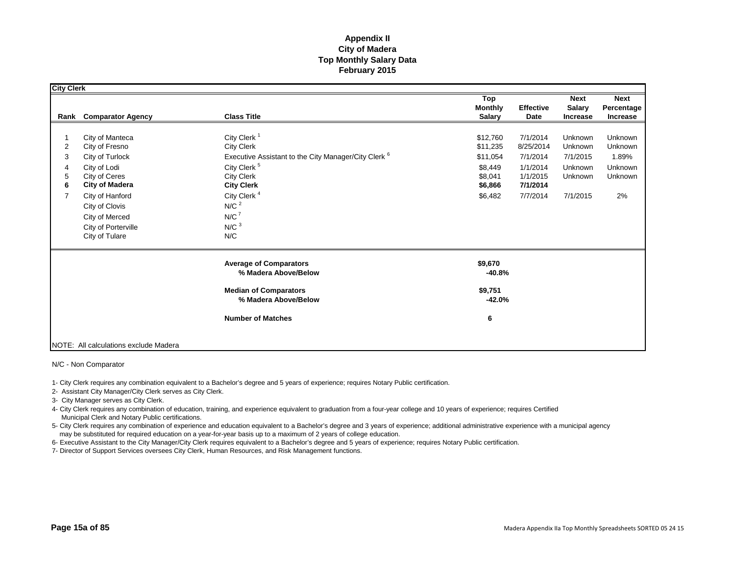| <b>City Clerk</b> |                                       |                                                                 |                                        |                          |                                          |                                       |
|-------------------|---------------------------------------|-----------------------------------------------------------------|----------------------------------------|--------------------------|------------------------------------------|---------------------------------------|
|                   | <b>Rank</b> Comparator Agency         | <b>Class Title</b>                                              | Top<br><b>Monthly</b><br><b>Salary</b> | <b>Effective</b><br>Date | <b>Next</b><br><b>Salary</b><br>Increase | <b>Next</b><br>Percentage<br>Increase |
|                   |                                       |                                                                 |                                        |                          |                                          |                                       |
| $\overline{2}$    | City of Manteca<br>City of Fresno     | City Clerk <sup>1</sup><br><b>City Clerk</b>                    | \$12,760                               | 7/1/2014<br>8/25/2014    | Unknown<br>Unknown                       | Unknown<br>Unknown                    |
| 3                 |                                       | Executive Assistant to the City Manager/City Clerk <sup>6</sup> | \$11,235<br>\$11,054                   | 7/1/2014                 | 7/1/2015                                 | 1.89%                                 |
|                   | City of Turlock                       | City Clerk <sup>5</sup>                                         |                                        |                          | Unknown                                  |                                       |
| 4<br>5            | City of Lodi<br>City of Ceres         | <b>City Clerk</b>                                               | \$8,449<br>\$8,041                     | 1/1/2014<br>1/1/2015     | Unknown                                  | Unknown<br>Unknown                    |
| 6                 | <b>City of Madera</b>                 | <b>City Clerk</b>                                               | \$6,866                                | 7/1/2014                 |                                          |                                       |
| $\overline{7}$    | City of Hanford                       | City Clerk <sup>4</sup>                                         | \$6,482                                | 7/7/2014                 | 7/1/2015                                 | 2%                                    |
|                   | City of Clovis                        | N/C <sup>2</sup>                                                |                                        |                          |                                          |                                       |
|                   | City of Merced                        | N/C <sup>7</sup>                                                |                                        |                          |                                          |                                       |
|                   | City of Porterville                   | N/C <sup>3</sup>                                                |                                        |                          |                                          |                                       |
|                   | City of Tulare                        | N/C                                                             |                                        |                          |                                          |                                       |
|                   |                                       | <b>Average of Comparators</b><br>% Madera Above/Below           | \$9,670<br>$-40.8%$                    |                          |                                          |                                       |
|                   |                                       | <b>Median of Comparators</b><br>% Madera Above/Below            | \$9,751<br>$-42.0%$                    |                          |                                          |                                       |
|                   |                                       | <b>Number of Matches</b>                                        | 6                                      |                          |                                          |                                       |
|                   | NOTE: All calculations exclude Madera |                                                                 |                                        |                          |                                          |                                       |

N/C - Non Comparator

1- City Clerk requires any combination equivalent to a Bachelor's degree and 5 years of experience; requires Notary Public certification.

2- Assistant City Manager/City Clerk serves as City Clerk.

3- City Manager serves as City Clerk.

4- City Clerk requires any combination of education, training, and experience equivalent to graduation from a four-year college and 10 years of experience; requires Certified Municipal Clerk and Notary Public certifications.

5- City Clerk requires any combination of experience and education equivalent to a Bachelor's degree and 3 years of experience; additional administrative experience with a municipal agency may be substituted for required education on a year-for-year basis up to a maximum of 2 years of college education.

6- Executive Assistant to the City Manager/City Clerk requires equivalent to a Bachelor's degree and 5 years of experience; requires Notary Public certification.

7- Director of Support Services oversees City Clerk, Human Resources, and Risk Management functions.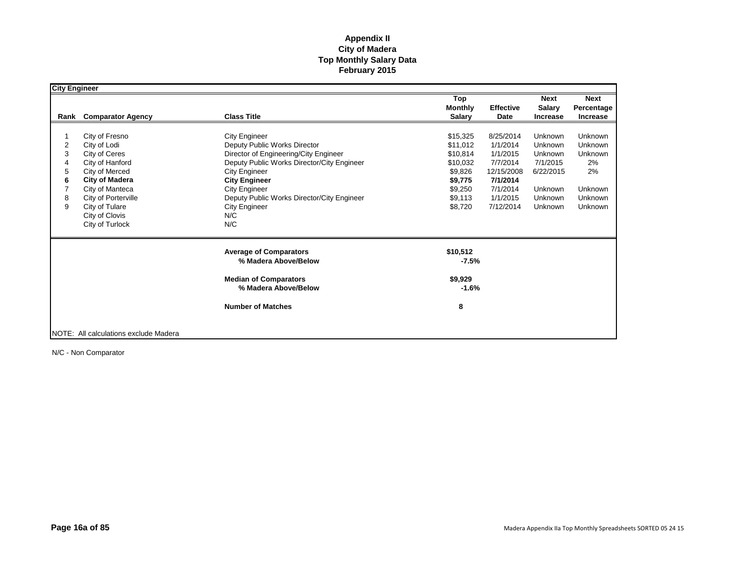| <b>City Engineer</b> |                                       |                                            |                |                  |                 |                 |
|----------------------|---------------------------------------|--------------------------------------------|----------------|------------------|-----------------|-----------------|
|                      |                                       |                                            | Top            |                  | <b>Next</b>     | <b>Next</b>     |
|                      |                                       |                                            | <b>Monthly</b> | <b>Effective</b> | <b>Salary</b>   | Percentage      |
| Rank                 | <b>Comparator Agency</b>              | <b>Class Title</b>                         | <b>Salary</b>  | Date             | <b>Increase</b> | <b>Increase</b> |
|                      |                                       |                                            |                |                  |                 |                 |
|                      | City of Fresno                        | <b>City Engineer</b>                       | \$15,325       | 8/25/2014        | Unknown         | Unknown         |
| 2                    | City of Lodi                          | Deputy Public Works Director               | \$11,012       | 1/1/2014         | Unknown         | Unknown         |
| 3                    | City of Ceres                         | Director of Engineering/City Engineer      | \$10,814       | 1/1/2015         | Unknown         | Unknown         |
| 4                    | City of Hanford                       | Deputy Public Works Director/City Engineer | \$10,032       | 7/7/2014         | 7/1/2015        | 2%              |
| 5                    | City of Merced                        | City Engineer                              | \$9,826        | 12/15/2008       | 6/22/2015       | 2%              |
| 6                    | <b>City of Madera</b>                 | <b>City Engineer</b>                       | \$9,775        | 7/1/2014         |                 |                 |
|                      | City of Manteca                       | <b>City Engineer</b>                       | \$9,250        | 7/1/2014         | Unknown         | <b>Unknown</b>  |
| 8                    | City of Porterville                   | Deputy Public Works Director/City Engineer | \$9,113        | 1/1/2015         | Unknown         | Unknown         |
| 9                    | City of Tulare                        | <b>City Engineer</b>                       | \$8,720        | 7/12/2014        | Unknown         | <b>Unknown</b>  |
|                      | City of Clovis                        | N/C                                        |                |                  |                 |                 |
|                      | City of Turlock                       | N/C                                        |                |                  |                 |                 |
|                      |                                       |                                            |                |                  |                 |                 |
|                      |                                       | <b>Average of Comparators</b>              | \$10,512       |                  |                 |                 |
|                      |                                       | % Madera Above/Below                       | $-7.5%$        |                  |                 |                 |
|                      |                                       | <b>Median of Comparators</b>               | \$9,929        |                  |                 |                 |
|                      |                                       | % Madera Above/Below                       | $-1.6%$        |                  |                 |                 |
|                      |                                       | <b>Number of Matches</b>                   | 8              |                  |                 |                 |
|                      |                                       |                                            |                |                  |                 |                 |
|                      | NOTE: All calculations exclude Madera |                                            |                |                  |                 |                 |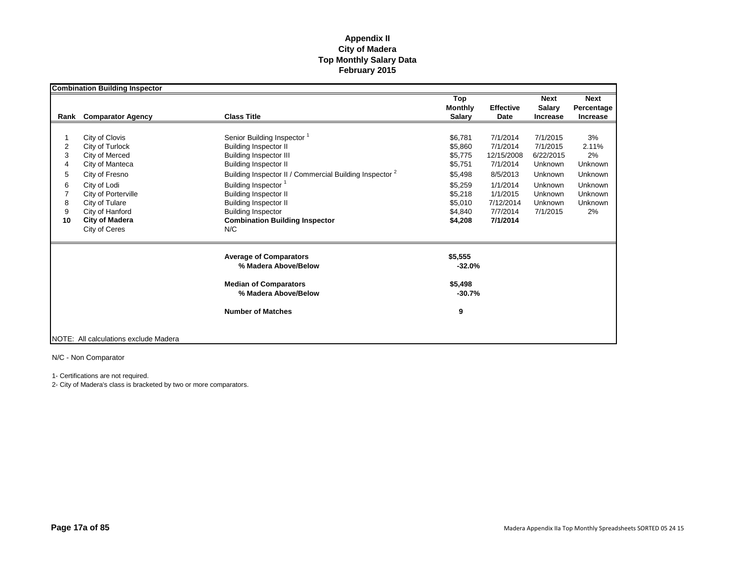|      | <b>Combination Building Inspector</b> |                                                                    |                     |                  |                 |                |
|------|---------------------------------------|--------------------------------------------------------------------|---------------------|------------------|-----------------|----------------|
|      |                                       |                                                                    | Top                 |                  | <b>Next</b>     | <b>Next</b>    |
|      |                                       |                                                                    | <b>Monthly</b>      | <b>Effective</b> | <b>Salary</b>   | Percentage     |
| Rank | <b>Comparator Agency</b>              | <b>Class Title</b>                                                 | <b>Salary</b>       | Date             | <b>Increase</b> | Increase       |
|      |                                       |                                                                    |                     |                  |                 |                |
|      | City of Clovis                        | Senior Building Inspector <sup>1</sup>                             | \$6,781             | 7/1/2014         | 7/1/2015        | 3%             |
| 2    | City of Turlock                       | <b>Building Inspector II</b>                                       | \$5.860             | 7/1/2014         | 7/1/2015        | 2.11%          |
| 3    | City of Merced                        | <b>Building Inspector III</b>                                      | \$5,775             | 12/15/2008       | 6/22/2015       | 2%             |
| 4    | City of Manteca                       | <b>Building Inspector II</b>                                       | \$5,751             | 7/1/2014         | <b>Unknown</b>  | Unknown        |
| 5    | City of Fresno                        | Building Inspector II / Commercial Building Inspector <sup>2</sup> | \$5,498             | 8/5/2013         | Unknown         | Unknown        |
| 6    | City of Lodi                          | Building Inspector <sup>1</sup>                                    | \$5.259             | 1/1/2014         | Unknown         | Unknown        |
|      | City of Porterville                   | <b>Building Inspector II</b>                                       | \$5,218             | 1/1/2015         | Unknown         | Unknown        |
| 8    | City of Tulare                        | <b>Building Inspector II</b>                                       | \$5,010             | 7/12/2014        | Unknown         | <b>Unknown</b> |
| 9    | City of Hanford                       | <b>Building Inspector</b>                                          | \$4,840             | 7/7/2014         | 7/1/2015        | 2%             |
| 10   | <b>City of Madera</b>                 | <b>Combination Building Inspector</b>                              | \$4,208             | 7/1/2014         |                 |                |
|      | City of Ceres                         | N/C                                                                |                     |                  |                 |                |
|      |                                       | <b>Average of Comparators</b>                                      | \$5,555             |                  |                 |                |
|      |                                       | % Madera Above/Below                                               | $-32.0%$            |                  |                 |                |
|      |                                       | <b>Median of Comparators</b><br>% Madera Above/Below               | \$5,498<br>$-30.7%$ |                  |                 |                |
|      |                                       | <b>Number of Matches</b>                                           | 9                   |                  |                 |                |
|      | NOTE: All calculations exclude Madera |                                                                    |                     |                  |                 |                |

N/C - Non Comparator

1- Certifications are not required.

2- City of Madera's class is bracketed by two or more comparators.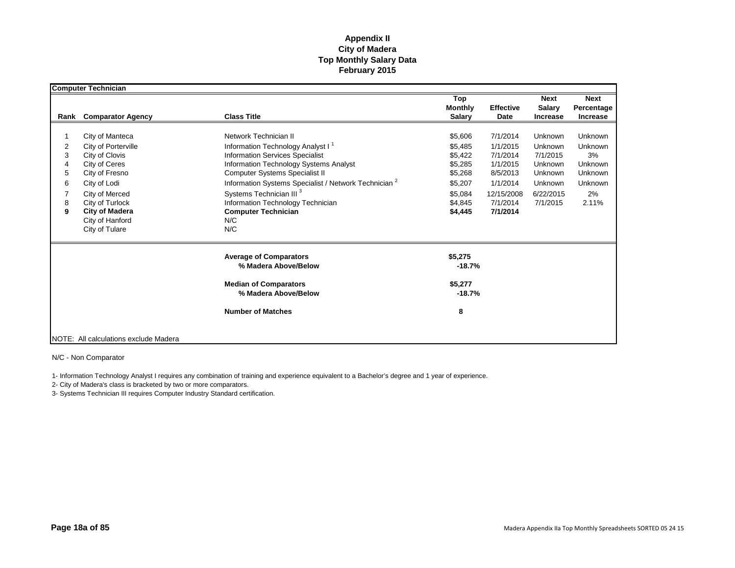|                                 | <b>Computer Technician</b>                                                                                                                                                                                     |                                                                                                                                                                                                                                                                                                                                                                                                 |                                                                                                 |                                                                                                            |                                                                                          |                                                                                        |
|---------------------------------|----------------------------------------------------------------------------------------------------------------------------------------------------------------------------------------------------------------|-------------------------------------------------------------------------------------------------------------------------------------------------------------------------------------------------------------------------------------------------------------------------------------------------------------------------------------------------------------------------------------------------|-------------------------------------------------------------------------------------------------|------------------------------------------------------------------------------------------------------------|------------------------------------------------------------------------------------------|----------------------------------------------------------------------------------------|
|                                 |                                                                                                                                                                                                                |                                                                                                                                                                                                                                                                                                                                                                                                 | Top<br><b>Monthly</b>                                                                           | <b>Effective</b>                                                                                           | <b>Next</b><br><b>Salary</b>                                                             | <b>Next</b><br>Percentage                                                              |
| Rank                            | <b>Comparator Agency</b>                                                                                                                                                                                       | <b>Class Title</b>                                                                                                                                                                                                                                                                                                                                                                              | <b>Salary</b>                                                                                   | Date                                                                                                       | <b>Increase</b>                                                                          | <b>Increase</b>                                                                        |
| 2<br>3<br>4<br>5<br>6<br>8<br>9 | City of Manteca<br>City of Porterville<br>City of Clovis<br>City of Ceres<br>City of Fresno<br>City of Lodi<br>City of Merced<br>City of Turlock<br><b>City of Madera</b><br>City of Hanford<br>City of Tulare | Network Technician II<br>Information Technology Analyst I <sup>1</sup><br><b>Information Services Specialist</b><br>Information Technology Systems Analyst<br><b>Computer Systems Specialist II</b><br>Information Systems Specialist / Network Technician <sup>2</sup><br>Systems Technician III <sup>3</sup><br>Information Technology Technician<br><b>Computer Technician</b><br>N/C<br>N/C | \$5,606<br>\$5,485<br>\$5,422<br>\$5,285<br>\$5,268<br>\$5,207<br>\$5,084<br>\$4,845<br>\$4,445 | 7/1/2014<br>1/1/2015<br>7/1/2014<br>1/1/2015<br>8/5/2013<br>1/1/2014<br>12/15/2008<br>7/1/2014<br>7/1/2014 | Unknown<br>Unknown<br>7/1/2015<br>Unknown<br>Unknown<br>Unknown<br>6/22/2015<br>7/1/2015 | Unknown<br>Unknown<br>3%<br><b>Unknown</b><br><b>Unknown</b><br>Unknown<br>2%<br>2.11% |
|                                 |                                                                                                                                                                                                                | <b>Average of Comparators</b><br>% Madera Above/Below<br><b>Median of Comparators</b><br>% Madera Above/Below<br><b>Number of Matches</b>                                                                                                                                                                                                                                                       | \$5,275<br>$-18.7%$<br>\$5,277<br>$-18.7%$<br>8                                                 |                                                                                                            |                                                                                          |                                                                                        |
|                                 | NOTE: All calculations exclude Madera                                                                                                                                                                          |                                                                                                                                                                                                                                                                                                                                                                                                 |                                                                                                 |                                                                                                            |                                                                                          |                                                                                        |

N/C - Non Comparator

1- Information Technology Analyst I requires any combination of training and experience equivalent to a Bachelor's degree and 1 year of experience.

2- City of Madera's class is bracketed by two or more comparators.

3- Systems Technician III requires Computer Industry Standard certification.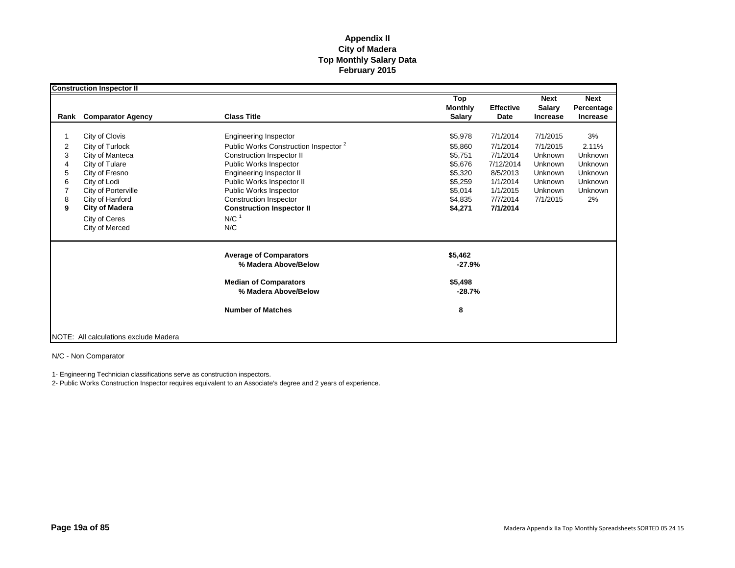|                                                   | <b>Construction Inspector II</b>                                                                                                                                                                               |                                                                                                                                                                                                                                                                                                                       |                                                                                                 |                                                                                                           |                                                                                                |                                                                                                      |
|---------------------------------------------------|----------------------------------------------------------------------------------------------------------------------------------------------------------------------------------------------------------------|-----------------------------------------------------------------------------------------------------------------------------------------------------------------------------------------------------------------------------------------------------------------------------------------------------------------------|-------------------------------------------------------------------------------------------------|-----------------------------------------------------------------------------------------------------------|------------------------------------------------------------------------------------------------|------------------------------------------------------------------------------------------------------|
| Rank                                              | <b>Comparator Agency</b>                                                                                                                                                                                       | <b>Class Title</b>                                                                                                                                                                                                                                                                                                    | Top<br><b>Monthly</b><br><b>Salary</b>                                                          | <b>Effective</b><br>Date                                                                                  | <b>Next</b><br><b>Salary</b><br><b>Increase</b>                                                | <b>Next</b><br>Percentage<br>Increase                                                                |
| $\overline{2}$<br>3<br>4<br>5<br>6<br>7<br>8<br>9 | City of Clovis<br>City of Turlock<br>City of Manteca<br>City of Tulare<br>City of Fresno<br>City of Lodi<br>City of Porterville<br>City of Hanford<br><b>City of Madera</b><br>City of Ceres<br>City of Merced | <b>Engineering Inspector</b><br>Public Works Construction Inspector <sup>2</sup><br>Construction Inspector II<br>Public Works Inspector<br>Engineering Inspector II<br>Public Works Inspector II<br>Public Works Inspector<br>Construction Inspector<br><b>Construction Inspector II</b><br>$N/C$ <sup>1</sup><br>N/C | \$5,978<br>\$5.860<br>\$5,751<br>\$5,676<br>\$5,320<br>\$5,259<br>\$5,014<br>\$4,835<br>\$4,271 | 7/1/2014<br>7/1/2014<br>7/1/2014<br>7/12/2014<br>8/5/2013<br>1/1/2014<br>1/1/2015<br>7/7/2014<br>7/1/2014 | 7/1/2015<br>7/1/2015<br>Unknown<br><b>Unknown</b><br>Unknown<br>Unknown<br>Unknown<br>7/1/2015 | 3%<br>2.11%<br>Unknown<br><b>Unknown</b><br><b>Unknown</b><br><b>Unknown</b><br><b>Unknown</b><br>2% |
|                                                   |                                                                                                                                                                                                                | <b>Average of Comparators</b><br>% Madera Above/Below<br><b>Median of Comparators</b><br>% Madera Above/Below<br><b>Number of Matches</b>                                                                                                                                                                             | \$5,462<br>$-27.9%$<br>\$5,498<br>$-28.7%$<br>8                                                 |                                                                                                           |                                                                                                |                                                                                                      |
|                                                   | NOTE: All calculations exclude Madera                                                                                                                                                                          |                                                                                                                                                                                                                                                                                                                       |                                                                                                 |                                                                                                           |                                                                                                |                                                                                                      |

N/C - Non Comparator

1- Engineering Technician classifications serve as construction inspectors.

2- Public Works Construction Inspector requires equivalent to an Associate's degree and 2 years of experience.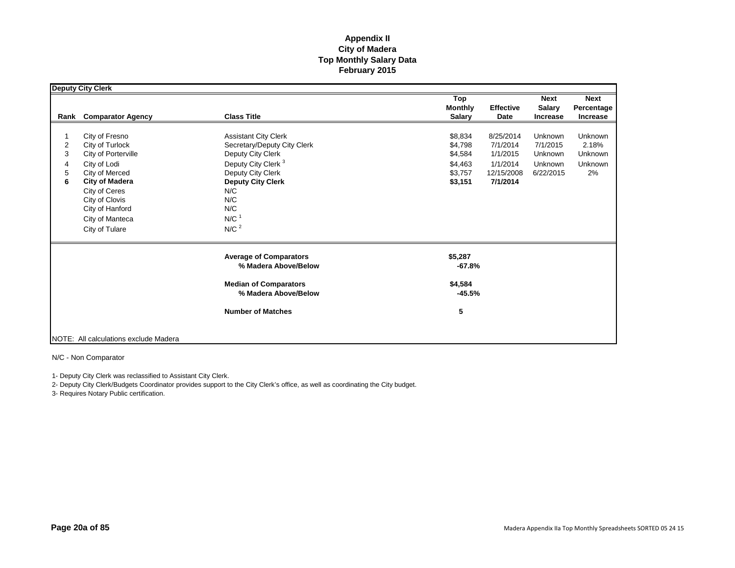|                                             | <b>Deputy City Clerk</b>                                                                                                                                                                                       |                                                                                                                                                                                                                                   |                                                                                                                                           |                                                        |                                                                   |
|---------------------------------------------|----------------------------------------------------------------------------------------------------------------------------------------------------------------------------------------------------------------|-----------------------------------------------------------------------------------------------------------------------------------------------------------------------------------------------------------------------------------|-------------------------------------------------------------------------------------------------------------------------------------------|--------------------------------------------------------|-------------------------------------------------------------------|
| Rank                                        | <b>Comparator Agency</b>                                                                                                                                                                                       | <b>Class Title</b>                                                                                                                                                                                                                | Top<br><b>Monthly</b><br><b>Effective</b><br><b>Salary</b><br>Date                                                                        | <b>Next</b><br><b>Salary</b><br><b>Increase</b>        | <b>Next</b><br>Percentage<br><b>Increase</b>                      |
| $\overline{\mathbf{c}}$<br>3<br>4<br>5<br>6 | City of Fresno<br>City of Turlock<br>City of Porterville<br>City of Lodi<br>City of Merced<br><b>City of Madera</b><br>City of Ceres<br>City of Clovis<br>City of Hanford<br>City of Manteca<br>City of Tulare | <b>Assistant City Clerk</b><br>Secretary/Deputy City Clerk<br>Deputy City Clerk<br>Deputy City Clerk <sup>3</sup><br>Deputy City Clerk<br><b>Deputy City Clerk</b><br>N/C<br>N/C<br>N/C<br>$N/C$ <sup>1</sup><br>N/C <sup>2</sup> | 8/25/2014<br>\$8,834<br>\$4,798<br>7/1/2014<br>1/1/2015<br>\$4,584<br>1/1/2014<br>\$4,463<br>\$3,757<br>12/15/2008<br>\$3,151<br>7/1/2014 | Unknown<br>7/1/2015<br>Unknown<br>Unknown<br>6/22/2015 | <b>Unknown</b><br>2.18%<br><b>Unknown</b><br><b>Unknown</b><br>2% |
|                                             |                                                                                                                                                                                                                | <b>Average of Comparators</b><br>% Madera Above/Below<br><b>Median of Comparators</b><br>% Madera Above/Below                                                                                                                     | \$5,287<br>$-67.8%$<br>\$4,584<br>$-45.5%$                                                                                                |                                                        |                                                                   |
|                                             | NOTE: All calculations exclude Madera                                                                                                                                                                          | <b>Number of Matches</b>                                                                                                                                                                                                          | 5                                                                                                                                         |                                                        |                                                                   |

N/C - Non Comparator

1- Deputy City Clerk was reclassified to Assistant City Clerk.

2- Deputy City Clerk/Budgets Coordinator provides support to the City Clerk's office, as well as coordinating the City budget.

3- Requires Notary Public certification.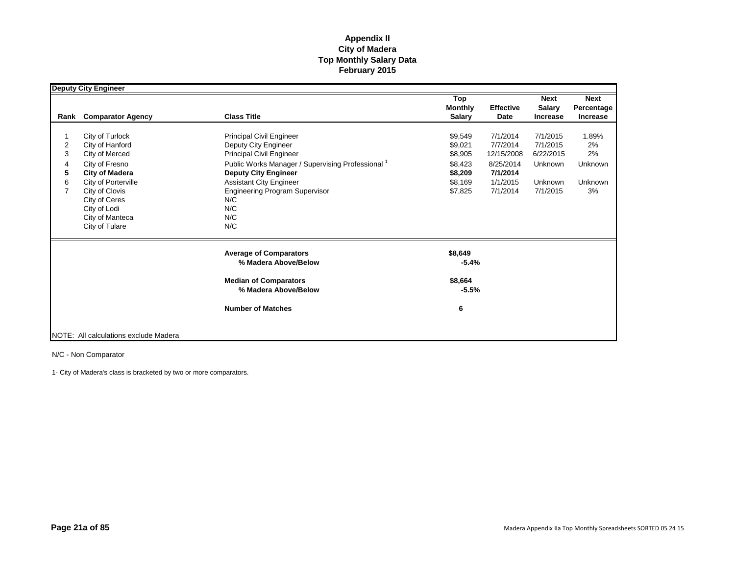|                                         | <b>Deputy City Engineer</b>                                                                                                                                                                                    |                                                                                                                                                                                                                                                                                           |                                                                           |                                                                                     |                                                                     |                                                      |
|-----------------------------------------|----------------------------------------------------------------------------------------------------------------------------------------------------------------------------------------------------------------|-------------------------------------------------------------------------------------------------------------------------------------------------------------------------------------------------------------------------------------------------------------------------------------------|---------------------------------------------------------------------------|-------------------------------------------------------------------------------------|---------------------------------------------------------------------|------------------------------------------------------|
| Rank                                    | <b>Comparator Agency</b>                                                                                                                                                                                       | <b>Class Title</b>                                                                                                                                                                                                                                                                        | Top<br><b>Monthly</b><br><b>Salary</b>                                    | <b>Effective</b><br>Date                                                            | <b>Next</b><br><b>Salary</b><br><b>Increase</b>                     | <b>Next</b><br>Percentage<br><b>Increase</b>         |
| $\overline{2}$<br>3<br>4<br>5<br>6<br>7 | City of Turlock<br>City of Hanford<br>City of Merced<br>City of Fresno<br><b>City of Madera</b><br>City of Porterville<br>City of Clovis<br>City of Ceres<br>City of Lodi<br>City of Manteca<br>City of Tulare | <b>Principal Civil Engineer</b><br>Deputy City Engineer<br>Principal Civil Engineer<br>Public Works Manager / Supervising Professional <sup>1</sup><br><b>Deputy City Engineer</b><br><b>Assistant City Engineer</b><br><b>Engineering Program Supervisor</b><br>N/C<br>N/C<br>N/C<br>N/C | \$9,549<br>\$9,021<br>\$8,905<br>\$8,423<br>\$8,209<br>\$8,169<br>\$7,825 | 7/1/2014<br>7/7/2014<br>12/15/2008<br>8/25/2014<br>7/1/2014<br>1/1/2015<br>7/1/2014 | 7/1/2015<br>7/1/2015<br>6/22/2015<br>Unknown<br>Unknown<br>7/1/2015 | 1.89%<br>2%<br>2%<br>Unknown<br><b>Unknown</b><br>3% |
|                                         |                                                                                                                                                                                                                | <b>Average of Comparators</b><br>% Madera Above/Below<br><b>Median of Comparators</b><br>% Madera Above/Below<br><b>Number of Matches</b>                                                                                                                                                 | \$8,649<br>$-5.4%$<br>\$8,664<br>$-5.5%$<br>6                             |                                                                                     |                                                                     |                                                      |
|                                         | NOTE: All calculations exclude Madera                                                                                                                                                                          |                                                                                                                                                                                                                                                                                           |                                                                           |                                                                                     |                                                                     |                                                      |

N/C - Non Comparator

1- City of Madera's class is bracketed by two or more comparators.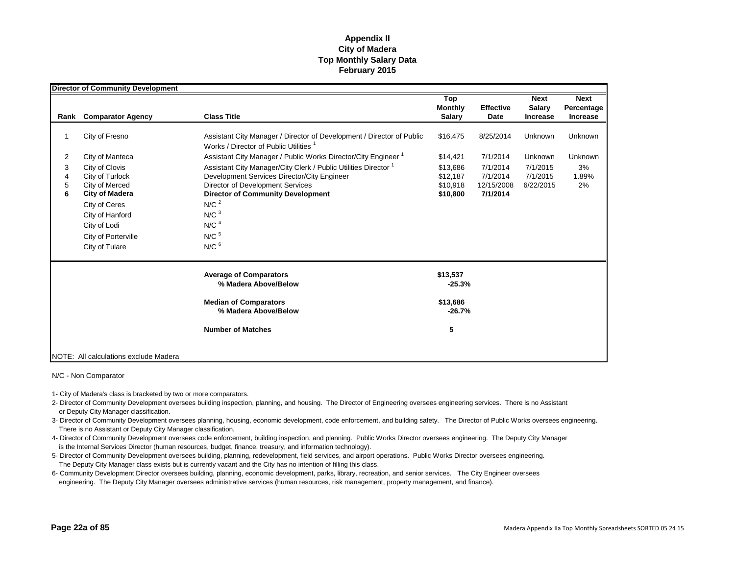|                  | <b>Director of Community Development</b>                                                                                                                                  |                                                                                                                                                                                                                                                                                                                          |                                                   |                                                |                                   |                   |
|------------------|---------------------------------------------------------------------------------------------------------------------------------------------------------------------------|--------------------------------------------------------------------------------------------------------------------------------------------------------------------------------------------------------------------------------------------------------------------------------------------------------------------------|---------------------------------------------------|------------------------------------------------|-----------------------------------|-------------------|
|                  |                                                                                                                                                                           |                                                                                                                                                                                                                                                                                                                          | Top                                               |                                                | <b>Next</b>                       | <b>Next</b>       |
|                  |                                                                                                                                                                           |                                                                                                                                                                                                                                                                                                                          | <b>Monthly</b>                                    | <b>Effective</b>                               | <b>Salary</b>                     | Percentage        |
| Rank             | <b>Comparator Agency</b>                                                                                                                                                  | <b>Class Title</b>                                                                                                                                                                                                                                                                                                       | <b>Salary</b>                                     | Date                                           | <b>Increase</b>                   | Increase          |
| -1               | City of Fresno                                                                                                                                                            | Assistant City Manager / Director of Development / Director of Public<br>Works / Director of Public Utilities <sup>1</sup>                                                                                                                                                                                               | \$16,475                                          | 8/25/2014                                      | Unknown                           | Unknown           |
| 2                | City of Manteca                                                                                                                                                           | Assistant City Manager / Public Works Director/City Engineer <sup>1</sup>                                                                                                                                                                                                                                                | \$14,421                                          | 7/1/2014                                       | Unknown                           | Unknown           |
| 3<br>4<br>5<br>6 | City of Clovis<br>City of Turlock<br>City of Merced<br><b>City of Madera</b><br>City of Ceres<br>City of Hanford<br>City of Lodi<br>City of Porterville<br>City of Tulare | Assistant City Manager/City Clerk / Public Utilities Director <sup>1</sup><br>Development Services Director/City Engineer<br><b>Director of Development Services</b><br><b>Director of Community Development</b><br>N/C <sup>2</sup><br>N/C <sup>3</sup><br>N/C <sup>4</sup><br>$N/C$ <sup>5</sup><br>$N/C$ <sup>6</sup> | \$13.686<br>\$12,187<br>\$10,918<br>\$10,800      | 7/1/2014<br>7/1/2014<br>12/15/2008<br>7/1/2014 | 7/1/2015<br>7/1/2015<br>6/22/2015 | 3%<br>1.89%<br>2% |
|                  |                                                                                                                                                                           | <b>Average of Comparators</b><br>% Madera Above/Below<br><b>Median of Comparators</b><br>% Madera Above/Below<br><b>Number of Matches</b>                                                                                                                                                                                | \$13,537<br>$-25.3%$<br>\$13,686<br>$-26.7%$<br>5 |                                                |                                   |                   |
|                  | NOTE: All calculations exclude Madera                                                                                                                                     |                                                                                                                                                                                                                                                                                                                          |                                                   |                                                |                                   |                   |

- 1- City of Madera's class is bracketed by two or more comparators.
- 2- Director of Community Development oversees building inspection, planning, and housing. The Director of Engineering oversees engineering services. There is no Assistant or Deputy City Manager classification.
- 3- Director of Community Development oversees planning, housing, economic development, code enforcement, and building safety. The Director of Public Works oversees engineering. There is no Assistant or Deputy City Manager classification.
- 4- Director of Community Development oversees code enforcement, building inspection, and planning. Public Works Director oversees engineering. The Deputy City Manager is the Internal Services Director (human resources, budget, finance, treasury, and information technology).
- 5- Director of Community Development oversees building, planning, redevelopment, field services, and airport operations. Public Works Director oversees engineering. The Deputy City Manager class exists but is currently vacant and the City has no intention of filling this class.
- 6- Community Development Director oversees building, planning, economic development, parks, library, recreation, and senior services. The City Engineer oversees engineering. The Deputy City Manager oversees administrative services (human resources, risk management, property management, and finance).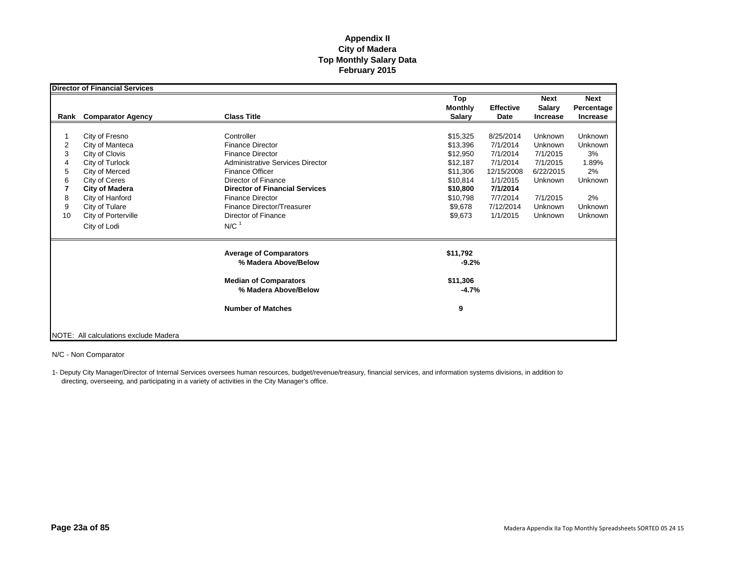|    | <b>Director of Financial Services</b> |                                                       |                                        |                          |                                                 |                                       |
|----|---------------------------------------|-------------------------------------------------------|----------------------------------------|--------------------------|-------------------------------------------------|---------------------------------------|
|    | Rank Comparator Agency                | <b>Class Title</b>                                    | Top<br><b>Monthly</b><br><b>Salary</b> | <b>Effective</b><br>Date | <b>Next</b><br><b>Salary</b><br><b>Increase</b> | <b>Next</b><br>Percentage<br>Increase |
|    |                                       |                                                       |                                        |                          |                                                 |                                       |
|    | City of Fresno                        | Controller                                            | \$15,325                               | 8/25/2014                | Unknown                                         | Unknown                               |
| 2  | City of Manteca                       | <b>Finance Director</b>                               | \$13,396                               | 7/1/2014                 | Unknown                                         | <b>Unknown</b>                        |
| 3  | City of Clovis                        | <b>Finance Director</b>                               | \$12,950                               | 7/1/2014                 | 7/1/2015                                        | 3%                                    |
|    | City of Turlock                       | <b>Administrative Services Director</b>               | \$12,187                               | 7/1/2014                 | 7/1/2015                                        | 1.89%                                 |
| 5  | City of Merced                        | <b>Finance Officer</b>                                | \$11,306                               | 12/15/2008               | 6/22/2015                                       | 2%                                    |
| 6  | City of Ceres                         | Director of Finance                                   | \$10,814                               | 1/1/2015                 | Unknown                                         | Unknown                               |
|    | <b>City of Madera</b>                 | <b>Director of Financial Services</b>                 | \$10,800                               | 7/1/2014                 |                                                 |                                       |
| 8  | City of Hanford                       | <b>Finance Director</b>                               | \$10,798                               | 7/7/2014                 | 7/1/2015                                        | 2%                                    |
| 9  | City of Tulare                        | Finance Director/Treasurer                            | \$9,678                                | 7/12/2014                | Unknown                                         | Unknown                               |
| 10 | City of Porterville                   | Director of Finance                                   | \$9,673                                | 1/1/2015                 | Unknown                                         | Unknown                               |
|    | City of Lodi                          | $N/C$ <sup>1</sup>                                    |                                        |                          |                                                 |                                       |
|    |                                       | <b>Average of Comparators</b><br>% Madera Above/Below | \$11,792<br>$-9.2%$                    |                          |                                                 |                                       |
|    |                                       |                                                       |                                        |                          |                                                 |                                       |
|    |                                       | <b>Median of Comparators</b><br>% Madera Above/Below  | \$11,306<br>$-4.7%$                    |                          |                                                 |                                       |
|    |                                       | <b>Number of Matches</b>                              | 9                                      |                          |                                                 |                                       |
|    | NOTE: All calculations exclude Madera |                                                       |                                        |                          |                                                 |                                       |

N/C - Non Comparator

1- Deputy City Manager/Director of Internal Services oversees human resources, budget/revenue/treasury, financial services, and information systems divisions, in addition to directing, overseeing, and participating in a variety of activities in the City Manager's office.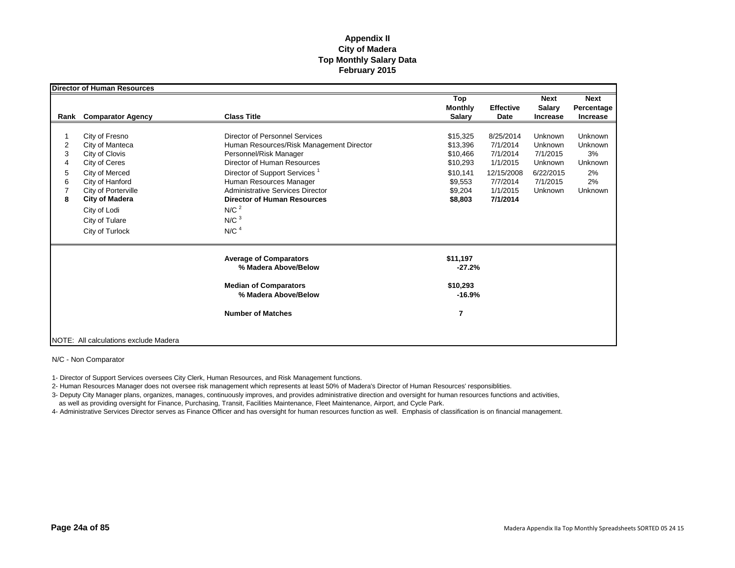|                                         | <b>Director of Human Resources</b>                                                                                                                                                                             |                                                                                                                                                                                                                                                                                                                                                          |                                                                                           |                                                                                                 |                                                                               |                                                                   |
|-----------------------------------------|----------------------------------------------------------------------------------------------------------------------------------------------------------------------------------------------------------------|----------------------------------------------------------------------------------------------------------------------------------------------------------------------------------------------------------------------------------------------------------------------------------------------------------------------------------------------------------|-------------------------------------------------------------------------------------------|-------------------------------------------------------------------------------------------------|-------------------------------------------------------------------------------|-------------------------------------------------------------------|
| Rank                                    | <b>Comparator Agency</b>                                                                                                                                                                                       | <b>Class Title</b>                                                                                                                                                                                                                                                                                                                                       | Top<br><b>Monthly</b><br><b>Salary</b>                                                    | <b>Effective</b><br><b>Date</b>                                                                 | <b>Next</b><br><b>Salary</b><br><b>Increase</b>                               | <b>Next</b><br>Percentage<br><b>Increase</b>                      |
| $\overline{2}$<br>3<br>4<br>5<br>6<br>8 | City of Fresno<br>City of Manteca<br>City of Clovis<br>City of Ceres<br>City of Merced<br>City of Hanford<br>City of Porterville<br><b>City of Madera</b><br>City of Lodi<br>City of Tulare<br>City of Turlock | Director of Personnel Services<br>Human Resources/Risk Management Director<br>Personnel/Risk Manager<br>Director of Human Resources<br>Director of Support Services <sup>1</sup><br>Human Resources Manager<br><b>Administrative Services Director</b><br><b>Director of Human Resources</b><br>N/C <sup>2</sup><br>N/C <sup>3</sup><br>N/C <sup>4</sup> | \$15,325<br>\$13,396<br>\$10,466<br>\$10,293<br>\$10,141<br>\$9,553<br>\$9,204<br>\$8,803 | 8/25/2014<br>7/1/2014<br>7/1/2014<br>1/1/2015<br>12/15/2008<br>7/7/2014<br>1/1/2015<br>7/1/2014 | Unknown<br>Unknown<br>7/1/2015<br>Unknown<br>6/22/2015<br>7/1/2015<br>Unknown | Unknown<br>Unknown<br>3%<br>Unknown<br>2%<br>2%<br><b>Unknown</b> |
|                                         |                                                                                                                                                                                                                | <b>Average of Comparators</b><br>% Madera Above/Below<br><b>Median of Comparators</b><br>% Madera Above/Below<br><b>Number of Matches</b>                                                                                                                                                                                                                | \$11,197<br>$-27.2%$<br>\$10,293<br>$-16.9%$<br>7                                         |                                                                                                 |                                                                               |                                                                   |
|                                         | NOTE: All calculations exclude Madera                                                                                                                                                                          |                                                                                                                                                                                                                                                                                                                                                          |                                                                                           |                                                                                                 |                                                                               |                                                                   |

N/C - Non Comparator

1- Director of Support Services oversees City Clerk, Human Resources, and Risk Management functions.

2- Human Resources Manager does not oversee risk management which represents at least 50% of Madera's Director of Human Resources' responsiblities.

3- Deputy City Manager plans, organizes, manages, continuously improves, and provides administrative direction and oversight for human resources functions and activities,

as well as providing oversight for Finance, Purchasing, Transit, Facilities Maintenance, Fleet Maintenance, Airport, and Cycle Park.

4- Administrative Services Director serves as Finance Officer and has oversight for human resources function as well. Emphasis of classification is on financial management.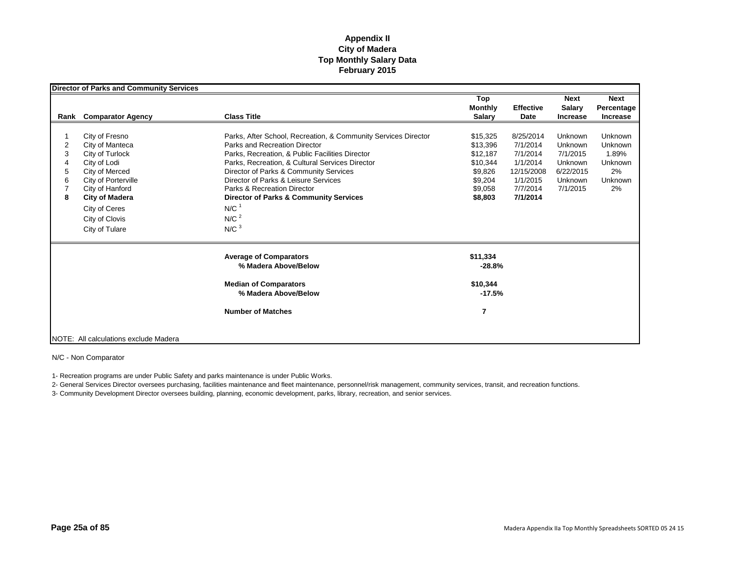|                            | <b>Director of Parks and Community Services</b>                                                                                                                                                                |                                                                                                                                                                                                                                                                                                                                                                                                                                         |                                                                                          |                                                                                                 |                                                                               |                                                               |
|----------------------------|----------------------------------------------------------------------------------------------------------------------------------------------------------------------------------------------------------------|-----------------------------------------------------------------------------------------------------------------------------------------------------------------------------------------------------------------------------------------------------------------------------------------------------------------------------------------------------------------------------------------------------------------------------------------|------------------------------------------------------------------------------------------|-------------------------------------------------------------------------------------------------|-------------------------------------------------------------------------------|---------------------------------------------------------------|
|                            | <b>Rank</b> Comparator Agency                                                                                                                                                                                  | <b>Class Title</b>                                                                                                                                                                                                                                                                                                                                                                                                                      | Top<br><b>Monthly</b><br><b>Salary</b>                                                   | <b>Effective</b><br>Date                                                                        | <b>Next</b><br><b>Salary</b><br><b>Increase</b>                               | <b>Next</b><br>Percentage<br><b>Increase</b>                  |
| 2<br>3<br>4<br>5<br>6<br>8 | City of Fresno<br>City of Manteca<br>City of Turlock<br>City of Lodi<br>City of Merced<br>City of Porterville<br>City of Hanford<br><b>City of Madera</b><br>City of Ceres<br>City of Clovis<br>City of Tulare | Parks, After School, Recreation, & Community Services Director<br>Parks and Recreation Director<br>Parks, Recreation, & Public Facilities Director<br>Parks, Recreation, & Cultural Services Director<br>Director of Parks & Community Services<br>Director of Parks & Leisure Services<br>Parks & Recreation Director<br><b>Director of Parks &amp; Community Services</b><br>N/C <sup>1</sup><br>N/C <sup>2</sup><br>N/C <sup>3</sup> | \$15,325<br>\$13,396<br>\$12,187<br>\$10,344<br>\$9,826<br>\$9,204<br>\$9,058<br>\$8,803 | 8/25/2014<br>7/1/2014<br>7/1/2014<br>1/1/2014<br>12/15/2008<br>1/1/2015<br>7/7/2014<br>7/1/2014 | Unknown<br>Unknown<br>7/1/2015<br>Unknown<br>6/22/2015<br>Unknown<br>7/1/2015 | Unknown<br>Unknown<br>1.89%<br>Unknown<br>2%<br>Unknown<br>2% |
|                            |                                                                                                                                                                                                                | <b>Average of Comparators</b><br>% Madera Above/Below<br><b>Median of Comparators</b><br>% Madera Above/Below<br><b>Number of Matches</b>                                                                                                                                                                                                                                                                                               | \$11,334<br>$-28.8%$<br>\$10,344<br>$-17.5%$<br>7                                        |                                                                                                 |                                                                               |                                                               |
|                            | NOTE: All calculations exclude Madera                                                                                                                                                                          |                                                                                                                                                                                                                                                                                                                                                                                                                                         |                                                                                          |                                                                                                 |                                                                               |                                                               |

N/C - Non Comparator

1- Recreation programs are under Public Safety and parks maintenance is under Public Works.

2- General Services Director oversees purchasing, facilities maintenance and fleet maintenance, personnel/risk management, community services, transit, and recreation functions.

3- Community Development Director oversees building, planning, economic development, parks, library, recreation, and senior services.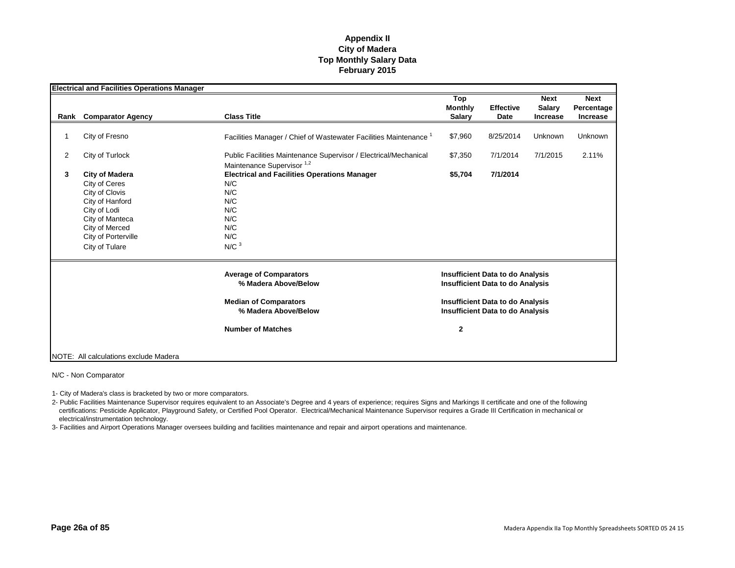|                | <b>Electrical and Facilities Operations Manager</b> |                                                                              |                |                                         |                 |                 |
|----------------|-----------------------------------------------------|------------------------------------------------------------------------------|----------------|-----------------------------------------|-----------------|-----------------|
|                |                                                     |                                                                              | Top            |                                         | <b>Next</b>     | <b>Next</b>     |
|                |                                                     |                                                                              | <b>Monthly</b> | <b>Effective</b>                        | <b>Salary</b>   | Percentage      |
| Rank           | <b>Comparator Agency</b>                            | <b>Class Title</b>                                                           | <b>Salary</b>  | Date                                    | <b>Increase</b> | <b>Increase</b> |
|                |                                                     |                                                                              |                |                                         |                 |                 |
| 1              | City of Fresno                                      | Facilities Manager / Chief of Wastewater Facilities Maintenance <sup>1</sup> | \$7,960        | 8/25/2014                               | Unknown         | Unknown         |
| $\overline{2}$ | City of Turlock                                     | Public Facilities Maintenance Supervisor / Electrical/Mechanical             | \$7,350        | 7/1/2014                                | 7/1/2015        | 2.11%           |
|                |                                                     | Maintenance Supervisor <sup>1,2</sup>                                        |                |                                         |                 |                 |
| 3              | <b>City of Madera</b>                               | <b>Electrical and Facilities Operations Manager</b>                          | \$5,704        | 7/1/2014                                |                 |                 |
|                | City of Ceres                                       | N/C                                                                          |                |                                         |                 |                 |
|                | City of Clovis                                      | N/C                                                                          |                |                                         |                 |                 |
|                | City of Hanford                                     | N/C                                                                          |                |                                         |                 |                 |
|                | City of Lodi                                        | N/C                                                                          |                |                                         |                 |                 |
|                | City of Manteca                                     | N/C                                                                          |                |                                         |                 |                 |
|                | City of Merced                                      | N/C                                                                          |                |                                         |                 |                 |
|                | City of Porterville                                 | N/C                                                                          |                |                                         |                 |                 |
|                | City of Tulare                                      | N/C <sup>3</sup>                                                             |                |                                         |                 |                 |
|                |                                                     | <b>Average of Comparators</b>                                                |                | <b>Insufficient Data to do Analysis</b> |                 |                 |
|                |                                                     | % Madera Above/Below                                                         |                | <b>Insufficient Data to do Analysis</b> |                 |                 |
|                |                                                     | <b>Median of Comparators</b>                                                 |                | <b>Insufficient Data to do Analysis</b> |                 |                 |
|                |                                                     | % Madera Above/Below                                                         |                | <b>Insufficient Data to do Analysis</b> |                 |                 |
|                |                                                     | <b>Number of Matches</b>                                                     | $\mathbf{2}$   |                                         |                 |                 |
|                |                                                     |                                                                              |                |                                         |                 |                 |
|                | NOTE: All calculations exclude Madera               |                                                                              |                |                                         |                 |                 |

N/C - Non Comparator

1- City of Madera's class is bracketed by two or more comparators.

2- Public Facilities Maintenance Supervisor requires equivalent to an Associate's Degree and 4 years of experience; requires Signs and Markings II certificate and one of the following certifications: Pesticide Applicator, Playground Safety, or Certified Pool Operator. Electrical/Mechanical Maintenance Supervisor requires a Grade III Certification in mechanical or electrical/instrumentation technology.

3- Facilities and Airport Operations Manager oversees building and facilities maintenance and repair and airport operations and maintenance.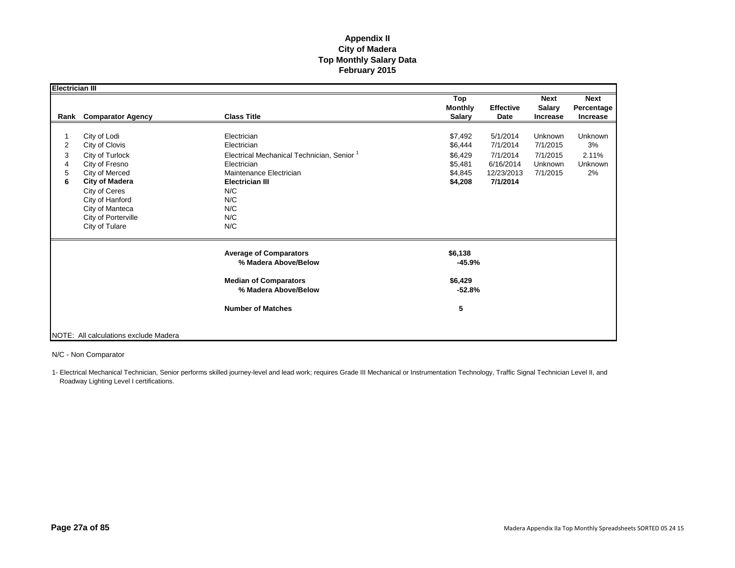| Electrician III       |                                                                                                                                                                                                                |                                                                                                                                                                                            |                                                                |                                                                         |                                                        |                                                |
|-----------------------|----------------------------------------------------------------------------------------------------------------------------------------------------------------------------------------------------------------|--------------------------------------------------------------------------------------------------------------------------------------------------------------------------------------------|----------------------------------------------------------------|-------------------------------------------------------------------------|--------------------------------------------------------|------------------------------------------------|
| Rank                  | <b>Comparator Agency</b>                                                                                                                                                                                       | <b>Class Title</b>                                                                                                                                                                         | Top<br><b>Monthly</b><br><b>Salary</b>                         | <b>Effective</b><br>Date                                                | <b>Next</b><br><b>Salary</b><br><b>Increase</b>        | <b>Next</b><br>Percentage<br><b>Increase</b>   |
| 2<br>3<br>4<br>5<br>6 | City of Lodi<br>City of Clovis<br>City of Turlock<br>City of Fresno<br>City of Merced<br><b>City of Madera</b><br>City of Ceres<br>City of Hanford<br>City of Manteca<br>City of Porterville<br>City of Tulare | Electrician<br>Electrician<br>Electrical Mechanical Technician, Senior <sup>1</sup><br>Electrician<br>Maintenance Electrician<br><b>Electrician III</b><br>N/C<br>N/C<br>N/C<br>N/C<br>N/C | \$7,492<br>\$6,444<br>\$6,429<br>\$5,481<br>\$4,845<br>\$4,208 | 5/1/2014<br>7/1/2014<br>7/1/2014<br>6/16/2014<br>12/23/2013<br>7/1/2014 | Unknown<br>7/1/2015<br>7/1/2015<br>Unknown<br>7/1/2015 | <b>Unknown</b><br>3%<br>2.11%<br>Unknown<br>2% |
|                       |                                                                                                                                                                                                                | <b>Average of Comparators</b><br>% Madera Above/Below                                                                                                                                      | \$6,138<br>$-45.9%$                                            |                                                                         |                                                        |                                                |
|                       |                                                                                                                                                                                                                | <b>Median of Comparators</b><br>% Madera Above/Below                                                                                                                                       | \$6,429<br>$-52.8%$                                            |                                                                         |                                                        |                                                |
|                       |                                                                                                                                                                                                                | <b>Number of Matches</b>                                                                                                                                                                   | 5                                                              |                                                                         |                                                        |                                                |
|                       | NOTE: All calculations exclude Madera                                                                                                                                                                          |                                                                                                                                                                                            |                                                                |                                                                         |                                                        |                                                |

N/C - Non Comparator

1- Electrical Mechanical Technician, Senior performs skilled journey-level and lead work; requires Grade III Mechanical or Instrumentation Technology, Traffic Signal Technician Level II, and Roadway Lighting Level I certifications.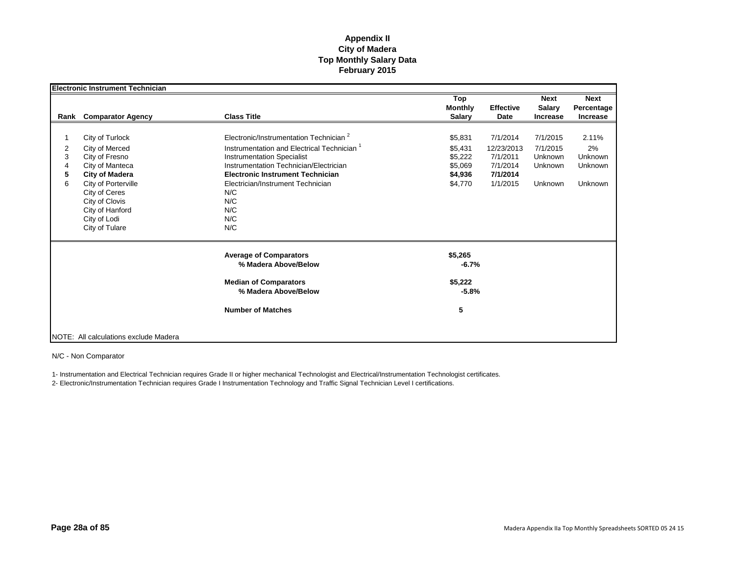|      | <b>Electronic Instrument Technician</b> |                                                        |                                        |                          |                                                 |                                              |
|------|-----------------------------------------|--------------------------------------------------------|----------------------------------------|--------------------------|-------------------------------------------------|----------------------------------------------|
| Rank | <b>Comparator Agency</b>                | <b>Class Title</b>                                     | Top<br><b>Monthly</b><br><b>Salary</b> | <b>Effective</b><br>Date | <b>Next</b><br><b>Salary</b><br><b>Increase</b> | <b>Next</b><br>Percentage<br><b>Increase</b> |
|      |                                         |                                                        |                                        |                          |                                                 |                                              |
|      | City of Turlock                         | Electronic/Instrumentation Technician <sup>2</sup>     | \$5,831                                | 7/1/2014                 | 7/1/2015                                        | 2.11%                                        |
| 2    | City of Merced                          | Instrumentation and Electrical Technician <sup>1</sup> | \$5,431                                | 12/23/2013               | 7/1/2015                                        | 2%                                           |
| 3    | City of Fresno                          | <b>Instrumentation Specialist</b>                      | \$5,222                                | 7/1/2011                 | Unknown                                         | Unknown                                      |
| 4    | City of Manteca                         | Instrumentation Technician/Electrician                 | \$5,069                                | 7/1/2014                 | Unknown                                         | Unknown                                      |
| 5    | <b>City of Madera</b>                   | <b>Electronic Instrument Technician</b>                | \$4,936                                | 7/1/2014                 |                                                 |                                              |
| 6    | City of Porterville                     | Electrician/Instrument Technician                      | \$4,770                                | 1/1/2015                 | Unknown                                         | Unknown                                      |
|      | City of Ceres                           | N/C                                                    |                                        |                          |                                                 |                                              |
|      | City of Clovis                          | N/C                                                    |                                        |                          |                                                 |                                              |
|      | City of Hanford                         | N/C                                                    |                                        |                          |                                                 |                                              |
|      | City of Lodi                            | N/C                                                    |                                        |                          |                                                 |                                              |
|      | City of Tulare                          | N/C                                                    |                                        |                          |                                                 |                                              |
|      |                                         | <b>Average of Comparators</b><br>% Madera Above/Below  | \$5,265<br>$-6.7%$                     |                          |                                                 |                                              |
|      |                                         | <b>Median of Comparators</b>                           | \$5,222                                |                          |                                                 |                                              |
|      |                                         | % Madera Above/Below                                   | $-5.8%$                                |                          |                                                 |                                              |
|      |                                         | <b>Number of Matches</b>                               | 5                                      |                          |                                                 |                                              |
|      | NOTE: All calculations exclude Madera   |                                                        |                                        |                          |                                                 |                                              |

N/C - Non Comparator

1- Instrumentation and Electrical Technician requires Grade II or higher mechanical Technologist and Electrical/Instrumentation Technologist certificates.

2- Electronic/Instrumentation Technician requires Grade I Instrumentation Technology and Traffic Signal Technician Level I certifications.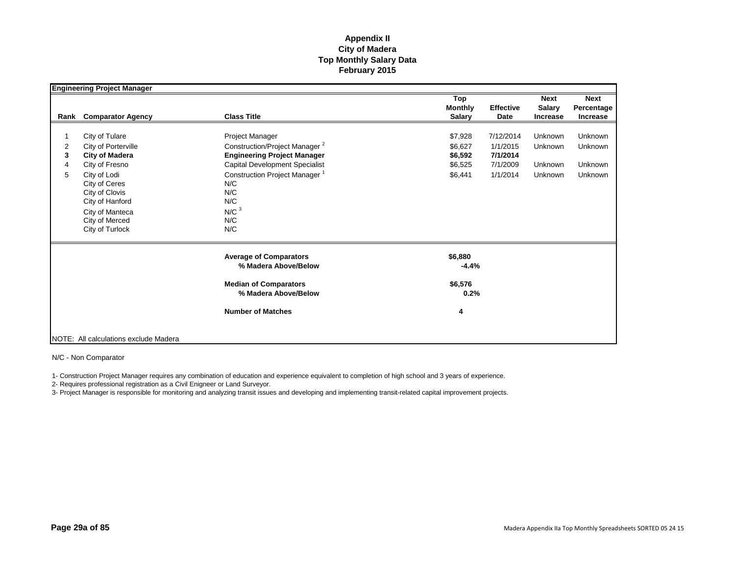|                  | <b>Engineering Project Manager</b>                                                                                                                                                                             |                                                                                                                                                                                                                                                 |                                                                                                                  |                                          |                                                 |
|------------------|----------------------------------------------------------------------------------------------------------------------------------------------------------------------------------------------------------------|-------------------------------------------------------------------------------------------------------------------------------------------------------------------------------------------------------------------------------------------------|------------------------------------------------------------------------------------------------------------------|------------------------------------------|-------------------------------------------------|
| Rank             | <b>Comparator Agency</b>                                                                                                                                                                                       | <b>Class Title</b>                                                                                                                                                                                                                              | Top<br><b>Monthly</b><br><b>Effective</b><br><b>Salary</b><br>Date                                               | <b>Next</b><br>Salary<br><b>Increase</b> | <b>Next</b><br>Percentage<br><b>Increase</b>    |
| 2<br>3<br>4<br>5 | City of Tulare<br>City of Porterville<br><b>City of Madera</b><br>City of Fresno<br>City of Lodi<br>City of Ceres<br>City of Clovis<br>City of Hanford<br>City of Manteca<br>City of Merced<br>City of Turlock | Project Manager<br>Construction/Project Manager <sup>2</sup><br><b>Engineering Project Manager</b><br><b>Capital Development Specialist</b><br>Construction Project Manager <sup>1</sup><br>N/C<br>N/C<br>N/C<br>N/C <sup>3</sup><br>N/C<br>N/C | 7/12/2014<br>\$7,928<br>\$6.627<br>1/1/2015<br>\$6,592<br>7/1/2014<br>7/1/2009<br>\$6,525<br>\$6,441<br>1/1/2014 | Unknown<br>Unknown<br>Unknown<br>Unknown | <b>Unknown</b><br>Unknown<br>Unknown<br>Unknown |
|                  |                                                                                                                                                                                                                | <b>Average of Comparators</b><br>% Madera Above/Below<br><b>Median of Comparators</b><br>% Madera Above/Below                                                                                                                                   | \$6,880<br>$-4.4%$<br>\$6,576<br>0.2%                                                                            |                                          |                                                 |
|                  | NOTE: All calculations exclude Madera                                                                                                                                                                          | <b>Number of Matches</b>                                                                                                                                                                                                                        | 4                                                                                                                |                                          |                                                 |

N/C - Non Comparator

1- Construction Project Manager requires any combination of education and experience equivalent to completion of high school and 3 years of experience.

2- Requires professional registration as a Civil Enigneer or Land Surveyor.

3- Project Manager is responsible for monitoring and analyzing transit issues and developing and implementing transit-related capital improvement projects.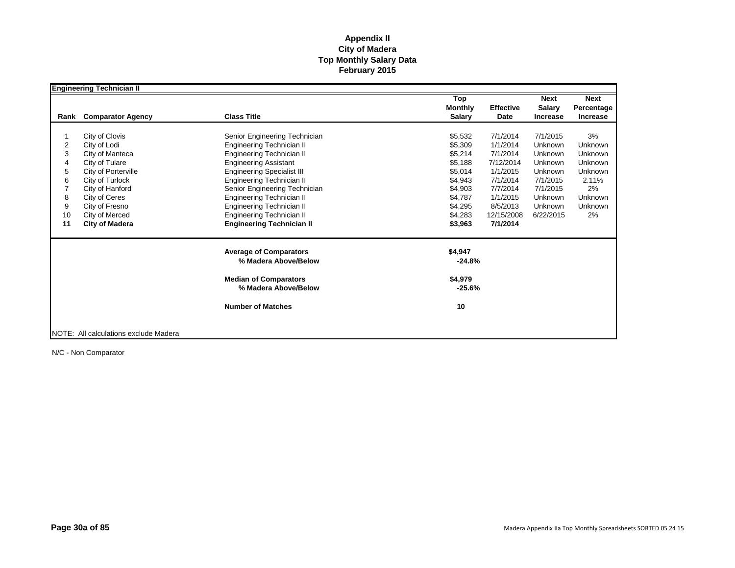|      | <b>Engineering Technician II</b>      |                                                      |                     |                  |                 |                 |
|------|---------------------------------------|------------------------------------------------------|---------------------|------------------|-----------------|-----------------|
|      |                                       |                                                      | Top                 |                  | Next            | <b>Next</b>     |
|      |                                       |                                                      | <b>Monthly</b>      | <b>Effective</b> | <b>Salary</b>   | Percentage      |
| Rank | <b>Comparator Agency</b>              | <b>Class Title</b>                                   | <b>Salary</b>       | Date             | <b>Increase</b> | <b>Increase</b> |
|      |                                       |                                                      |                     |                  |                 |                 |
|      | City of Clovis                        | Senior Engineering Technician                        | \$5,532             | 7/1/2014         | 7/1/2015        | 3%              |
| 2    | City of Lodi                          | Engineering Technician II                            | \$5,309             | 1/1/2014         | Unknown         | Unknown         |
| 3    | City of Manteca                       | Engineering Technician II                            | \$5,214             | 7/1/2014         | Unknown         | Unknown         |
| 4    | City of Tulare                        | <b>Engineering Assistant</b>                         | \$5,188             | 7/12/2014        | Unknown         | Unknown         |
| 5    | City of Porterville                   | <b>Engineering Specialist III</b>                    | \$5,014             | 1/1/2015         | Unknown         | Unknown         |
| 6    | City of Turlock                       | Engineering Technician II                            | \$4,943             | 7/1/2014         | 7/1/2015        | 2.11%           |
|      | City of Hanford                       | Senior Engineering Technician                        | \$4,903             | 7/7/2014         | 7/1/2015        | 2%              |
| 8    | City of Ceres                         | Engineering Technician II                            | \$4,787             | 1/1/2015         | Unknown         | <b>Unknown</b>  |
| 9    | City of Fresno                        | Engineering Technician II                            | \$4,295             | 8/5/2013         | Unknown         | Unknown         |
| 10   | City of Merced                        | Engineering Technician II                            | \$4,283             | 12/15/2008       | 6/22/2015       | 2%              |
| 11   | <b>City of Madera</b>                 | <b>Engineering Technician II</b>                     | \$3,963             | 7/1/2014         |                 |                 |
|      |                                       | <b>Average of Comparators</b>                        | \$4,947             |                  |                 |                 |
|      |                                       | % Madera Above/Below                                 | $-24.8%$            |                  |                 |                 |
|      |                                       | <b>Median of Comparators</b><br>% Madera Above/Below | \$4,979<br>$-25.6%$ |                  |                 |                 |
|      |                                       |                                                      |                     |                  |                 |                 |
|      |                                       | <b>Number of Matches</b>                             | 10                  |                  |                 |                 |
|      |                                       |                                                      |                     |                  |                 |                 |
|      | NOTE: All calculations exclude Madera |                                                      |                     |                  |                 |                 |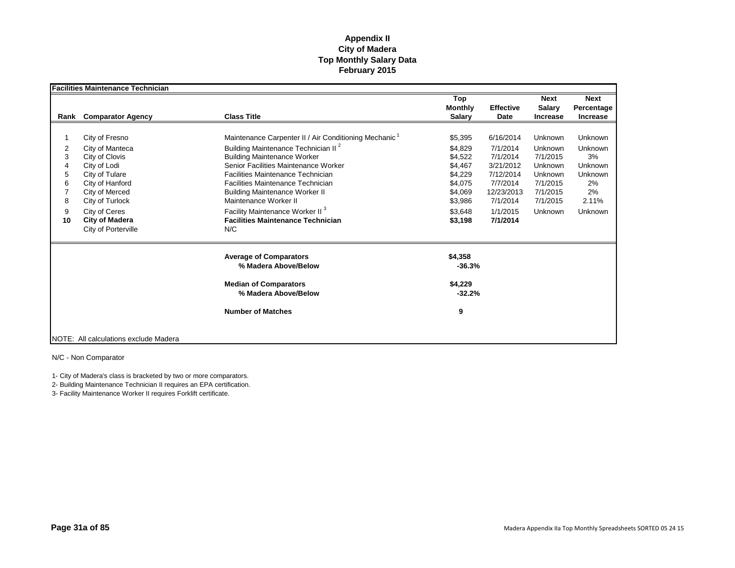|      | <b>Facilities Maintenance Technician</b> |                                                        |                                        |                          |                                          |                                              |
|------|------------------------------------------|--------------------------------------------------------|----------------------------------------|--------------------------|------------------------------------------|----------------------------------------------|
| Rank | <b>Comparator Agency</b>                 | <b>Class Title</b>                                     | Top<br><b>Monthly</b><br><b>Salary</b> | <b>Effective</b><br>Date | <b>Next</b><br>Salary<br><b>Increase</b> | <b>Next</b><br>Percentage<br><b>Increase</b> |
|      |                                          |                                                        |                                        |                          |                                          |                                              |
|      | City of Fresno                           | Maintenance Carpenter II / Air Conditioning Mechanic 1 | \$5,395                                | 6/16/2014                | Unknown                                  | Unknown                                      |
| 2    | City of Manteca                          | Building Maintenance Technician II <sup>2</sup>        | \$4.829                                | 7/1/2014                 | Unknown                                  | Unknown                                      |
| 3    | City of Clovis                           | <b>Building Maintenance Worker</b>                     | \$4,522                                | 7/1/2014                 | 7/1/2015                                 | 3%                                           |
| 4    | City of Lodi                             | Senior Facilities Maintenance Worker                   | \$4,467                                | 3/21/2012                | Unknown                                  | Unknown                                      |
| 5    | City of Tulare                           | Facilities Maintenance Technician                      | \$4,229                                | 7/12/2014                | Unknown                                  | Unknown                                      |
| 6    | City of Hanford                          | Facilities Maintenance Technician                      | \$4,075                                | 7/7/2014                 | 7/1/2015                                 | 2%                                           |
|      | City of Merced                           | <b>Building Maintenance Worker II</b>                  | \$4.069                                | 12/23/2013               | 7/1/2015                                 | 2%                                           |
| 8    | City of Turlock                          | Maintenance Worker II                                  | \$3,986                                | 7/1/2014                 | 7/1/2015                                 | 2.11%                                        |
| 9    | City of Ceres                            | Facility Maintenance Worker II <sup>3</sup>            | \$3,648                                | 1/1/2015                 | Unknown                                  | Unknown                                      |
| 10   | <b>City of Madera</b>                    | <b>Facilities Maintenance Technician</b>               | \$3,198                                | 7/1/2014                 |                                          |                                              |
|      | City of Porterville                      | N/C                                                    |                                        |                          |                                          |                                              |
|      |                                          | <b>Average of Comparators</b><br>% Madera Above/Below  | \$4,358<br>$-36.3%$                    |                          |                                          |                                              |
|      |                                          | <b>Median of Comparators</b><br>% Madera Above/Below   | \$4,229<br>$-32.2%$                    |                          |                                          |                                              |
|      |                                          | <b>Number of Matches</b>                               | 9                                      |                          |                                          |                                              |
|      | NOTE: All calculations exclude Madera    |                                                        |                                        |                          |                                          |                                              |

N/C - Non Comparator

1- City of Madera's class is bracketed by two or more comparators.

2- Building Maintenance Technician II requires an EPA certification.

3- Facility Maintenance Worker II requires Forklift certificate.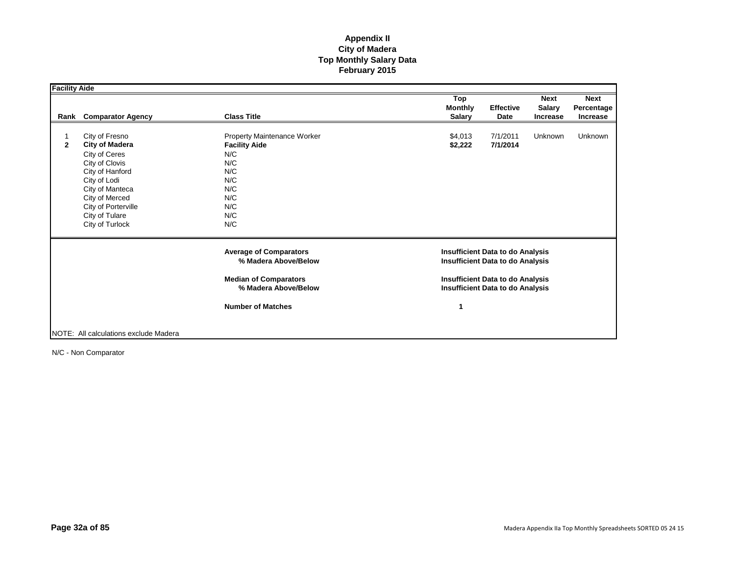| <b>Facility Aide</b> |                                                                                                                                                                                                                |                                                                                                                                           |                                                                                                                                                                          |                          |                                                 |                                              |
|----------------------|----------------------------------------------------------------------------------------------------------------------------------------------------------------------------------------------------------------|-------------------------------------------------------------------------------------------------------------------------------------------|--------------------------------------------------------------------------------------------------------------------------------------------------------------------------|--------------------------|-------------------------------------------------|----------------------------------------------|
| Rank                 | <b>Comparator Agency</b>                                                                                                                                                                                       | <b>Class Title</b>                                                                                                                        | Top<br><b>Monthly</b><br><b>Salary</b>                                                                                                                                   | <b>Effective</b><br>Date | <b>Next</b><br><b>Salary</b><br><b>Increase</b> | <b>Next</b><br>Percentage<br><b>Increase</b> |
| $\mathbf{2}$         | City of Fresno<br><b>City of Madera</b><br>City of Ceres<br>City of Clovis<br>City of Hanford<br>City of Lodi<br>City of Manteca<br>City of Merced<br>City of Porterville<br>City of Tulare<br>City of Turlock | Property Maintenance Worker<br><b>Facility Aide</b><br>N/C<br>N/C<br>N/C<br>N/C<br>N/C<br>N/C<br>N/C<br>N/C<br>N/C                        | \$4.013<br>\$2,222                                                                                                                                                       | 7/1/2011<br>7/1/2014     | Unknown                                         | <b>Unknown</b>                               |
|                      |                                                                                                                                                                                                                | <b>Average of Comparators</b><br>% Madera Above/Below<br><b>Median of Comparators</b><br>% Madera Above/Below<br><b>Number of Matches</b> | <b>Insufficient Data to do Analysis</b><br><b>Insufficient Data to do Analysis</b><br><b>Insufficient Data to do Analysis</b><br><b>Insufficient Data to do Analysis</b> |                          |                                                 |                                              |
|                      | NOTE: All calculations exclude Madera                                                                                                                                                                          |                                                                                                                                           |                                                                                                                                                                          |                          |                                                 |                                              |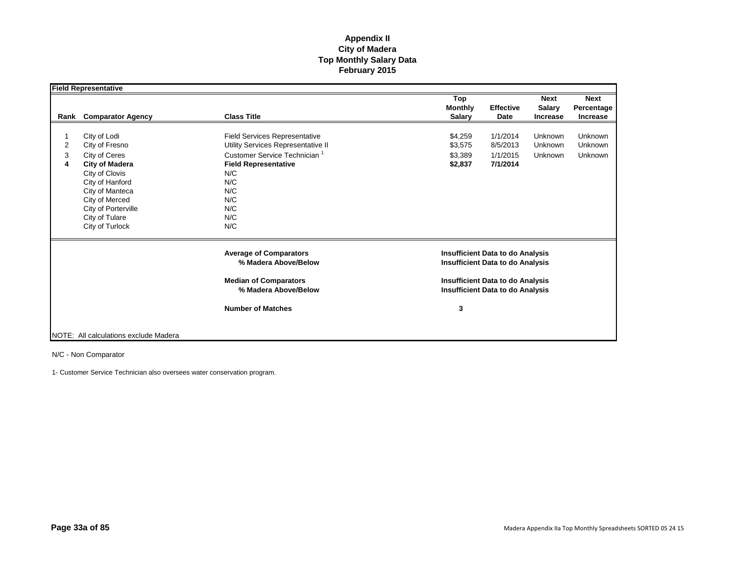|             | <b>Field Representative</b>                                                                                                                                                                                    |                                                                                                                                                                                                        |                                                                                          |                                                                                    |                                              |  |
|-------------|----------------------------------------------------------------------------------------------------------------------------------------------------------------------------------------------------------------|--------------------------------------------------------------------------------------------------------------------------------------------------------------------------------------------------------|------------------------------------------------------------------------------------------|------------------------------------------------------------------------------------|----------------------------------------------|--|
| Rank        | <b>Comparator Agency</b>                                                                                                                                                                                       | <b>Class Title</b>                                                                                                                                                                                     | Top<br><b>Monthly</b><br><b>Effective</b><br><b>Salary</b><br>Date                       | <b>Next</b><br><b>Salary</b><br><b>Increase</b>                                    | <b>Next</b><br>Percentage<br><b>Increase</b> |  |
| 2<br>3<br>4 | City of Lodi<br>City of Fresno<br>City of Ceres<br><b>City of Madera</b><br>City of Clovis<br>City of Hanford<br>City of Manteca<br>City of Merced<br>City of Porterville<br>City of Tulare<br>City of Turlock | <b>Field Services Representative</b><br>Utility Services Representative II<br>Customer Service Technician <sup>1</sup><br><b>Field Representative</b><br>N/C<br>N/C<br>N/C<br>N/C<br>N/C<br>N/C<br>N/C | \$4,259<br>1/1/2014<br>\$3,575<br>8/5/2013<br>\$3,389<br>1/1/2015<br>7/1/2014<br>\$2,837 | <b>Unknown</b><br>Unknown<br><b>Unknown</b>                                        | <b>Unknown</b><br>Unknown<br><b>Unknown</b>  |  |
|             |                                                                                                                                                                                                                | <b>Average of Comparators</b><br>% Madera Above/Below<br><b>Median of Comparators</b>                                                                                                                  | <b>Insufficient Data to do Analysis</b><br><b>Insufficient Data to do Analysis</b>       |                                                                                    |                                              |  |
|             |                                                                                                                                                                                                                | % Madera Above/Below<br><b>Number of Matches</b>                                                                                                                                                       | 3                                                                                        | <b>Insufficient Data to do Analysis</b><br><b>Insufficient Data to do Analysis</b> |                                              |  |
|             | NOTE: All calculations exclude Madera                                                                                                                                                                          |                                                                                                                                                                                                        |                                                                                          |                                                                                    |                                              |  |

N/C - Non Comparator

1- Customer Service Technician also oversees water conservation program.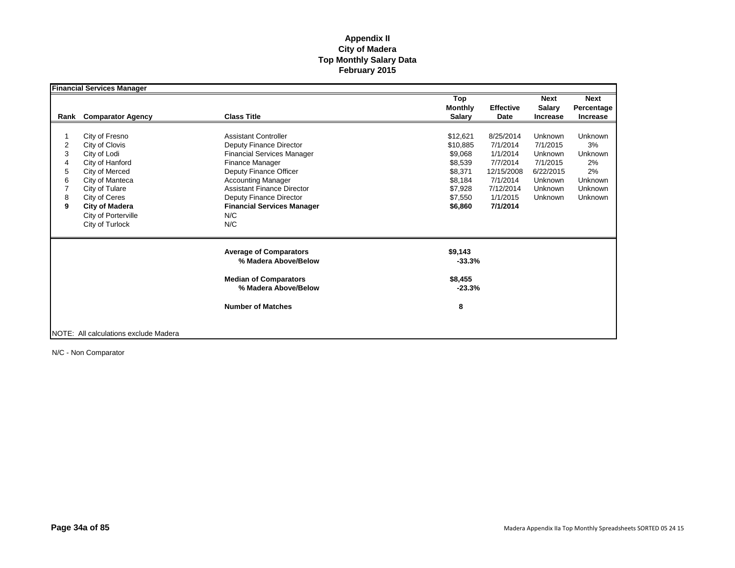|      | <b>Financial Services Manager</b>     |                                   |                |                  |                 |                |
|------|---------------------------------------|-----------------------------------|----------------|------------------|-----------------|----------------|
|      |                                       |                                   | Top            |                  | <b>Next</b>     | <b>Next</b>    |
|      |                                       |                                   | <b>Monthly</b> | <b>Effective</b> | <b>Salary</b>   | Percentage     |
| Rank | <b>Comparator Agency</b>              | <b>Class Title</b>                | <b>Salary</b>  | Date             | <b>Increase</b> | Increase       |
|      |                                       |                                   |                |                  |                 |                |
|      | City of Fresno                        | <b>Assistant Controller</b>       | \$12,621       | 8/25/2014        | Unknown         | <b>Unknown</b> |
| 2    | City of Clovis                        | Deputy Finance Director           | \$10,885       | 7/1/2014         | 7/1/2015        | 3%             |
| 3    | City of Lodi                          | <b>Financial Services Manager</b> | \$9,068        | 1/1/2014         | Unknown         | Unknown        |
| 4    | City of Hanford                       | Finance Manager                   | \$8,539        | 7/7/2014         | 7/1/2015        | 2%             |
| 5    | City of Merced                        | Deputy Finance Officer            | \$8,371        | 12/15/2008       | 6/22/2015       | 2%             |
| 6    | City of Manteca                       | <b>Accounting Manager</b>         | \$8,184        | 7/1/2014         | Unknown         | Unknown        |
|      | City of Tulare                        | <b>Assistant Finance Director</b> | \$7,928        | 7/12/2014        | <b>Unknown</b>  | Unknown        |
| 8    | City of Ceres                         | Deputy Finance Director           | \$7.550        | 1/1/2015         | Unknown         | Unknown        |
| 9    | <b>City of Madera</b>                 | <b>Financial Services Manager</b> | \$6,860        | 7/1/2014         |                 |                |
|      | City of Porterville                   | N/C                               |                |                  |                 |                |
|      | City of Turlock                       | N/C                               |                |                  |                 |                |
|      |                                       |                                   |                |                  |                 |                |
|      |                                       | <b>Average of Comparators</b>     | \$9,143        |                  |                 |                |
|      |                                       | % Madera Above/Below              | $-33.3%$       |                  |                 |                |
|      |                                       |                                   |                |                  |                 |                |
|      |                                       | <b>Median of Comparators</b>      | \$8,455        |                  |                 |                |
|      |                                       | % Madera Above/Below              | $-23.3%$       |                  |                 |                |
|      |                                       | <b>Number of Matches</b>          | 8              |                  |                 |                |
|      |                                       |                                   |                |                  |                 |                |
|      |                                       |                                   |                |                  |                 |                |
|      | NOTE: All calculations exclude Madera |                                   |                |                  |                 |                |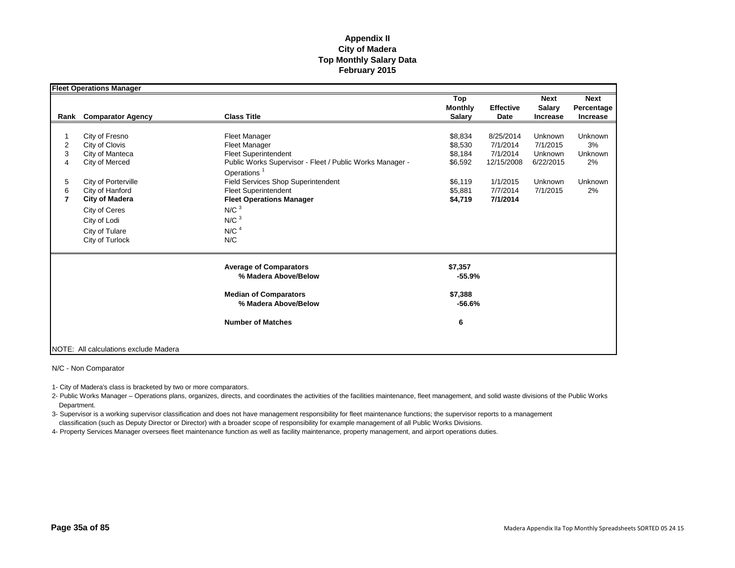|                | <b>Fleet Operations Manager</b>       |                                                          |                |                  |                 |                |
|----------------|---------------------------------------|----------------------------------------------------------|----------------|------------------|-----------------|----------------|
|                |                                       |                                                          | Top            |                  | <b>Next</b>     | <b>Next</b>    |
|                |                                       |                                                          | <b>Monthly</b> | <b>Effective</b> | <b>Salary</b>   | Percentage     |
| Rank           | <b>Comparator Agency</b>              | <b>Class Title</b>                                       | <b>Salary</b>  | Date             | <b>Increase</b> | Increase       |
|                |                                       |                                                          |                |                  |                 |                |
|                | City of Fresno                        | Fleet Manager                                            | \$8,834        | 8/25/2014        | Unknown         | Unknown        |
| 2              | City of Clovis                        | <b>Fleet Manager</b>                                     | \$8,530        | 7/1/2014         | 7/1/2015        | 3%             |
| 3              | City of Manteca                       | <b>Fleet Superintendent</b>                              | \$8,184        | 7/1/2014         | Unknown         | Unknown        |
| 4              | City of Merced                        | Public Works Supervisor - Fleet / Public Works Manager - | \$6,592        | 12/15/2008       | 6/22/2015       | 2%             |
|                |                                       | Operations <sup>1</sup>                                  |                |                  |                 |                |
| 5              | City of Porterville                   | <b>Field Services Shop Superintendent</b>                | \$6,119        | 1/1/2015         | Unknown         | <b>Unknown</b> |
| 6              | City of Hanford                       | Fleet Superintendent                                     | \$5,881        | 7/7/2014         | 7/1/2015        | 2%             |
| $\overline{7}$ | <b>City of Madera</b>                 | <b>Fleet Operations Manager</b>                          | \$4,719        | 7/1/2014         |                 |                |
|                | City of Ceres                         | N/C <sup>3</sup>                                         |                |                  |                 |                |
|                | City of Lodi                          | N/C <sup>3</sup>                                         |                |                  |                 |                |
|                | City of Tulare                        | N/C <sup>4</sup>                                         |                |                  |                 |                |
|                | City of Turlock                       | N/C                                                      |                |                  |                 |                |
|                |                                       |                                                          |                |                  |                 |                |
|                |                                       | <b>Average of Comparators</b>                            | \$7,357        |                  |                 |                |
|                |                                       | % Madera Above/Below                                     | $-55.9%$       |                  |                 |                |
|                |                                       | <b>Median of Comparators</b>                             | \$7,388        |                  |                 |                |
|                |                                       | % Madera Above/Below                                     | $-56.6%$       |                  |                 |                |
|                |                                       | <b>Number of Matches</b>                                 | 6              |                  |                 |                |
|                |                                       |                                                          |                |                  |                 |                |
|                | NOTE: All calculations exclude Madera |                                                          |                |                  |                 |                |

N/C - Non Comparator

1- City of Madera's class is bracketed by two or more comparators.

2- Public Works Manager – Operations plans, organizes, directs, and coordinates the activities of the facilities maintenance, fleet management, and solid waste divisions of the Public Works Department.

3- Supervisor is a working supervisor classification and does not have management responsibility for fleet maintenance functions; the supervisor reports to a management classification (such as Deputy Director or Director) with a broader scope of responsibility for example management of all Public Works Divisions.

4- Property Services Manager oversees fleet maintenance function as well as facility maintenance, property management, and airport operations duties.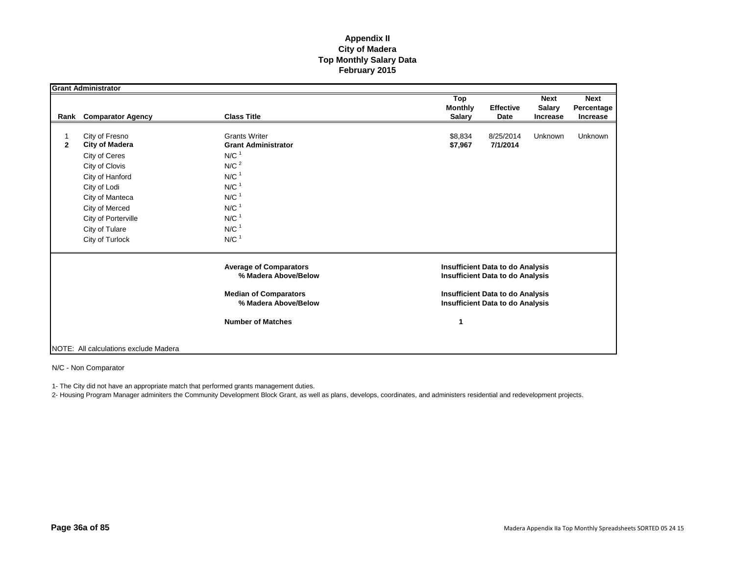|              | <b>Grant Administrator</b>              |                                                    |                                             |                 |                 |
|--------------|-----------------------------------------|----------------------------------------------------|---------------------------------------------|-----------------|-----------------|
|              |                                         |                                                    | Top                                         | <b>Next</b>     | <b>Next</b>     |
|              |                                         |                                                    | <b>Monthly</b><br><b>Effective</b>          | <b>Salary</b>   | Percentage      |
| Rank         | <b>Comparator Agency</b>                | <b>Class Title</b>                                 | <b>Salary</b><br>Date                       | <b>Increase</b> | <b>Increase</b> |
|              |                                         |                                                    |                                             |                 |                 |
| $\mathbf{2}$ | City of Fresno<br><b>City of Madera</b> | <b>Grants Writer</b><br><b>Grant Administrator</b> | \$8,834<br>8/25/2014<br>7/1/2014<br>\$7,967 | Unknown         | <b>Unknown</b>  |
|              |                                         | $N/C$ <sup>1</sup>                                 |                                             |                 |                 |
|              | City of Ceres                           |                                                    |                                             |                 |                 |
|              | City of Clovis                          | N/C <sup>2</sup>                                   |                                             |                 |                 |
|              | City of Hanford                         | $N/C$ <sup>1</sup>                                 |                                             |                 |                 |
|              | City of Lodi                            | $N/C$ <sup>1</sup>                                 |                                             |                 |                 |
|              | City of Manteca                         | $N/C$ <sup>1</sup>                                 |                                             |                 |                 |
|              | City of Merced                          | $N/C$ <sup>1</sup>                                 |                                             |                 |                 |
|              | City of Porterville                     | $N/C$ <sup>1</sup>                                 |                                             |                 |                 |
|              | City of Tulare                          | $N/C$ <sup>1</sup>                                 |                                             |                 |                 |
|              | City of Turlock                         | $N/C$ <sup>1</sup>                                 |                                             |                 |                 |
|              |                                         | <b>Average of Comparators</b>                      | <b>Insufficient Data to do Analysis</b>     |                 |                 |
|              |                                         | % Madera Above/Below                               | <b>Insufficient Data to do Analysis</b>     |                 |                 |
|              |                                         | <b>Median of Comparators</b>                       | <b>Insufficient Data to do Analysis</b>     |                 |                 |
|              |                                         | % Madera Above/Below                               | <b>Insufficient Data to do Analysis</b>     |                 |                 |
|              |                                         | <b>Number of Matches</b>                           | 1                                           |                 |                 |
|              |                                         |                                                    |                                             |                 |                 |
|              | NOTE: All calculations exclude Madera   |                                                    |                                             |                 |                 |

N/C - Non Comparator

1- The City did not have an appropriate match that performed grants management duties.

2- Housing Program Manager adminiters the Community Development Block Grant, as well as plans, develops, coordinates, and administers residential and redevelopment projects.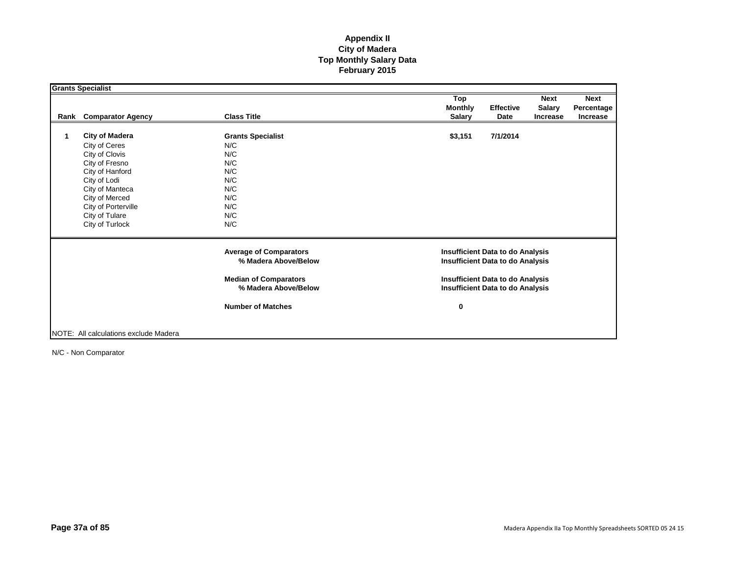|      | <b>Grants Specialist</b>              |                                                       |                                                                                    |                  |                 |                 |
|------|---------------------------------------|-------------------------------------------------------|------------------------------------------------------------------------------------|------------------|-----------------|-----------------|
|      |                                       |                                                       | Top                                                                                |                  | <b>Next</b>     | <b>Next</b>     |
|      |                                       |                                                       | <b>Monthly</b>                                                                     | <b>Effective</b> | <b>Salary</b>   | Percentage      |
| Rank | <b>Comparator Agency</b>              | <b>Class Title</b>                                    | <b>Salary</b>                                                                      | Date             | <b>Increase</b> | <b>Increase</b> |
|      |                                       |                                                       |                                                                                    |                  |                 |                 |
|      | <b>City of Madera</b>                 | <b>Grants Specialist</b>                              | \$3,151                                                                            | 7/1/2014         |                 |                 |
|      | City of Ceres                         | N/C                                                   |                                                                                    |                  |                 |                 |
|      | City of Clovis                        | N/C                                                   |                                                                                    |                  |                 |                 |
|      | City of Fresno                        | N/C                                                   |                                                                                    |                  |                 |                 |
|      | City of Hanford                       | N/C                                                   |                                                                                    |                  |                 |                 |
|      | City of Lodi                          | N/C                                                   |                                                                                    |                  |                 |                 |
|      | City of Manteca                       | N/C                                                   |                                                                                    |                  |                 |                 |
|      | City of Merced                        | N/C                                                   |                                                                                    |                  |                 |                 |
|      | City of Porterville                   | N/C                                                   |                                                                                    |                  |                 |                 |
|      | City of Tulare                        | N/C                                                   |                                                                                    |                  |                 |                 |
|      | City of Turlock                       | N/C                                                   |                                                                                    |                  |                 |                 |
|      |                                       | <b>Average of Comparators</b><br>% Madera Above/Below | <b>Insufficient Data to do Analysis</b><br><b>Insufficient Data to do Analysis</b> |                  |                 |                 |
|      |                                       |                                                       |                                                                                    |                  |                 |                 |
|      |                                       | <b>Median of Comparators</b><br>% Madera Above/Below  | <b>Insufficient Data to do Analysis</b><br><b>Insufficient Data to do Analysis</b> |                  |                 |                 |
|      |                                       |                                                       |                                                                                    |                  |                 |                 |
|      |                                       | <b>Number of Matches</b>                              | 0                                                                                  |                  |                 |                 |
|      |                                       |                                                       |                                                                                    |                  |                 |                 |
|      |                                       |                                                       |                                                                                    |                  |                 |                 |
|      | NOTE: All calculations exclude Madera |                                                       |                                                                                    |                  |                 |                 |

N/C - Non Comparator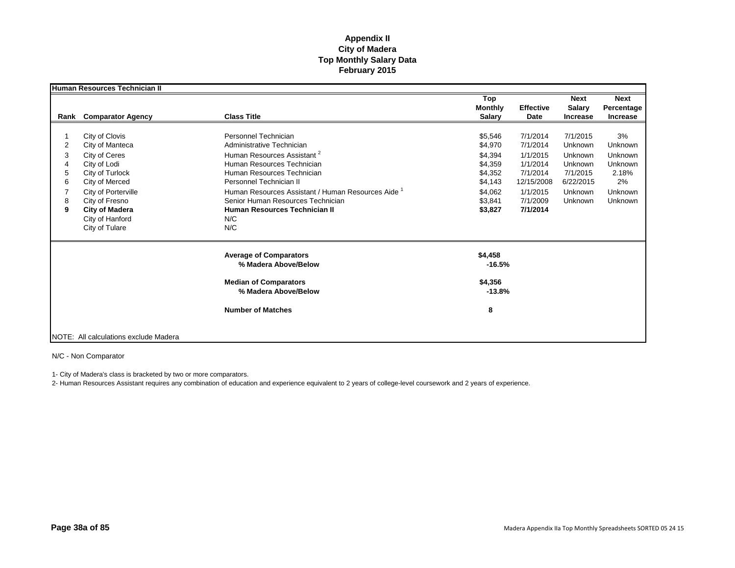|                            | Human Resources Technician II                                                                                                                                                                                  |                                                                                                                                                                                                                                                                                                                                         |                                                                                                 |                                                                                                            |                                                                                          |                                                                                        |
|----------------------------|----------------------------------------------------------------------------------------------------------------------------------------------------------------------------------------------------------------|-----------------------------------------------------------------------------------------------------------------------------------------------------------------------------------------------------------------------------------------------------------------------------------------------------------------------------------------|-------------------------------------------------------------------------------------------------|------------------------------------------------------------------------------------------------------------|------------------------------------------------------------------------------------------|----------------------------------------------------------------------------------------|
|                            | <b>Rank</b> Comparator Agency                                                                                                                                                                                  | <b>Class Title</b>                                                                                                                                                                                                                                                                                                                      | Top<br><b>Monthly</b><br><b>Salary</b>                                                          | <b>Effective</b><br>Date                                                                                   | <b>Next</b><br><b>Salary</b><br><b>Increase</b>                                          | <b>Next</b><br>Percentage<br>Increase                                                  |
| 2<br>3<br>5<br>6<br>8<br>9 | City of Clovis<br>City of Manteca<br>City of Ceres<br>City of Lodi<br>City of Turlock<br>City of Merced<br>City of Porterville<br>City of Fresno<br><b>City of Madera</b><br>City of Hanford<br>City of Tulare | Personnel Technician<br>Administrative Technician<br>Human Resources Assistant <sup>2</sup><br>Human Resources Technician<br>Human Resources Technician<br>Personnel Technician II<br>Human Resources Assistant / Human Resources Aide <sup>1</sup><br>Senior Human Resources Technician<br>Human Resources Technician II<br>N/C<br>N/C | \$5,546<br>\$4,970<br>\$4,394<br>\$4,359<br>\$4,352<br>\$4,143<br>\$4,062<br>\$3,841<br>\$3,827 | 7/1/2014<br>7/1/2014<br>1/1/2015<br>1/1/2014<br>7/1/2014<br>12/15/2008<br>1/1/2015<br>7/1/2009<br>7/1/2014 | 7/1/2015<br>Unknown<br>Unknown<br>Unknown<br>7/1/2015<br>6/22/2015<br>Unknown<br>Unknown | 3%<br>Unknown<br>Unknown<br><b>Unknown</b><br>2.18%<br>2%<br><b>Unknown</b><br>Unknown |
|                            |                                                                                                                                                                                                                | <b>Average of Comparators</b><br>% Madera Above/Below<br><b>Median of Comparators</b>                                                                                                                                                                                                                                                   | \$4,458<br>$-16.5%$<br>\$4,356                                                                  |                                                                                                            |                                                                                          |                                                                                        |
|                            |                                                                                                                                                                                                                | % Madera Above/Below<br><b>Number of Matches</b>                                                                                                                                                                                                                                                                                        | $-13.8%$<br>8                                                                                   |                                                                                                            |                                                                                          |                                                                                        |
|                            | NOTE: All calculations exclude Madera                                                                                                                                                                          |                                                                                                                                                                                                                                                                                                                                         |                                                                                                 |                                                                                                            |                                                                                          |                                                                                        |

N/C - Non Comparator

1- City of Madera's class is bracketed by two or more comparators.

2- Human Resources Assistant requires any combination of education and experience equivalent to 2 years of college-level coursework and 2 years of experience.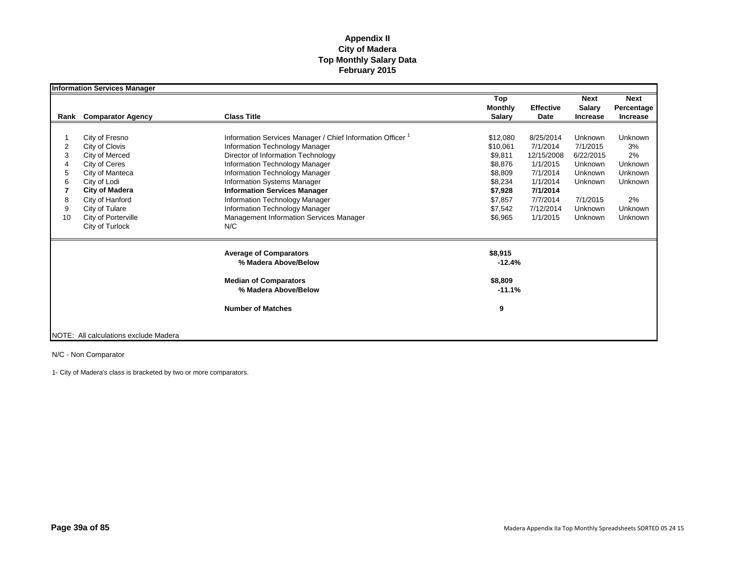|      | <b>Information Services Manager</b>   |                                                          |                                        |                          |                                                 |                                              |
|------|---------------------------------------|----------------------------------------------------------|----------------------------------------|--------------------------|-------------------------------------------------|----------------------------------------------|
| Rank | <b>Comparator Agency</b>              | <b>Class Title</b>                                       | Top<br><b>Monthly</b><br><b>Salary</b> | <b>Effective</b><br>Date | <b>Next</b><br><b>Salary</b><br><b>Increase</b> | <b>Next</b><br>Percentage<br><b>Increase</b> |
|      |                                       |                                                          |                                        |                          |                                                 |                                              |
|      | City of Fresno                        | Information Services Manager / Chief Information Officer | \$12,080                               | 8/25/2014                | Unknown                                         | Unknown                                      |
| 2    | City of Clovis                        | Information Technology Manager                           | \$10,061                               | 7/1/2014                 | 7/1/2015                                        | 3%                                           |
| 3    | City of Merced                        | Director of Information Technology                       | \$9,811                                | 12/15/2008               | 6/22/2015                                       | 2%                                           |
|      | City of Ceres                         | Information Technology Manager                           | \$8,876                                | 1/1/2015                 | Unknown                                         | <b>Unknown</b>                               |
|      | City of Manteca                       | Information Technology Manager                           | \$8,809                                | 7/1/2014                 | Unknown                                         | <b>Unknown</b>                               |
|      | City of Lodi                          | <b>Information Systems Manager</b>                       | \$8,234                                | 1/1/2014                 | Unknown                                         | Unknown                                      |
|      | <b>City of Madera</b>                 | <b>Information Services Manager</b>                      | \$7,928                                | 7/1/2014                 |                                                 |                                              |
| 8    | City of Hanford                       | Information Technology Manager                           | \$7,857                                | 7/7/2014                 | 7/1/2015                                        | 2%                                           |
| 9    | City of Tulare                        | Information Technology Manager                           | \$7,542                                | 7/12/2014                | Unknown                                         | <b>Unknown</b>                               |
| 10   | City of Porterville                   | Management Information Services Manager                  | \$6,965                                | 1/1/2015                 | Unknown                                         | Unknown                                      |
|      | City of Turlock                       | N/C                                                      |                                        |                          |                                                 |                                              |
|      |                                       | <b>Average of Comparators</b>                            | \$8,915                                |                          |                                                 |                                              |
|      |                                       | % Madera Above/Below                                     | $-12.4%$                               |                          |                                                 |                                              |
|      |                                       | <b>Median of Comparators</b>                             | \$8,809                                |                          |                                                 |                                              |
|      |                                       | % Madera Above/Below                                     | $-11.1%$                               |                          |                                                 |                                              |
|      |                                       | <b>Number of Matches</b>                                 | 9                                      |                          |                                                 |                                              |
|      | NOTE: All calculations exclude Madera |                                                          |                                        |                          |                                                 |                                              |

N/C - Non Comparator

1- City of Madera's class is bracketed by two or more comparators.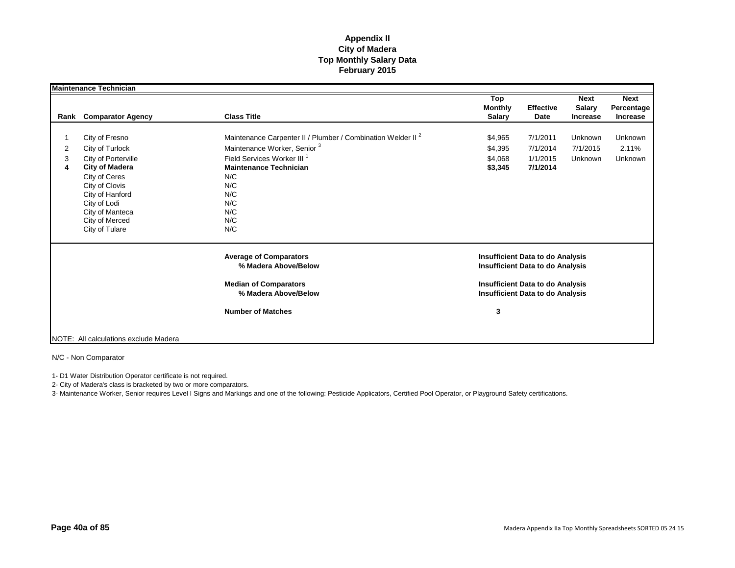|             | <b>Maintenance Technician</b>                                                                                                                                                                                  |                                                                                                                                                                                                                                                |                                          |                                                                                                                                                                          |                                                 |                                       |
|-------------|----------------------------------------------------------------------------------------------------------------------------------------------------------------------------------------------------------------|------------------------------------------------------------------------------------------------------------------------------------------------------------------------------------------------------------------------------------------------|------------------------------------------|--------------------------------------------------------------------------------------------------------------------------------------------------------------------------|-------------------------------------------------|---------------------------------------|
|             | Rank Comparator Agency                                                                                                                                                                                         | <b>Class Title</b>                                                                                                                                                                                                                             | Top<br><b>Monthly</b><br><b>Salary</b>   | <b>Effective</b><br>Date                                                                                                                                                 | <b>Next</b><br><b>Salary</b><br><b>Increase</b> | <b>Next</b><br>Percentage<br>Increase |
| 2<br>3<br>4 | City of Fresno<br>City of Turlock<br>City of Porterville<br><b>City of Madera</b><br>City of Ceres<br>City of Clovis<br>City of Hanford<br>City of Lodi<br>City of Manteca<br>City of Merced<br>City of Tulare | Maintenance Carpenter II / Plumber / Combination Welder II <sup>2</sup><br>Maintenance Worker, Senior <sup>3</sup><br>Field Services Worker III <sup>1</sup><br><b>Maintenance Technician</b><br>N/C<br>N/C<br>N/C<br>N/C<br>N/C<br>N/C<br>N/C | \$4,965<br>\$4,395<br>\$4,068<br>\$3,345 | 7/1/2011<br>7/1/2014<br>1/1/2015<br>7/1/2014                                                                                                                             | Unknown<br>7/1/2015<br>Unknown                  | Unknown<br>2.11%<br>Unknown           |
|             |                                                                                                                                                                                                                | <b>Average of Comparators</b><br>% Madera Above/Below<br><b>Median of Comparators</b><br>% Madera Above/Below<br><b>Number of Matches</b>                                                                                                      | 3                                        | <b>Insufficient Data to do Analysis</b><br><b>Insufficient Data to do Analysis</b><br><b>Insufficient Data to do Analysis</b><br><b>Insufficient Data to do Analysis</b> |                                                 |                                       |
|             | NOTE: All calculations exclude Madera                                                                                                                                                                          |                                                                                                                                                                                                                                                |                                          |                                                                                                                                                                          |                                                 |                                       |

N/C - Non Comparator

1- D1 Water Distribution Operator certificate is not required.

2- City of Madera's class is bracketed by two or more comparators.

3- Maintenance Worker, Senior requires Level I Signs and Markings and one of the following: Pesticide Applicators, Certified Pool Operator, or Playground Safety certifications.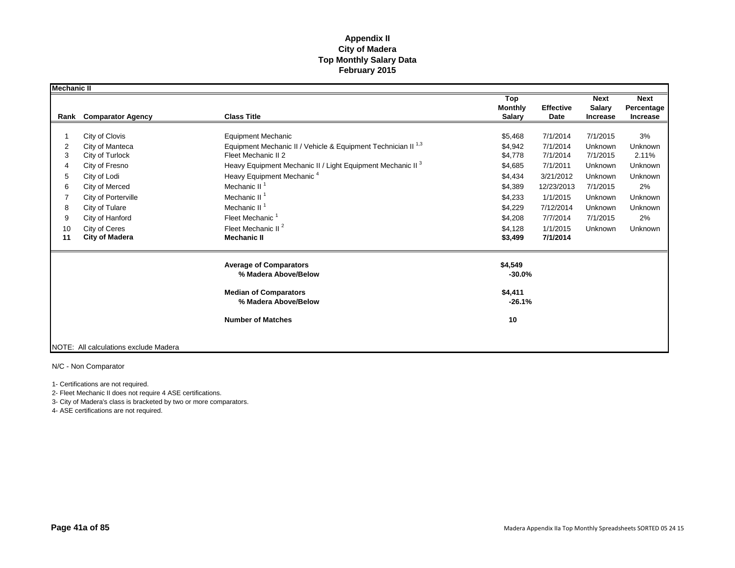| <b>Mechanic II</b> |                                       |                                                                          |                                        |                          |                                                 |                                       |
|--------------------|---------------------------------------|--------------------------------------------------------------------------|----------------------------------------|--------------------------|-------------------------------------------------|---------------------------------------|
| Rank               | <b>Comparator Agency</b>              | <b>Class Title</b>                                                       | Top<br><b>Monthly</b><br><b>Salary</b> | <b>Effective</b><br>Date | <b>Next</b><br><b>Salary</b><br><b>Increase</b> | <b>Next</b><br>Percentage<br>Increase |
|                    |                                       |                                                                          |                                        |                          |                                                 |                                       |
|                    | City of Clovis                        | <b>Equipment Mechanic</b>                                                | \$5,468                                | 7/1/2014                 | 7/1/2015                                        | 3%                                    |
| 2                  | City of Manteca                       | Equipment Mechanic II / Vehicle & Equipment Technician II <sup>1,3</sup> | \$4,942                                | 7/1/2014                 | Unknown                                         | Unknown                               |
| 3                  | City of Turlock                       | Fleet Mechanic II 2                                                      | \$4,778                                | 7/1/2014                 | 7/1/2015                                        | 2.11%                                 |
|                    | City of Fresno                        | Heavy Equipment Mechanic II / Light Equipment Mechanic II <sup>3</sup>   | \$4,685                                | 7/1/2011                 | Unknown                                         | Unknown                               |
| 5                  | City of Lodi                          | Heavy Equipment Mechanic <sup>4</sup>                                    | \$4,434                                | 3/21/2012                | Unknown                                         | Unknown                               |
| 6                  | City of Merced                        | Mechanic II <sup>1</sup>                                                 | \$4,389                                | 12/23/2013               | 7/1/2015                                        | 2%                                    |
|                    | City of Porterville                   | Mechanic II <sup>1</sup>                                                 | \$4,233                                | 1/1/2015                 | Unknown                                         | Unknown                               |
| 8                  | City of Tulare                        | Mechanic II <sup>1</sup>                                                 | \$4,229                                | 7/12/2014                | Unknown                                         | Unknown                               |
| 9                  | City of Hanford                       | Fleet Mechanic                                                           | \$4,208                                | 7/7/2014                 | 7/1/2015                                        | 2%                                    |
| 10                 | City of Ceres                         | Fleet Mechanic II <sup>2</sup>                                           | \$4,128                                | 1/1/2015                 | Unknown                                         | Unknown                               |
| 11                 | <b>City of Madera</b>                 | <b>Mechanic II</b>                                                       | \$3,499                                | 7/1/2014                 |                                                 |                                       |
|                    |                                       | <b>Average of Comparators</b><br>% Madera Above/Below                    | \$4,549<br>$-30.0%$                    |                          |                                                 |                                       |
|                    |                                       | <b>Median of Comparators</b><br>% Madera Above/Below                     | \$4,411<br>$-26.1%$                    |                          |                                                 |                                       |
|                    |                                       | <b>Number of Matches</b>                                                 | 10                                     |                          |                                                 |                                       |
|                    | NOTE: All calculations exclude Madera |                                                                          |                                        |                          |                                                 |                                       |

N/C - Non Comparator

1- Certifications are not required.

2- Fleet Mechanic II does not require 4 ASE certifications.

3- City of Madera's class is bracketed by two or more comparators.

4- ASE certifications are not required.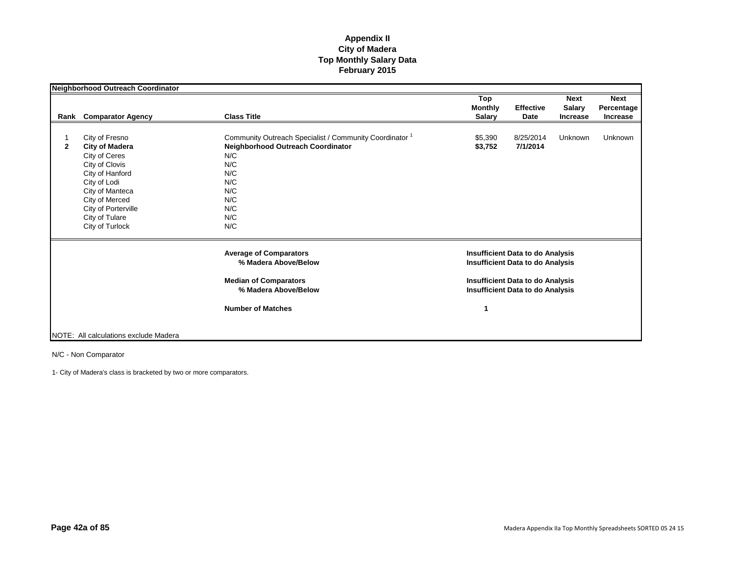|                | Neighborhood Outreach Coordinator                                                                                                                                                                              |                                                                                                                                                                               |                                        |                                                                                                                                                                          |                                                 |                                              |
|----------------|----------------------------------------------------------------------------------------------------------------------------------------------------------------------------------------------------------------|-------------------------------------------------------------------------------------------------------------------------------------------------------------------------------|----------------------------------------|--------------------------------------------------------------------------------------------------------------------------------------------------------------------------|-------------------------------------------------|----------------------------------------------|
| Rank           | <b>Comparator Agency</b>                                                                                                                                                                                       | <b>Class Title</b>                                                                                                                                                            | Top<br><b>Monthly</b><br><b>Salary</b> | <b>Effective</b><br>Date                                                                                                                                                 | <b>Next</b><br><b>Salary</b><br><b>Increase</b> | <b>Next</b><br>Percentage<br><b>Increase</b> |
| $\overline{2}$ | City of Fresno<br><b>City of Madera</b><br>City of Ceres<br>City of Clovis<br>City of Hanford<br>City of Lodi<br>City of Manteca<br>City of Merced<br>City of Porterville<br>City of Tulare<br>City of Turlock | Community Outreach Specialist / Community Coordinator <sup>1</sup><br><b>Neighborhood Outreach Coordinator</b><br>N/C<br>N/C<br>N/C<br>N/C<br>N/C<br>N/C<br>N/C<br>N/C<br>N/C | \$5,390<br>\$3,752                     | 8/25/2014<br>7/1/2014                                                                                                                                                    | Unknown                                         | Unknown                                      |
|                |                                                                                                                                                                                                                | <b>Average of Comparators</b><br>% Madera Above/Below<br><b>Median of Comparators</b><br>% Madera Above/Below                                                                 |                                        | <b>Insufficient Data to do Analysis</b><br><b>Insufficient Data to do Analysis</b><br><b>Insufficient Data to do Analysis</b><br><b>Insufficient Data to do Analysis</b> |                                                 |                                              |
|                | NOTE: All calculations exclude Madera                                                                                                                                                                          | <b>Number of Matches</b>                                                                                                                                                      | 1                                      |                                                                                                                                                                          |                                                 |                                              |

N/C - Non Comparator

1- City of Madera's class is bracketed by two or more comparators.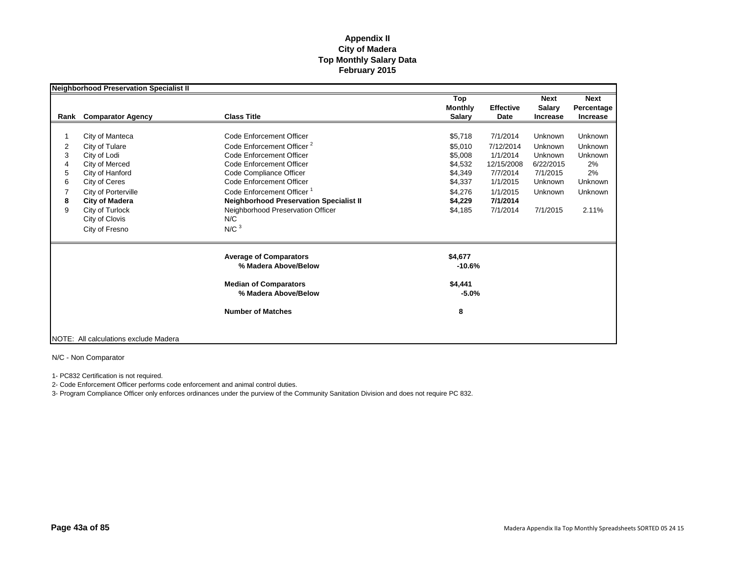|                                 | <b>Neighborhood Preservation Specialist II</b>                                                                                                                                                                 |                                                                                                                                                                                                                                                                                                                                             |                                                                                                 |                                                                                                             |                                                                                          |                                                                                        |
|---------------------------------|----------------------------------------------------------------------------------------------------------------------------------------------------------------------------------------------------------------|---------------------------------------------------------------------------------------------------------------------------------------------------------------------------------------------------------------------------------------------------------------------------------------------------------------------------------------------|-------------------------------------------------------------------------------------------------|-------------------------------------------------------------------------------------------------------------|------------------------------------------------------------------------------------------|----------------------------------------------------------------------------------------|
| Rank                            | <b>Comparator Agency</b>                                                                                                                                                                                       | <b>Class Title</b>                                                                                                                                                                                                                                                                                                                          | Top<br><b>Monthly</b><br><b>Salary</b>                                                          | <b>Effective</b><br>Date                                                                                    | <b>Next</b><br>Salary<br><b>Increase</b>                                                 | <b>Next</b><br>Percentage<br><b>Increase</b>                                           |
| 2<br>3<br>4<br>5<br>6<br>8<br>9 | City of Manteca<br>City of Tulare<br>City of Lodi<br>City of Merced<br>City of Hanford<br>City of Ceres<br>City of Porterville<br><b>City of Madera</b><br>City of Turlock<br>City of Clovis<br>City of Fresno | Code Enforcement Officer<br>Code Enforcement Officer <sup>2</sup><br>Code Enforcement Officer<br>Code Enforcement Officer<br>Code Compliance Officer<br>Code Enforcement Officer<br>Code Enforcement Officer <sup>1</sup><br><b>Neighborhood Preservation Specialist II</b><br>Neighborhood Preservation Officer<br>N/C<br>N/C <sup>3</sup> | \$5,718<br>\$5.010<br>\$5,008<br>\$4,532<br>\$4,349<br>\$4,337<br>\$4,276<br>\$4,229<br>\$4,185 | 7/1/2014<br>7/12/2014<br>1/1/2014<br>12/15/2008<br>7/7/2014<br>1/1/2015<br>1/1/2015<br>7/1/2014<br>7/1/2014 | Unknown<br>Unknown<br>Unknown<br>6/22/2015<br>7/1/2015<br>Unknown<br>Unknown<br>7/1/2015 | Unknown<br>Unknown<br><b>Unknown</b><br>2%<br>2%<br><b>Unknown</b><br>Unknown<br>2.11% |
|                                 |                                                                                                                                                                                                                | <b>Average of Comparators</b><br>% Madera Above/Below<br><b>Median of Comparators</b><br>% Madera Above/Below<br><b>Number of Matches</b>                                                                                                                                                                                                   | \$4,677<br>$-10.6%$<br>\$4,441<br>$-5.0%$<br>8                                                  |                                                                                                             |                                                                                          |                                                                                        |
|                                 | NOTE: All calculations exclude Madera                                                                                                                                                                          |                                                                                                                                                                                                                                                                                                                                             |                                                                                                 |                                                                                                             |                                                                                          |                                                                                        |

N/C - Non Comparator

1- PC832 Certification is not required.

2- Code Enforcement Officer performs code enforcement and animal control duties.

3- Program Compliance Officer only enforces ordinances under the purview of the Community Sanitation Division and does not require PC 832.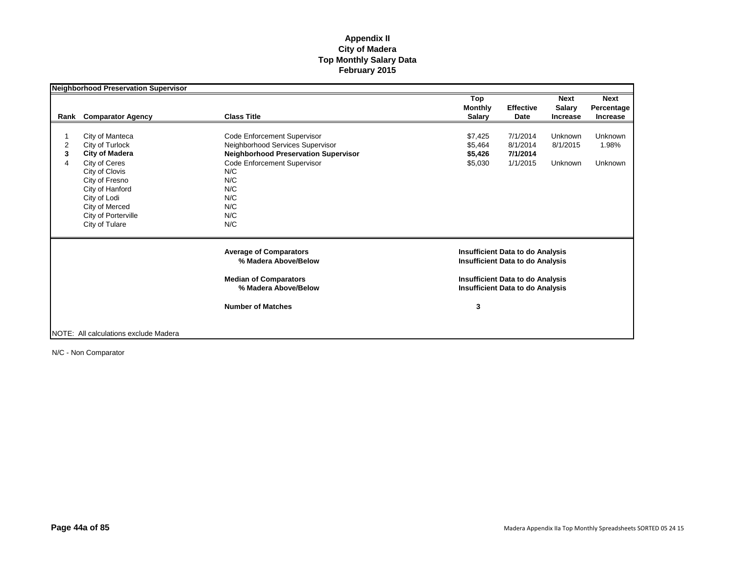|                | Neighborhood Preservation Supervisor  |                                                       | Top                                                                                | <b>Next</b>                       | <b>Next</b>    |
|----------------|---------------------------------------|-------------------------------------------------------|------------------------------------------------------------------------------------|-----------------------------------|----------------|
|                |                                       |                                                       | <b>Monthly</b>                                                                     | <b>Effective</b><br><b>Salary</b> | Percentage     |
| Rank           | <b>Comparator Agency</b>              | <b>Class Title</b>                                    | <b>Salary</b>                                                                      | Date<br><b>Increase</b>           | Increase       |
|                |                                       |                                                       |                                                                                    |                                   |                |
|                | City of Manteca                       | Code Enforcement Supervisor                           | \$7,425                                                                            | 7/1/2014<br>Unknown               | Unknown        |
| $\overline{c}$ | City of Turlock                       | Neighborhood Services Supervisor                      | \$5,464                                                                            | 8/1/2014<br>8/1/2015              | 1.98%          |
| 3              | <b>City of Madera</b>                 | <b>Neighborhood Preservation Supervisor</b>           | \$5,426                                                                            | 7/1/2014                          |                |
| 4              | City of Ceres                         | Code Enforcement Supervisor                           | \$5,030                                                                            | 1/1/2015<br><b>Unknown</b>        | <b>Unknown</b> |
|                | City of Clovis                        | N/C                                                   |                                                                                    |                                   |                |
|                | City of Fresno                        | N/C                                                   |                                                                                    |                                   |                |
|                | City of Hanford                       | N/C                                                   |                                                                                    |                                   |                |
|                | City of Lodi                          | N/C                                                   |                                                                                    |                                   |                |
|                | City of Merced                        | N/C                                                   |                                                                                    |                                   |                |
|                | City of Porterville                   | N/C                                                   |                                                                                    |                                   |                |
|                | City of Tulare                        | N/C                                                   |                                                                                    |                                   |                |
|                |                                       | <b>Average of Comparators</b><br>% Madera Above/Below | <b>Insufficient Data to do Analysis</b><br><b>Insufficient Data to do Analysis</b> |                                   |                |
|                |                                       |                                                       |                                                                                    |                                   |                |
|                |                                       | <b>Median of Comparators</b>                          | <b>Insufficient Data to do Analysis</b>                                            |                                   |                |
|                |                                       | % Madera Above/Below                                  | <b>Insufficient Data to do Analysis</b>                                            |                                   |                |
|                |                                       | <b>Number of Matches</b>                              | 3                                                                                  |                                   |                |
|                |                                       |                                                       |                                                                                    |                                   |                |
|                | NOTE: All calculations exclude Madera |                                                       |                                                                                    |                                   |                |

N/C - Non Comparator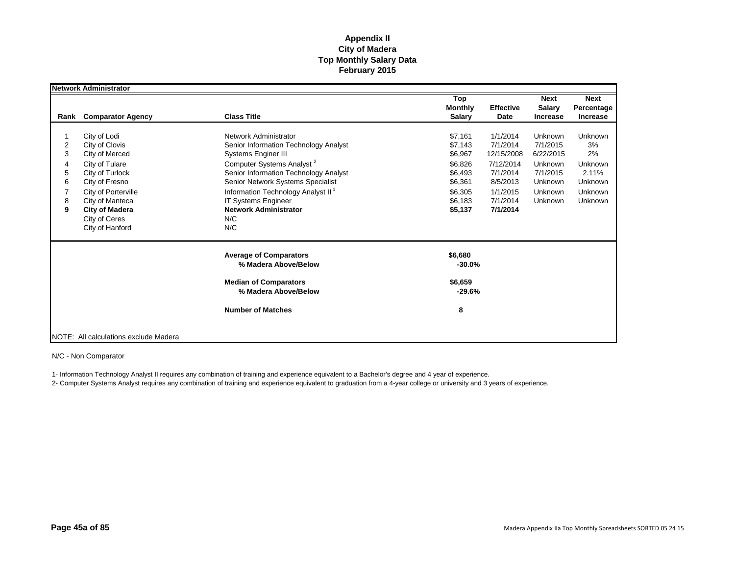|                                 | <b>Network Administrator</b>                                                                                                                                                                                   |                                                                                                                                                                                                                                                                                                                                            |                                                                                                 |                                                                                                             |                                                                                          |                                                                                               |
|---------------------------------|----------------------------------------------------------------------------------------------------------------------------------------------------------------------------------------------------------------|--------------------------------------------------------------------------------------------------------------------------------------------------------------------------------------------------------------------------------------------------------------------------------------------------------------------------------------------|-------------------------------------------------------------------------------------------------|-------------------------------------------------------------------------------------------------------------|------------------------------------------------------------------------------------------|-----------------------------------------------------------------------------------------------|
| Rank                            | <b>Comparator Agency</b>                                                                                                                                                                                       | <b>Class Title</b>                                                                                                                                                                                                                                                                                                                         | Top<br><b>Monthly</b><br><b>Salary</b>                                                          | <b>Effective</b><br>Date                                                                                    | <b>Next</b><br>Salary<br><b>Increase</b>                                                 | <b>Next</b><br>Percentage<br><b>Increase</b>                                                  |
| 2<br>3<br>4<br>5<br>6<br>8<br>9 | City of Lodi<br>City of Clovis<br>City of Merced<br>City of Tulare<br>City of Turlock<br>City of Fresno<br>City of Porterville<br>City of Manteca<br><b>City of Madera</b><br>City of Ceres<br>City of Hanford | Network Administrator<br>Senior Information Technology Analyst<br>Systems Enginer III<br>Computer Systems Analyst <sup>2</sup><br>Senior Information Technology Analyst<br>Senior Network Systems Specialist<br>Information Technology Analyst II <sup>1</sup><br><b>IT Systems Engineer</b><br><b>Network Administrator</b><br>N/C<br>N/C | \$7,161<br>\$7,143<br>\$6,967<br>\$6,826<br>\$6,493<br>\$6,361<br>\$6,305<br>\$6.183<br>\$5,137 | 1/1/2014<br>7/1/2014<br>12/15/2008<br>7/12/2014<br>7/1/2014<br>8/5/2013<br>1/1/2015<br>7/1/2014<br>7/1/2014 | Unknown<br>7/1/2015<br>6/22/2015<br>Unknown<br>7/1/2015<br>Unknown<br>Unknown<br>Unknown | <b>Unknown</b><br>3%<br>2%<br><b>Unknown</b><br>2.11%<br>Unknown<br>Unknown<br><b>Unknown</b> |
|                                 |                                                                                                                                                                                                                | <b>Average of Comparators</b><br>% Madera Above/Below<br><b>Median of Comparators</b><br>% Madera Above/Below<br><b>Number of Matches</b>                                                                                                                                                                                                  | \$6,680<br>$-30.0%$<br>\$6,659<br>$-29.6%$<br>8                                                 |                                                                                                             |                                                                                          |                                                                                               |
|                                 | NOTE: All calculations exclude Madera                                                                                                                                                                          |                                                                                                                                                                                                                                                                                                                                            |                                                                                                 |                                                                                                             |                                                                                          |                                                                                               |

N/C - Non Comparator

1- Information Technology Analyst II requires any combination of training and experience equivalent to a Bachelor's degree and 4 year of experience.

2- Computer Systems Analyst requires any combination of training and experience equivalent to graduation from a 4-year college or university and 3 years of experience.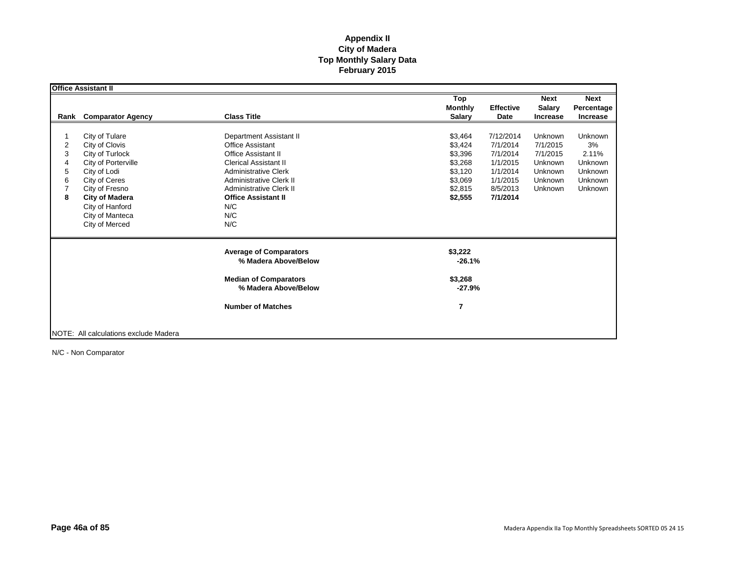|      | <b>Office Assistant II</b>            |                                |                       |                  |                              |                           |
|------|---------------------------------------|--------------------------------|-----------------------|------------------|------------------------------|---------------------------|
|      |                                       |                                | Top<br><b>Monthly</b> | <b>Effective</b> | <b>Next</b><br><b>Salary</b> | <b>Next</b><br>Percentage |
| Rank | <b>Comparator Agency</b>              | <b>Class Title</b>             | <b>Salary</b>         | Date             | <b>Increase</b>              | <b>Increase</b>           |
|      |                                       |                                |                       |                  |                              |                           |
|      | City of Tulare                        | <b>Department Assistant II</b> | \$3,464               | 7/12/2014        | Unknown                      | <b>Unknown</b>            |
| 2    | City of Clovis                        | <b>Office Assistant</b>        | \$3,424               | 7/1/2014         | 7/1/2015                     | 3%                        |
| 3    | City of Turlock                       | <b>Office Assistant II</b>     | \$3,396               | 7/1/2014         | 7/1/2015                     | 2.11%                     |
| 4    | City of Porterville                   | <b>Clerical Assistant II</b>   | \$3,268               | 1/1/2015         | Unknown                      | Unknown                   |
| 5    | City of Lodi                          | <b>Administrative Clerk</b>    | \$3,120               | 1/1/2014         | Unknown                      | Unknown                   |
| 6    | City of Ceres                         | <b>Administrative Clerk II</b> | \$3,069               | 1/1/2015         | Unknown                      | <b>Unknown</b>            |
|      | City of Fresno                        | <b>Administrative Clerk II</b> | \$2,815               | 8/5/2013         | Unknown                      | <b>Unknown</b>            |
| 8    | <b>City of Madera</b>                 | <b>Office Assistant II</b>     | \$2,555               | 7/1/2014         |                              |                           |
|      | City of Hanford                       | N/C                            |                       |                  |                              |                           |
|      | City of Manteca                       | N/C                            |                       |                  |                              |                           |
|      | City of Merced                        | N/C                            |                       |                  |                              |                           |
|      |                                       |                                |                       |                  |                              |                           |
|      |                                       | <b>Average of Comparators</b>  | \$3,222               |                  |                              |                           |
|      |                                       | % Madera Above/Below           | $-26.1%$              |                  |                              |                           |
|      |                                       | <b>Median of Comparators</b>   | \$3,268               |                  |                              |                           |
|      |                                       | % Madera Above/Below           | -27.9%                |                  |                              |                           |
|      |                                       | <b>Number of Matches</b>       |                       |                  |                              |                           |
|      |                                       |                                | 7                     |                  |                              |                           |
|      |                                       |                                |                       |                  |                              |                           |
|      | NOTE: All calculations exclude Madera |                                |                       |                  |                              |                           |

N/C - Non Comparator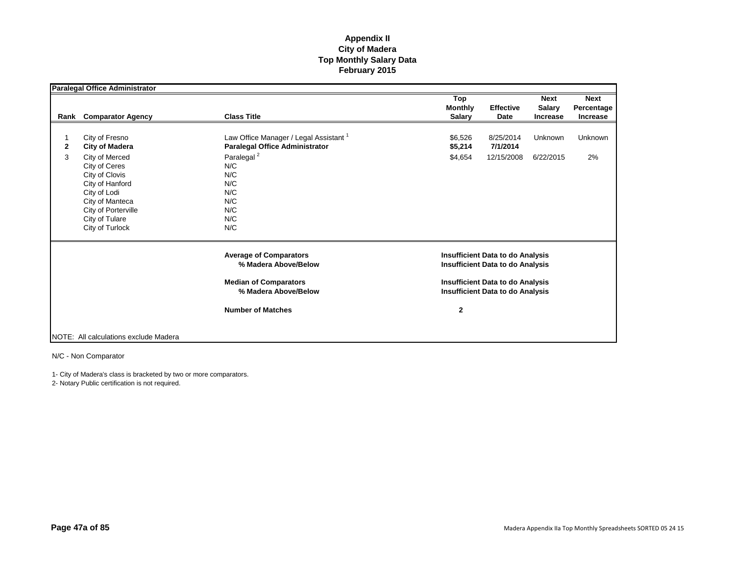|        | <b>Paralegal Office Administrator</b>                                                                                                                                                                          |                                                                                                                                                                              |                                                                                                                                                                                          |                                     |                                                 |                                              |
|--------|----------------------------------------------------------------------------------------------------------------------------------------------------------------------------------------------------------------|------------------------------------------------------------------------------------------------------------------------------------------------------------------------------|------------------------------------------------------------------------------------------------------------------------------------------------------------------------------------------|-------------------------------------|-------------------------------------------------|----------------------------------------------|
| Rank   | <b>Comparator Agency</b>                                                                                                                                                                                       | <b>Class Title</b>                                                                                                                                                           | Top<br><b>Monthly</b><br><b>Salary</b>                                                                                                                                                   | <b>Effective</b><br><b>Date</b>     | <b>Next</b><br><b>Salary</b><br><b>Increase</b> | <b>Next</b><br>Percentage<br><b>Increase</b> |
| 2<br>3 | City of Fresno<br><b>City of Madera</b><br>City of Merced<br>City of Ceres<br>City of Clovis<br>City of Hanford<br>City of Lodi<br>City of Manteca<br>City of Porterville<br>City of Tulare<br>City of Turlock | Law Office Manager / Legal Assistant <sup>1</sup><br><b>Paralegal Office Administrator</b><br>Paralegal <sup>2</sup><br>N/C<br>N/C<br>N/C<br>N/C<br>N/C<br>N/C<br>N/C<br>N/C | \$6,526<br>\$5,214<br>\$4,654                                                                                                                                                            | 8/25/2014<br>7/1/2014<br>12/15/2008 | Unknown<br>6/22/2015                            | Unknown<br>2%                                |
|        |                                                                                                                                                                                                                | <b>Average of Comparators</b><br>% Madera Above/Below<br><b>Median of Comparators</b><br>% Madera Above/Below<br><b>Number of Matches</b>                                    | <b>Insufficient Data to do Analysis</b><br><b>Insufficient Data to do Analysis</b><br><b>Insufficient Data to do Analysis</b><br><b>Insufficient Data to do Analysis</b><br>$\mathbf{2}$ |                                     |                                                 |                                              |
|        | NOTE: All calculations exclude Madera                                                                                                                                                                          |                                                                                                                                                                              |                                                                                                                                                                                          |                                     |                                                 |                                              |

N/C - Non Comparator

1- City of Madera's class is bracketed by two or more comparators.

2- Notary Public certification is not required.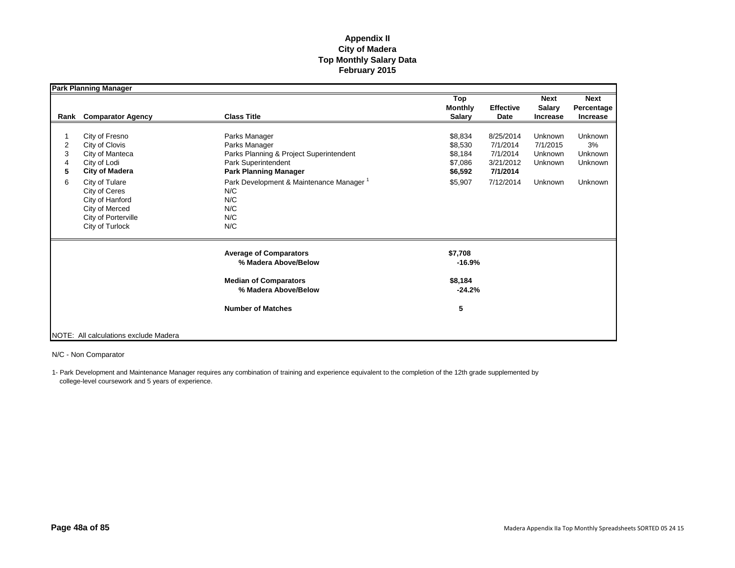| <b>Comparator Agency</b><br>Rank                                                                                                                                                                               | <b>Class Title</b>                                                                                                                                                                                                         | Top<br><b>Monthly</b><br><b>Salary</b>                         | <b>Effective</b><br>Date                                                | <b>Next</b><br><b>Salary</b><br><b>Increase</b>      | <b>Next</b><br>Percentage<br><b>Increase</b>                 |
|----------------------------------------------------------------------------------------------------------------------------------------------------------------------------------------------------------------|----------------------------------------------------------------------------------------------------------------------------------------------------------------------------------------------------------------------------|----------------------------------------------------------------|-------------------------------------------------------------------------|------------------------------------------------------|--------------------------------------------------------------|
| City of Fresno<br>City of Clovis<br>City of Manteca<br>City of Lodi<br><b>City of Madera</b><br>City of Tulare<br>City of Ceres<br>City of Hanford<br>City of Merced<br>City of Porterville<br>City of Turlock | Parks Manager<br>Parks Manager<br>Parks Planning & Project Superintendent<br>Park Superintendent<br><b>Park Planning Manager</b><br>Park Development & Maintenance Manager <sup>1</sup><br>N/C<br>N/C<br>N/C<br>N/C<br>N/C | \$8,834<br>\$8,530<br>\$8,184<br>\$7,086<br>\$6,592<br>\$5,907 | 8/25/2014<br>7/1/2014<br>7/1/2014<br>3/21/2012<br>7/1/2014<br>7/12/2014 | Unknown<br>7/1/2015<br>Unknown<br>Unknown<br>Unknown | <b>Unknown</b><br>3%<br><b>Unknown</b><br>Unknown<br>Unknown |
|                                                                                                                                                                                                                | <b>Average of Comparators</b><br>% Madera Above/Below<br><b>Median of Comparators</b>                                                                                                                                      | \$7,708<br>$-16.9%$<br>\$8,184                                 |                                                                         |                                                      |                                                              |
|                                                                                                                                                                                                                | <b>Number of Matches</b>                                                                                                                                                                                                   | 5                                                              |                                                                         |                                                      |                                                              |
|                                                                                                                                                                                                                | NOTE: All calculations exclude Madera                                                                                                                                                                                      | % Madera Above/Below                                           | $-24.2%$                                                                |                                                      |                                                              |

N/C - Non Comparator

1- Park Development and Maintenance Manager requires any combination of training and experience equivalent to the completion of the 12th grade supplemented by college-level coursework and 5 years of experience.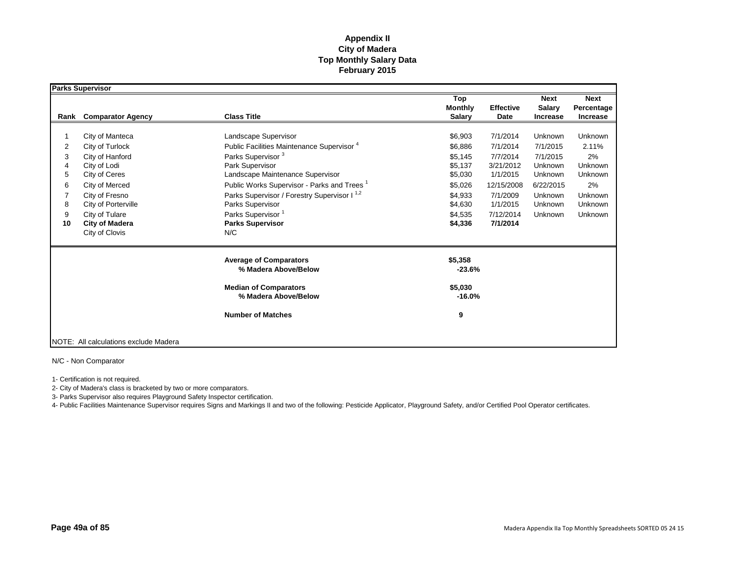|                                       | Parks Supervisor                                                                                                                                                                                        |                                                                                                                                                                                                                                                                                                                                                                                   |                                                                                                            |                                                                                                                          |                                                                                                     |                                                                                            |
|---------------------------------------|---------------------------------------------------------------------------------------------------------------------------------------------------------------------------------------------------------|-----------------------------------------------------------------------------------------------------------------------------------------------------------------------------------------------------------------------------------------------------------------------------------------------------------------------------------------------------------------------------------|------------------------------------------------------------------------------------------------------------|--------------------------------------------------------------------------------------------------------------------------|-----------------------------------------------------------------------------------------------------|--------------------------------------------------------------------------------------------|
| Rank                                  | <b>Comparator Agency</b>                                                                                                                                                                                | <b>Class Title</b>                                                                                                                                                                                                                                                                                                                                                                | Top<br><b>Monthly</b><br><b>Salary</b>                                                                     | <b>Effective</b><br>Date                                                                                                 | <b>Next</b><br><b>Salary</b><br><b>Increase</b>                                                     | <b>Next</b><br>Percentage<br><b>Increase</b>                                               |
| 2<br>3<br>4<br>5<br>6<br>8<br>9<br>10 | City of Manteca<br>City of Turlock<br>City of Hanford<br>City of Lodi<br>City of Ceres<br>City of Merced<br>City of Fresno<br>City of Porterville<br>City of Tulare<br>City of Madera<br>City of Clovis | Landscape Supervisor<br>Public Facilities Maintenance Supervisor <sup>4</sup><br>Parks Supervisor <sup>3</sup><br>Park Supervisor<br>Landscape Maintenance Supervisor<br>Public Works Supervisor - Parks and Trees <sup>1</sup><br>Parks Supervisor / Forestry Supervisor I <sup>1,2</sup><br>Parks Supervisor<br>Parks Supervisor <sup>1</sup><br><b>Parks Supervisor</b><br>N/C | \$6,903<br>\$6,886<br>\$5,145<br>\$5,137<br>\$5,030<br>\$5,026<br>\$4,933<br>\$4,630<br>\$4,535<br>\$4,336 | 7/1/2014<br>7/1/2014<br>7/7/2014<br>3/21/2012<br>1/1/2015<br>12/15/2008<br>7/1/2009<br>1/1/2015<br>7/12/2014<br>7/1/2014 | Unknown<br>7/1/2015<br>7/1/2015<br>Unknown<br>Unknown<br>6/22/2015<br>Unknown<br>Unknown<br>Unknown | <b>Unknown</b><br>2.11%<br>2%<br>Unknown<br>Unknown<br>2%<br>Unknown<br>Unknown<br>Unknown |
|                                       |                                                                                                                                                                                                         | <b>Average of Comparators</b><br>% Madera Above/Below<br><b>Median of Comparators</b><br>% Madera Above/Below<br><b>Number of Matches</b>                                                                                                                                                                                                                                         | \$5,358<br>$-23.6%$<br>\$5,030<br>$-16.0%$<br>9                                                            |                                                                                                                          |                                                                                                     |                                                                                            |
|                                       | NOTE: All calculations exclude Madera                                                                                                                                                                   |                                                                                                                                                                                                                                                                                                                                                                                   |                                                                                                            |                                                                                                                          |                                                                                                     |                                                                                            |

N/C - Non Comparator

1- Certification is not required.

2- City of Madera's class is bracketed by two or more comparators.

3- Parks Supervisor also requires Playground Safety Inspector certification.

4- Public Facilities Maintenance Supervisor requires Signs and Markings II and two of the following: Pesticide Applicator, Playground Safety, and/or Certified Pool Operator certificates.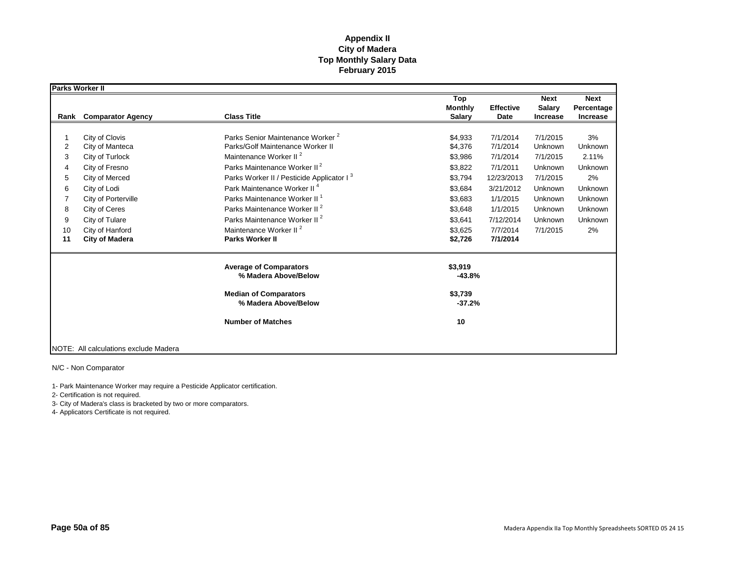| Parks Worker II |                                       |                                                       |                                        |                          |                                                 |                                       |
|-----------------|---------------------------------------|-------------------------------------------------------|----------------------------------------|--------------------------|-------------------------------------------------|---------------------------------------|
| Rank            | <b>Comparator Agency</b>              | <b>Class Title</b>                                    | Top<br><b>Monthly</b><br><b>Salary</b> | <b>Effective</b><br>Date | <b>Next</b><br><b>Salary</b><br><b>Increase</b> | <b>Next</b><br>Percentage<br>Increase |
|                 |                                       |                                                       |                                        |                          |                                                 |                                       |
|                 | City of Clovis                        | Parks Senior Maintenance Worker <sup>2</sup>          | \$4,933                                | 7/1/2014                 | 7/1/2015                                        | 3%                                    |
| 2               | City of Manteca                       | Parks/Golf Maintenance Worker II                      | \$4,376                                | 7/1/2014                 | Unknown                                         | Unknown                               |
| 3               | City of Turlock                       | Maintenance Worker II <sup>2</sup>                    | \$3,986                                | 7/1/2014                 | 7/1/2015                                        | 2.11%                                 |
| 4               | City of Fresno                        | Parks Maintenance Worker II <sup>2</sup>              | \$3,822                                | 7/1/2011                 | Unknown                                         | Unknown                               |
| 5               | City of Merced                        | Parks Worker II / Pesticide Applicator I <sup>3</sup> | \$3,794                                | 12/23/2013               | 7/1/2015                                        | 2%                                    |
| 6               | City of Lodi                          | Park Maintenance Worker II <sup>4</sup>               | \$3,684                                | 3/21/2012                | Unknown                                         | Unknown                               |
| 7               | City of Porterville                   | Parks Maintenance Worker II <sup>1</sup>              | \$3,683                                | 1/1/2015                 | Unknown                                         | Unknown                               |
| 8               | City of Ceres                         | Parks Maintenance Worker II <sup>2</sup>              | \$3,648                                | 1/1/2015                 | Unknown                                         | Unknown                               |
| 9               | City of Tulare                        | Parks Maintenance Worker II <sup>2</sup>              | \$3,641                                | 7/12/2014                | Unknown                                         | Unknown                               |
| 10              | City of Hanford                       | Maintenance Worker II <sup>2</sup>                    | \$3,625                                | 7/7/2014                 | 7/1/2015                                        | 2%                                    |
| 11              | <b>City of Madera</b>                 | <b>Parks Worker II</b>                                | \$2,726                                | 7/1/2014                 |                                                 |                                       |
|                 |                                       | <b>Average of Comparators</b><br>% Madera Above/Below | \$3,919<br>$-43.8%$                    |                          |                                                 |                                       |
|                 |                                       | <b>Median of Comparators</b><br>% Madera Above/Below  | \$3,739<br>$-37.2%$                    |                          |                                                 |                                       |
|                 |                                       | <b>Number of Matches</b>                              | 10                                     |                          |                                                 |                                       |
|                 | NOTE: All calculations exclude Madera |                                                       |                                        |                          |                                                 |                                       |

N/C - Non Comparator

1- Park Maintenance Worker may require a Pesticide Applicator certification.

2- Certification is not required.

3- City of Madera's class is bracketed by two or more comparators.

4- Applicators Certificate is not required.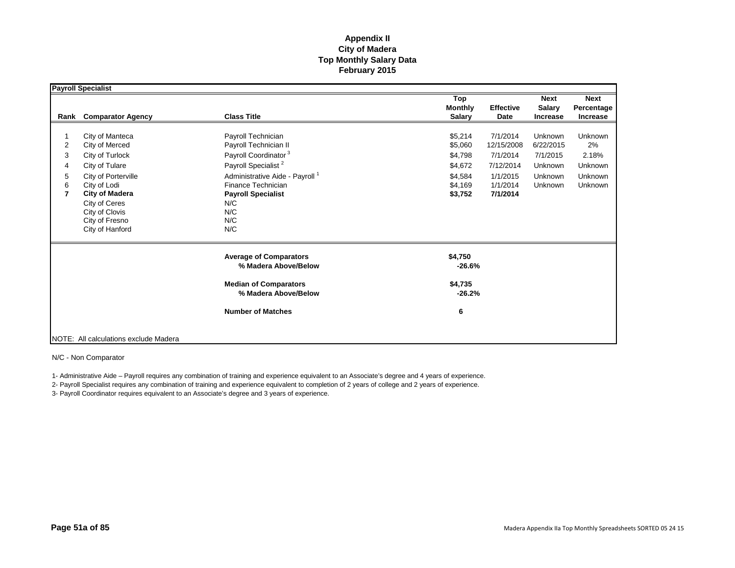|                                         | Payroll Specialist                                                                                                                                                                                             |                                                                                                                                                                                                                                                 |                                                                           |                                                                                     |                                                                   |                                                                |
|-----------------------------------------|----------------------------------------------------------------------------------------------------------------------------------------------------------------------------------------------------------------|-------------------------------------------------------------------------------------------------------------------------------------------------------------------------------------------------------------------------------------------------|---------------------------------------------------------------------------|-------------------------------------------------------------------------------------|-------------------------------------------------------------------|----------------------------------------------------------------|
| Rank                                    | <b>Comparator Agency</b>                                                                                                                                                                                       | <b>Class Title</b>                                                                                                                                                                                                                              | Top<br><b>Monthly</b><br><b>Salary</b>                                    | <b>Effective</b><br>Date                                                            | <b>Next</b><br><b>Salary</b><br><b>Increase</b>                   | <b>Next</b><br>Percentage<br>Increase                          |
| 2<br>3<br>4<br>5<br>6<br>$\overline{7}$ | City of Manteca<br>City of Merced<br>City of Turlock<br>City of Tulare<br>City of Porterville<br>City of Lodi<br><b>City of Madera</b><br>City of Ceres<br>City of Clovis<br>City of Fresno<br>City of Hanford | Payroll Technician<br>Payroll Technician II<br>Payroll Coordinator <sup>3</sup><br>Payroll Specialist <sup>2</sup><br>Administrative Aide - Payroll <sup>1</sup><br>Finance Technician<br><b>Payroll Specialist</b><br>N/C<br>N/C<br>N/C<br>N/C | \$5,214<br>\$5,060<br>\$4,798<br>\$4,672<br>\$4,584<br>\$4,169<br>\$3,752 | 7/1/2014<br>12/15/2008<br>7/1/2014<br>7/12/2014<br>1/1/2015<br>1/1/2014<br>7/1/2014 | Unknown<br>6/22/2015<br>7/1/2015<br>Unknown<br>Unknown<br>Unknown | <b>Unknown</b><br>2%<br>2.18%<br>Unknown<br>Unknown<br>Unknown |
|                                         |                                                                                                                                                                                                                | <b>Average of Comparators</b><br>% Madera Above/Below<br><b>Median of Comparators</b><br>% Madera Above/Below                                                                                                                                   | \$4,750<br>$-26.6%$<br>\$4,735<br>$-26.2%$                                |                                                                                     |                                                                   |                                                                |
|                                         | NOTE: All calculations exclude Madera                                                                                                                                                                          | <b>Number of Matches</b>                                                                                                                                                                                                                        | 6                                                                         |                                                                                     |                                                                   |                                                                |

N/C - Non Comparator

1- Administrative Aide – Payroll requires any combination of training and experience equivalent to an Associate's degree and 4 years of experience.

2- Payroll Specialist requires any combination of training and experience equivalent to completion of 2 years of college and 2 years of experience.

3- Payroll Coordinator requires equivalent to an Associate's degree and 3 years of experience.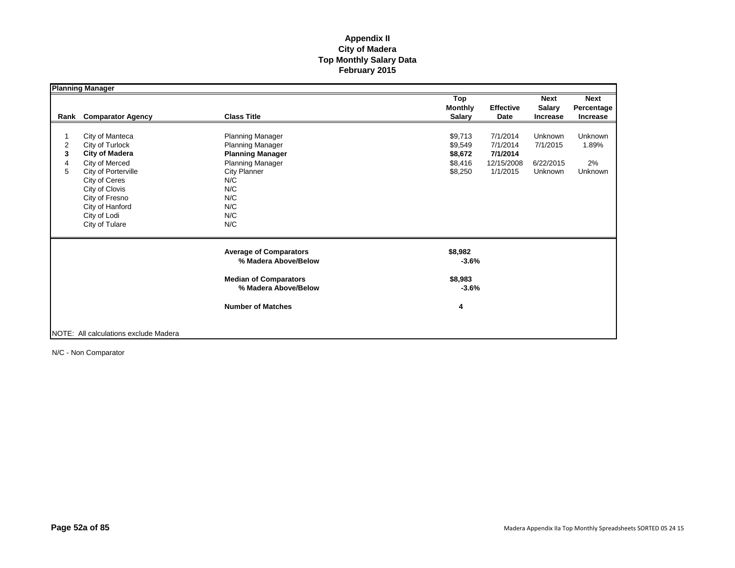|                  | <b>Planning Manager</b>                                                                                                                                                                                        |                                                                                                                                                      |                                                     |                                                            |                                                 |                                       |
|------------------|----------------------------------------------------------------------------------------------------------------------------------------------------------------------------------------------------------------|------------------------------------------------------------------------------------------------------------------------------------------------------|-----------------------------------------------------|------------------------------------------------------------|-------------------------------------------------|---------------------------------------|
| Rank             | <b>Comparator Agency</b>                                                                                                                                                                                       | <b>Class Title</b>                                                                                                                                   | Top<br><b>Monthly</b><br><b>Salary</b>              | <b>Effective</b><br>Date                                   | <b>Next</b><br><b>Salary</b><br><b>Increase</b> | <b>Next</b><br>Percentage<br>Increase |
| 2<br>3<br>4<br>5 | City of Manteca<br>City of Turlock<br><b>City of Madera</b><br>City of Merced<br>City of Porterville<br>City of Ceres<br>City of Clovis<br>City of Fresno<br>City of Hanford<br>City of Lodi<br>City of Tulare | Planning Manager<br><b>Planning Manager</b><br><b>Planning Manager</b><br>Planning Manager<br>City Planner<br>N/C<br>N/C<br>N/C<br>N/C<br>N/C<br>N/C | \$9,713<br>\$9,549<br>\$8,672<br>\$8,416<br>\$8,250 | 7/1/2014<br>7/1/2014<br>7/1/2014<br>12/15/2008<br>1/1/2015 | Unknown<br>7/1/2015<br>6/22/2015<br>Unknown     | Unknown<br>1.89%<br>2%<br>Unknown     |
|                  |                                                                                                                                                                                                                | <b>Average of Comparators</b><br>% Madera Above/Below<br><b>Median of Comparators</b><br>% Madera Above/Below<br><b>Number of Matches</b>            | \$8,982<br>$-3.6%$<br>\$8,983<br>$-3.6%$<br>4       |                                                            |                                                 |                                       |
|                  | NOTE: All calculations exclude Madera                                                                                                                                                                          |                                                                                                                                                      |                                                     |                                                            |                                                 |                                       |

N/C - Non Comparator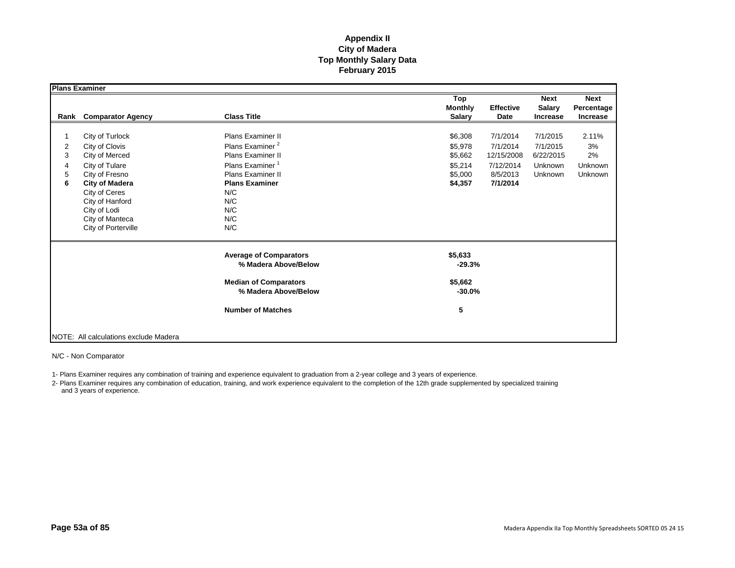|                                    | <b>Plans Examiner</b>                                                                                                                                                                                          |                                                                                                                                                                                                            |                                                                |                                                                         |                                                         |                                         |
|------------------------------------|----------------------------------------------------------------------------------------------------------------------------------------------------------------------------------------------------------------|------------------------------------------------------------------------------------------------------------------------------------------------------------------------------------------------------------|----------------------------------------------------------------|-------------------------------------------------------------------------|---------------------------------------------------------|-----------------------------------------|
| Rank                               | <b>Comparator Agency</b>                                                                                                                                                                                       | <b>Class Title</b>                                                                                                                                                                                         | Top<br><b>Monthly</b><br><b>Salary</b>                         | <b>Effective</b><br>Date                                                | <b>Next</b><br><b>Salary</b><br>Increase                | <b>Next</b><br>Percentage<br>Increase   |
| $\overline{2}$<br>3<br>4<br>5<br>6 | City of Turlock<br>City of Clovis<br>City of Merced<br>City of Tulare<br>City of Fresno<br><b>City of Madera</b><br>City of Ceres<br>City of Hanford<br>City of Lodi<br>City of Manteca<br>City of Porterville | <b>Plans Examiner II</b><br>Plans Examiner <sup>2</sup><br><b>Plans Examiner II</b><br>Plans Examiner <sup>1</sup><br><b>Plans Examiner II</b><br><b>Plans Examiner</b><br>N/C<br>N/C<br>N/C<br>N/C<br>N/C | \$6,308<br>\$5,978<br>\$5,662<br>\$5,214<br>\$5,000<br>\$4,357 | 7/1/2014<br>7/1/2014<br>12/15/2008<br>7/12/2014<br>8/5/2013<br>7/1/2014 | 7/1/2015<br>7/1/2015<br>6/22/2015<br>Unknown<br>Unknown | 2.11%<br>3%<br>2%<br>Unknown<br>Unknown |
|                                    |                                                                                                                                                                                                                | <b>Average of Comparators</b><br>% Madera Above/Below<br><b>Median of Comparators</b>                                                                                                                      | \$5,633<br>$-29.3%$<br>\$5,662                                 |                                                                         |                                                         |                                         |
|                                    | NOTE: All calculations exclude Madera                                                                                                                                                                          | % Madera Above/Below<br><b>Number of Matches</b>                                                                                                                                                           | $-30.0%$<br>5                                                  |                                                                         |                                                         |                                         |

N/C - Non Comparator

1- Plans Examiner requires any combination of training and experience equivalent to graduation from a 2-year college and 3 years of experience.

2- Plans Examiner requires any combination of education, training, and work experience equivalent to the completion of the 12th grade supplemented by specialized training and 3 years of experience.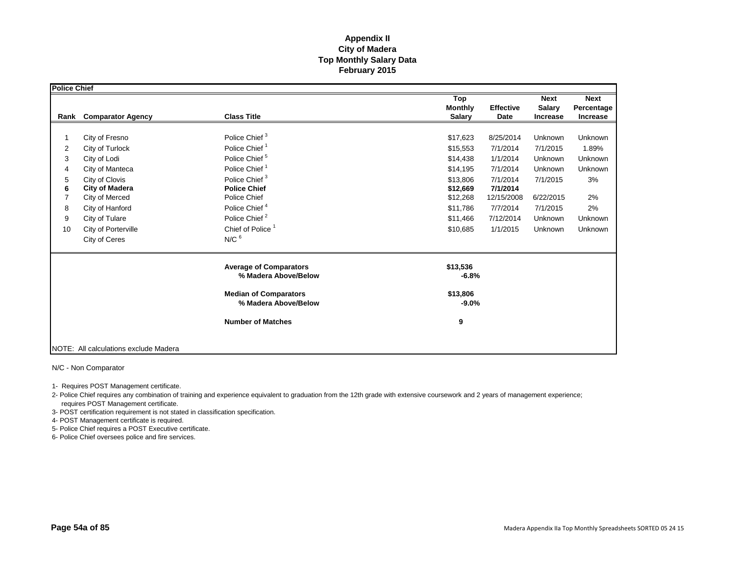| Police Chief |                                       |                                                       |                                        |                                                                             |                                       |
|--------------|---------------------------------------|-------------------------------------------------------|----------------------------------------|-----------------------------------------------------------------------------|---------------------------------------|
| Rank         | <b>Comparator Agency</b>              | <b>Class Title</b>                                    | Top<br><b>Monthly</b><br><b>Salary</b> | <b>Next</b><br><b>Effective</b><br><b>Salary</b><br>Date<br><b>Increase</b> | <b>Next</b><br>Percentage<br>Increase |
|              |                                       |                                                       |                                        |                                                                             |                                       |
|              | City of Fresno                        | Police Chief <sup>3</sup>                             | \$17,623                               | 8/25/2014<br>Unknown                                                        | Unknown                               |
| 2            | City of Turlock                       | Police Chief <sup>1</sup>                             | \$15,553                               | 7/1/2014<br>7/1/2015                                                        | 1.89%                                 |
| 3            | City of Lodi                          | Police Chief <sup>5</sup>                             | \$14,438                               | 1/1/2014<br>Unknown                                                         | Unknown                               |
| 4            | City of Manteca                       | Police Chief <sup>1</sup>                             | \$14,195                               | 7/1/2014<br>Unknown                                                         | Unknown                               |
| 5            | City of Clovis                        | Police Chief <sup>3</sup>                             | \$13,806                               | 7/1/2014<br>7/1/2015                                                        | 3%                                    |
| 6            | <b>City of Madera</b>                 | <b>Police Chief</b>                                   | \$12,669                               | 7/1/2014                                                                    |                                       |
| 7            | City of Merced                        | Police Chief                                          | \$12,268                               | 12/15/2008<br>6/22/2015                                                     | 2%                                    |
| 8            | City of Hanford                       | Police Chief <sup>4</sup>                             | \$11,786                               | 7/7/2014<br>7/1/2015                                                        | 2%                                    |
| 9            | City of Tulare                        | Police Chief <sup>2</sup>                             | \$11,466                               | 7/12/2014<br>Unknown                                                        | Unknown                               |
| 10           | City of Porterville                   | Chief of Police <sup>1</sup>                          | \$10,685                               | 1/1/2015<br>Unknown                                                         | Unknown                               |
|              | City of Ceres                         | $N/C$ $6$                                             |                                        |                                                                             |                                       |
|              |                                       | <b>Average of Comparators</b><br>% Madera Above/Below | \$13,536<br>$-6.8%$                    |                                                                             |                                       |
|              |                                       | <b>Median of Comparators</b><br>% Madera Above/Below  | \$13,806<br>$-9.0%$                    |                                                                             |                                       |
|              |                                       | <b>Number of Matches</b>                              | 9                                      |                                                                             |                                       |
|              | NOTE: All calculations exclude Madera |                                                       |                                        |                                                                             |                                       |

N/C - Non Comparator

1- Requires POST Management certificate.

2- Police Chief requires any combination of training and experience equivalent to graduation from the 12th grade with extensive coursework and 2 years of management experience; requires POST Management certificate.

3- POST certification requirement is not stated in classification specification.

4- POST Management certificate is required.

5- Police Chief requires a POST Executive certificate.

6- Police Chief oversees police and fire services.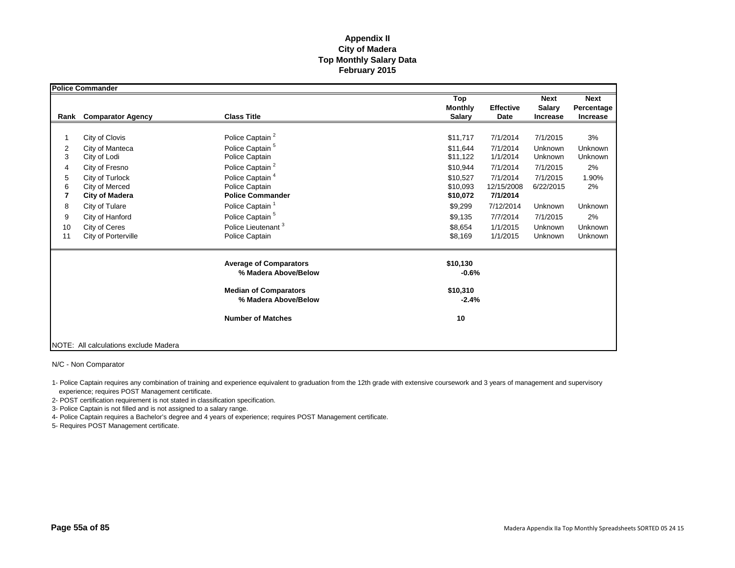|      | <b>Police Commander</b>               |                                                       |                     |                  |                 |             |
|------|---------------------------------------|-------------------------------------------------------|---------------------|------------------|-----------------|-------------|
|      |                                       |                                                       | Top                 |                  | <b>Next</b>     | <b>Next</b> |
|      |                                       |                                                       | <b>Monthly</b>      | <b>Effective</b> | <b>Salary</b>   | Percentage  |
| Rank | <b>Comparator Agency</b>              | <b>Class Title</b>                                    | <b>Salary</b>       | Date             | <b>Increase</b> | Increase    |
|      |                                       |                                                       |                     |                  |                 |             |
|      | City of Clovis                        | Police Captain <sup>2</sup>                           | \$11,717            | 7/1/2014         | 7/1/2015        | 3%          |
| 2    | City of Manteca                       | Police Captain <sup>5</sup>                           | \$11.644            | 7/1/2014         | Unknown         | Unknown     |
| 3    | City of Lodi                          | Police Captain                                        | \$11,122            | 1/1/2014         | Unknown         | Unknown     |
| 4    | City of Fresno                        | Police Captain <sup>2</sup>                           | \$10,944            | 7/1/2014         | 7/1/2015        | 2%          |
| 5    | City of Turlock                       | Police Captain <sup>4</sup>                           | \$10,527            | 7/1/2014         | 7/1/2015        | 1.90%       |
| 6    | City of Merced                        | Police Captain                                        | \$10,093            | 12/15/2008       | 6/22/2015       | 2%          |
| 7    | <b>City of Madera</b>                 | <b>Police Commander</b>                               | \$10,072            | 7/1/2014         |                 |             |
| 8    | City of Tulare                        | Police Captain <sup>1</sup>                           | \$9,299             | 7/12/2014        | Unknown         | Unknown     |
| 9    | City of Hanford                       | Police Captain <sup>5</sup>                           | \$9,135             | 7/7/2014         | 7/1/2015        | 2%          |
| 10   | City of Ceres                         | Police Lieutenant <sup>3</sup>                        | \$8,654             | 1/1/2015         | Unknown         | Unknown     |
| 11   | City of Porterville                   | Police Captain                                        | \$8,169             | 1/1/2015         | Unknown         | Unknown     |
|      |                                       | <b>Average of Comparators</b><br>% Madera Above/Below | \$10,130<br>$-0.6%$ |                  |                 |             |
|      |                                       | <b>Median of Comparators</b><br>% Madera Above/Below  | \$10,310<br>$-2.4%$ |                  |                 |             |
|      |                                       | <b>Number of Matches</b>                              | 10                  |                  |                 |             |
|      | NOTE: All calculations exclude Madera |                                                       |                     |                  |                 |             |

N/C - Non Comparator

1- Police Captain requires any combination of training and experience equivalent to graduation from the 12th grade with extensive coursework and 3 years of management and supervisory experience; requires POST Management certificate.

2- POST certification requirement is not stated in classification specification.

3- Police Captain is not filled and is not assigned to a salary range.

4- Police Captain requires a Bachelor's degree and 4 years of experience; requires POST Management certificate.

5- Requires POST Management certificate.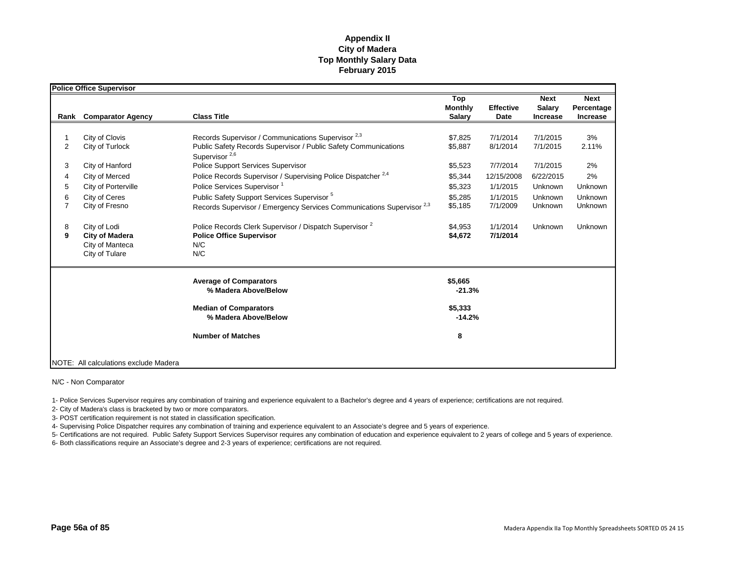|                | <b>Police Office Supervisor</b>       |                                                                                                       |                     |                      |                 |             |
|----------------|---------------------------------------|-------------------------------------------------------------------------------------------------------|---------------------|----------------------|-----------------|-------------|
|                |                                       |                                                                                                       | Top                 |                      | <b>Next</b>     | <b>Next</b> |
|                |                                       |                                                                                                       | <b>Monthly</b>      | <b>Effective</b>     | <b>Salary</b>   | Percentage  |
| Rank           | <b>Comparator Agency</b>              | <b>Class Title</b>                                                                                    | <b>Salary</b>       | Date                 | <b>Increase</b> | Increase    |
|                |                                       |                                                                                                       |                     |                      |                 |             |
|                | City of Clovis                        | Records Supervisor / Communications Supervisor <sup>2,3</sup>                                         | \$7,825             | 7/1/2014             | 7/1/2015        | 3%          |
| $\overline{2}$ | City of Turlock                       | Public Safety Records Supervisor / Public Safety Communications<br>Supervisor <sup>2,6</sup>          | \$5,887             | 8/1/2014             | 7/1/2015        | 2.11%       |
| 3              | City of Hanford                       | <b>Police Support Services Supervisor</b>                                                             | \$5,523             | 7/7/2014             | 7/1/2015        | 2%          |
| 4              | City of Merced                        | Police Records Supervisor / Supervising Police Dispatcher <sup>2,4</sup>                              | \$5,344             | 12/15/2008           | 6/22/2015       | 2%          |
| 5              | City of Porterville                   | Police Services Supervisor <sup>1</sup>                                                               | \$5,323             | 1/1/2015             | Unknown         | Unknown     |
| 6              | City of Ceres                         | Public Safety Support Services Supervisor <sup>5</sup>                                                | \$5,285             | 1/1/2015             | Unknown         | Unknown     |
| $\overline{7}$ | City of Fresno                        | Records Supervisor / Emergency Services Communications Supervisor <sup>2,3</sup>                      | \$5,185             | 7/1/2009             | Unknown         | Unknown     |
| 8<br>9         | City of Lodi<br><b>City of Madera</b> | Police Records Clerk Supervisor / Dispatch Supervisor <sup>2</sup><br><b>Police Office Supervisor</b> | \$4.953<br>\$4,672  | 1/1/2014<br>7/1/2014 | Unknown         | Unknown     |
|                | City of Manteca                       | N/C                                                                                                   |                     |                      |                 |             |
|                | City of Tulare                        | N/C                                                                                                   |                     |                      |                 |             |
|                |                                       | <b>Average of Comparators</b><br>% Madera Above/Below                                                 | \$5,665<br>$-21.3%$ |                      |                 |             |
|                |                                       | <b>Median of Comparators</b><br>% Madera Above/Below                                                  | \$5,333<br>$-14.2%$ |                      |                 |             |
|                |                                       | <b>Number of Matches</b>                                                                              | 8                   |                      |                 |             |
|                | NOTE: All calculations exclude Madera |                                                                                                       |                     |                      |                 |             |

#### N/C - Non Comparator

1- Police Services Supervisor requires any combination of training and experience equivalent to a Bachelor's degree and 4 years of experience; certifications are not required.

2- City of Madera's class is bracketed by two or more comparators.

3- POST certification requirement is not stated in classification specification.

4- Supervising Police Dispatcher requires any combination of training and experience equivalent to an Associate's degree and 5 years of experience.

5- Certifications are not required. Public Safety Support Services Supervisor requires any combination of education and experience equivalent to 2 years of college and 5 years of experience.

6- Both classifications require an Associate's degree and 2-3 years of experience; certifications are not required.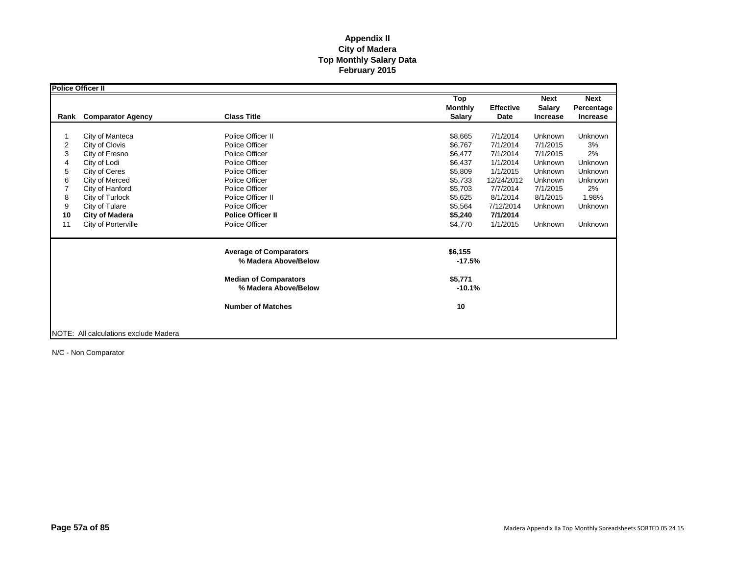|      | Police Officer II                     |                                                      |                     |                  |                 |                |
|------|---------------------------------------|------------------------------------------------------|---------------------|------------------|-----------------|----------------|
|      |                                       |                                                      | Top                 |                  | <b>Next</b>     | <b>Next</b>    |
|      |                                       |                                                      | <b>Monthly</b>      | <b>Effective</b> | <b>Salary</b>   | Percentage     |
| Rank | <b>Comparator Agency</b>              | <b>Class Title</b>                                   | <b>Salary</b>       | Date             | <b>Increase</b> | Increase       |
|      |                                       |                                                      |                     |                  |                 |                |
|      | City of Manteca                       | Police Officer II                                    | \$8,665             | 7/1/2014         | Unknown         | Unknown        |
| 2    | City of Clovis                        | Police Officer                                       | \$6,767             | 7/1/2014         | 7/1/2015        | 3%             |
| 3    | City of Fresno                        | Police Officer                                       | \$6,477             | 7/1/2014         | 7/1/2015        | 2%             |
| 4    | City of Lodi                          | Police Officer                                       | \$6,437             | 1/1/2014         | Unknown         | <b>Unknown</b> |
| 5    | City of Ceres                         | Police Officer                                       | \$5,809             | 1/1/2015         | Unknown         | Unknown        |
| 6    | City of Merced                        | Police Officer                                       | \$5,733             | 12/24/2012       | Unknown         | Unknown        |
|      | City of Hanford                       | Police Officer                                       | \$5,703             | 7/7/2014         | 7/1/2015        | 2%             |
| 8    | City of Turlock                       | Police Officer II                                    | \$5,625             | 8/1/2014         | 8/1/2015        | 1.98%          |
| 9    | City of Tulare                        | Police Officer                                       | \$5,564             | 7/12/2014        | Unknown         | Unknown        |
| 10   | <b>City of Madera</b>                 | <b>Police Officer II</b>                             | \$5,240             | 7/1/2014         |                 |                |
| 11   | City of Porterville                   | Police Officer                                       | \$4,770             | 1/1/2015         | Unknown         | <b>Unknown</b> |
|      |                                       | <b>Average of Comparators</b>                        | \$6,155             |                  |                 |                |
|      |                                       | % Madera Above/Below                                 | $-17.5%$            |                  |                 |                |
|      |                                       | <b>Median of Comparators</b><br>% Madera Above/Below | \$5,771<br>$-10.1%$ |                  |                 |                |
|      |                                       | <b>Number of Matches</b>                             | 10                  |                  |                 |                |
|      | NOTE: All calculations exclude Madera |                                                      |                     |                  |                 |                |

N/C - Non Comparator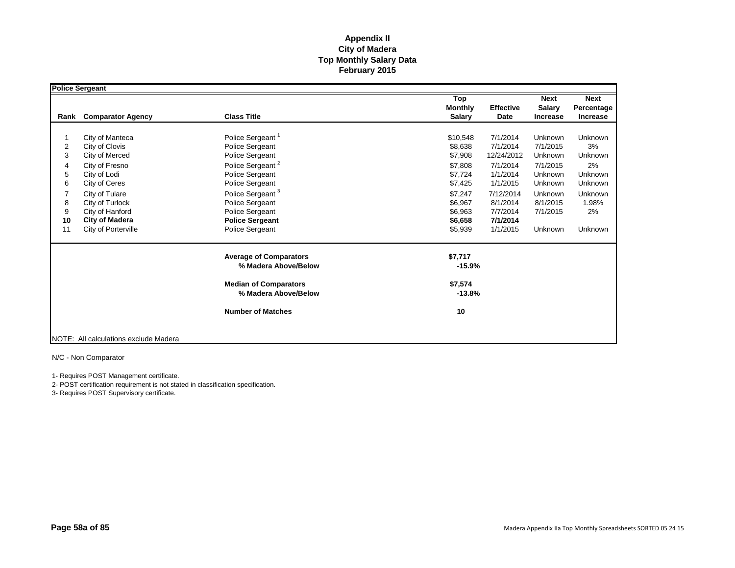|                                             | <b>Police Sergeant</b>                                                                                                                                                                                         |                                                                                                                                                                                                                                                             |                                                                                                                                                                                                                                                               |                                                                                                                |                                                                                           |
|---------------------------------------------|----------------------------------------------------------------------------------------------------------------------------------------------------------------------------------------------------------------|-------------------------------------------------------------------------------------------------------------------------------------------------------------------------------------------------------------------------------------------------------------|---------------------------------------------------------------------------------------------------------------------------------------------------------------------------------------------------------------------------------------------------------------|----------------------------------------------------------------------------------------------------------------|-------------------------------------------------------------------------------------------|
| Rank                                        | <b>Comparator Agency</b>                                                                                                                                                                                       | <b>Class Title</b>                                                                                                                                                                                                                                          | Top<br><b>Monthly</b><br><b>Effective</b><br><b>Salary</b><br>Date                                                                                                                                                                                            | <b>Next</b><br><b>Salary</b><br><b>Increase</b>                                                                | <b>Next</b><br>Percentage<br><b>Increase</b>                                              |
| 2<br>3<br>4<br>5<br>6<br>8<br>9<br>10<br>11 | City of Manteca<br>City of Clovis<br>City of Merced<br>City of Fresno<br>City of Lodi<br>City of Ceres<br>City of Tulare<br>City of Turlock<br>City of Hanford<br><b>City of Madera</b><br>City of Porterville | Police Sergeant <sup>1</sup><br>Police Sergeant<br>Police Sergeant<br>Police Sergeant <sup>2</sup><br>Police Sergeant<br>Police Sergeant<br>Police Sergeant <sup>3</sup><br>Police Sergeant<br>Police Sergeant<br><b>Police Sergeant</b><br>Police Sergeant | \$10,548<br>7/1/2014<br>\$8,638<br>7/1/2014<br>\$7,908<br>12/24/2012<br>\$7,808<br>7/1/2014<br>\$7,724<br>1/1/2014<br>\$7,425<br>1/1/2015<br>\$7,247<br>7/12/2014<br>\$6,967<br>8/1/2014<br>\$6,963<br>7/7/2014<br>\$6,658<br>7/1/2014<br>\$5,939<br>1/1/2015 | Unknown<br>7/1/2015<br>Unknown<br>7/1/2015<br>Unknown<br>Unknown<br>Unknown<br>8/1/2015<br>7/1/2015<br>Unknown | Unknown<br>3%<br>Unknown<br>2%<br>Unknown<br>Unknown<br>Unknown<br>1.98%<br>2%<br>Unknown |
|                                             |                                                                                                                                                                                                                | <b>Average of Comparators</b><br>% Madera Above/Below<br><b>Median of Comparators</b><br>% Madera Above/Below<br><b>Number of Matches</b>                                                                                                                   | \$7,717<br>$-15.9%$<br>\$7,574<br>$-13.8%$<br>10                                                                                                                                                                                                              |                                                                                                                |                                                                                           |
|                                             | NOTE: All calculations exclude Madera                                                                                                                                                                          |                                                                                                                                                                                                                                                             |                                                                                                                                                                                                                                                               |                                                                                                                |                                                                                           |

N/C - Non Comparator

1- Requires POST Management certificate.

2- POST certification requirement is not stated in classification specification.

3- Requires POST Supervisory certificate.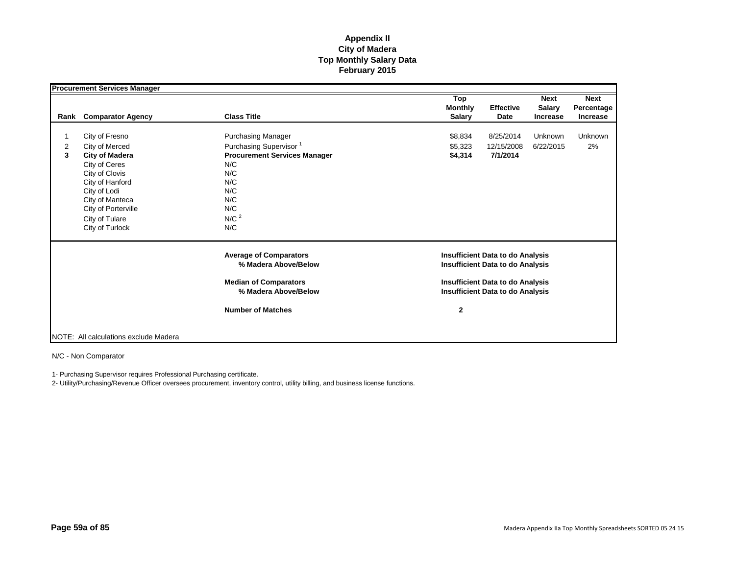|                | <b>Procurement Services Manager</b>   |                                     |                |                                         |                 |                 |
|----------------|---------------------------------------|-------------------------------------|----------------|-----------------------------------------|-----------------|-----------------|
|                |                                       |                                     | Top            |                                         | <b>Next</b>     | <b>Next</b>     |
|                |                                       |                                     | <b>Monthly</b> | <b>Effective</b>                        | <b>Salary</b>   | Percentage      |
| Rank           | <b>Comparator Agency</b>              | <b>Class Title</b>                  | <b>Salary</b>  | Date                                    | <b>Increase</b> | <b>Increase</b> |
| 1              |                                       |                                     |                | 8/25/2014                               | Unknown         | <b>Unknown</b>  |
|                | City of Fresno                        | <b>Purchasing Manager</b>           | \$8,834        |                                         |                 |                 |
| $\overline{2}$ | City of Merced                        | Purchasing Supervisor <sup>1</sup>  | \$5,323        | 12/15/2008                              | 6/22/2015       | 2%              |
| 3              | <b>City of Madera</b>                 | <b>Procurement Services Manager</b> | \$4,314        | 7/1/2014                                |                 |                 |
|                | City of Ceres                         | N/C                                 |                |                                         |                 |                 |
|                | City of Clovis                        | N/C                                 |                |                                         |                 |                 |
|                | City of Hanford                       | N/C                                 |                |                                         |                 |                 |
|                | City of Lodi                          | N/C                                 |                |                                         |                 |                 |
|                | City of Manteca                       | N/C                                 |                |                                         |                 |                 |
|                | City of Porterville                   | N/C                                 |                |                                         |                 |                 |
|                | City of Tulare                        | N/C <sup>2</sup>                    |                |                                         |                 |                 |
|                | City of Turlock                       | N/C                                 |                |                                         |                 |                 |
|                |                                       | <b>Average of Comparators</b>       |                | <b>Insufficient Data to do Analysis</b> |                 |                 |
|                |                                       | % Madera Above/Below                |                | <b>Insufficient Data to do Analysis</b> |                 |                 |
|                |                                       | <b>Median of Comparators</b>        |                | <b>Insufficient Data to do Analysis</b> |                 |                 |
|                |                                       | % Madera Above/Below                |                | <b>Insufficient Data to do Analysis</b> |                 |                 |
|                |                                       | <b>Number of Matches</b>            | $\mathbf{2}$   |                                         |                 |                 |
|                |                                       |                                     |                |                                         |                 |                 |
|                |                                       |                                     |                |                                         |                 |                 |
|                | NOTE: All calculations exclude Madera |                                     |                |                                         |                 |                 |

N/C - Non Comparator

1- Purchasing Supervisor requires Professional Purchasing certificate.

2- Utility/Purchasing/Revenue Officer oversees procurement, inventory control, utility billing, and business license functions.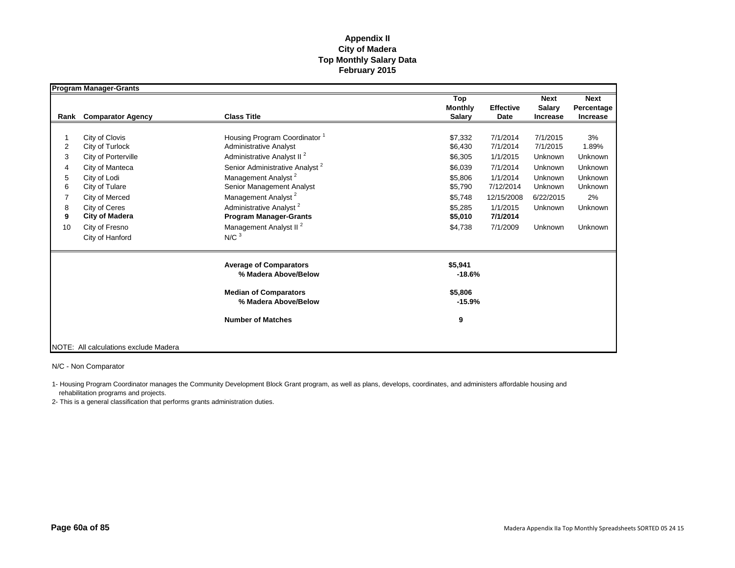|                | <b>Program Manager-Grants</b>         |                                            |                |                  |                 |             |
|----------------|---------------------------------------|--------------------------------------------|----------------|------------------|-----------------|-------------|
|                |                                       |                                            | Top            |                  | <b>Next</b>     | <b>Next</b> |
|                |                                       |                                            | <b>Monthly</b> | <b>Effective</b> | <b>Salary</b>   | Percentage  |
| Rank           | <b>Comparator Agency</b>              | <b>Class Title</b>                         | <b>Salary</b>  | <b>Date</b>      | <b>Increase</b> | Increase    |
|                |                                       |                                            |                |                  |                 |             |
|                | City of Clovis                        | Housing Program Coordinator                | \$7,332        | 7/1/2014         | 7/1/2015        | 3%          |
| $\overline{2}$ | City of Turlock                       | Administrative Analyst                     | \$6,430        | 7/1/2014         | 7/1/2015        | 1.89%       |
| 3              | City of Porterville                   | Administrative Analyst II <sup>2</sup>     | \$6,305        | 1/1/2015         | Unknown         | Unknown     |
| 4              | City of Manteca                       | Senior Administrative Analyst <sup>2</sup> | \$6,039        | 7/1/2014         | Unknown         | Unknown     |
| 5              | City of Lodi                          | Management Analyst <sup>2</sup>            | \$5.806        | 1/1/2014         | Unknown         | Unknown     |
| 6              | City of Tulare                        | Senior Management Analyst                  | \$5,790        | 7/12/2014        | Unknown         | Unknown     |
|                | City of Merced                        | Management Analyst <sup>2</sup>            | \$5,748        | 12/15/2008       | 6/22/2015       | 2%          |
| 8              | City of Ceres                         | Administrative Analyst <sup>2</sup>        | \$5,285        | 1/1/2015         | Unknown         | Unknown     |
| 9              | <b>City of Madera</b>                 | <b>Program Manager-Grants</b>              | \$5,010        | 7/1/2014         |                 |             |
| 10             | City of Fresno                        | Management Analyst II <sup>2</sup>         | \$4,738        | 7/1/2009         | Unknown         | Unknown     |
|                | City of Hanford                       | N/C <sup>3</sup>                           |                |                  |                 |             |
|                |                                       | <b>Average of Comparators</b>              | \$5,941        |                  |                 |             |
|                |                                       | % Madera Above/Below                       | $-18.6%$       |                  |                 |             |
|                |                                       | <b>Median of Comparators</b>               | \$5,806        |                  |                 |             |
|                |                                       | % Madera Above/Below                       | $-15.9%$       |                  |                 |             |
|                |                                       | <b>Number of Matches</b>                   | 9              |                  |                 |             |
|                |                                       |                                            |                |                  |                 |             |
|                | NOTE: All calculations exclude Madera |                                            |                |                  |                 |             |

N/C - Non Comparator

1- Housing Program Coordinator manages the Community Development Block Grant program, as well as plans, develops, coordinates, and administers affordable housing and rehabilitation programs and projects.

2- This is a general classification that performs grants administration duties.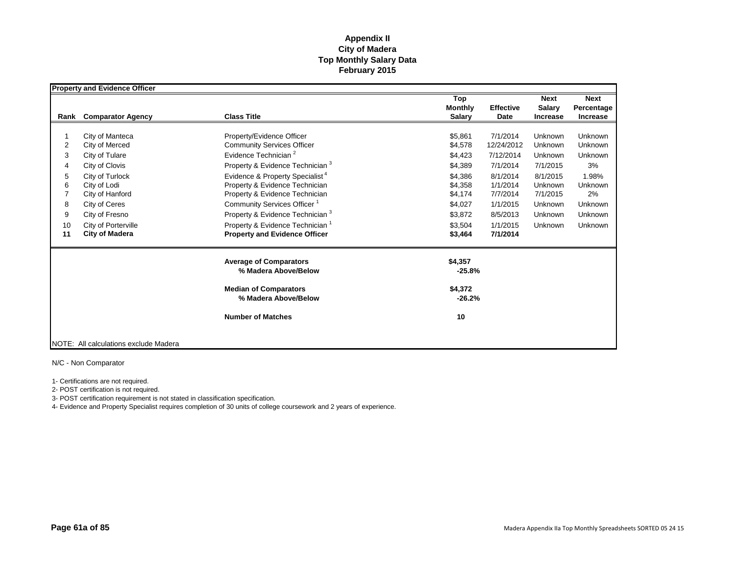|                | <b>Property and Evidence Officer</b>  |                                             |                |                  |                 |             |
|----------------|---------------------------------------|---------------------------------------------|----------------|------------------|-----------------|-------------|
|                |                                       |                                             | Top            |                  | <b>Next</b>     | <b>Next</b> |
|                |                                       |                                             | <b>Monthly</b> | <b>Effective</b> | <b>Salary</b>   | Percentage  |
| Rank           | <b>Comparator Agency</b>              | <b>Class Title</b>                          | <b>Salary</b>  | Date             | <b>Increase</b> | Increase    |
|                |                                       |                                             |                |                  |                 |             |
|                | City of Manteca                       | Property/Evidence Officer                   | \$5,861        | 7/1/2014         | Unknown         | Unknown     |
| $\overline{2}$ | City of Merced                        | <b>Community Services Officer</b>           | \$4,578        | 12/24/2012       | Unknown         | Unknown     |
| 3              | City of Tulare                        | Evidence Technician <sup>2</sup>            | \$4,423        | 7/12/2014        | Unknown         | Unknown     |
| 4              | City of Clovis                        | Property & Evidence Technician <sup>3</sup> | \$4,389        | 7/1/2014         | 7/1/2015        | 3%          |
| 5              | City of Turlock                       | Evidence & Property Specialist <sup>4</sup> | \$4,386        | 8/1/2014         | 8/1/2015        | 1.98%       |
| 6              | City of Lodi                          | Property & Evidence Technician              | \$4,358        | 1/1/2014         | Unknown         | Unknown     |
|                | City of Hanford                       | Property & Evidence Technician              | \$4,174        | 7/7/2014         | 7/1/2015        | 2%          |
| 8              | City of Ceres                         | Community Services Officer <sup>1</sup>     | \$4,027        | 1/1/2015         | Unknown         | Unknown     |
| 9              | City of Fresno                        | Property & Evidence Technician <sup>3</sup> | \$3,872        | 8/5/2013         | Unknown         | Unknown     |
| 10             | City of Porterville                   | Property & Evidence Technician <sup>1</sup> | \$3,504        | 1/1/2015         | Unknown         | Unknown     |
| 11             | <b>City of Madera</b>                 | <b>Property and Evidence Officer</b>        | \$3,464        | 7/1/2014         |                 |             |
|                |                                       |                                             |                |                  |                 |             |
|                |                                       | <b>Average of Comparators</b>               | \$4,357        |                  |                 |             |
|                |                                       | % Madera Above/Below                        | $-25.8%$       |                  |                 |             |
|                |                                       | <b>Median of Comparators</b>                | \$4,372        |                  |                 |             |
|                |                                       | % Madera Above/Below                        | $-26.2%$       |                  |                 |             |
|                |                                       | <b>Number of Matches</b>                    | 10             |                  |                 |             |
|                | NOTE: All calculations exclude Madera |                                             |                |                  |                 |             |

N/C - Non Comparator

1- Certifications are not required.

2- POST certification is not required.

3- POST certification requirement is not stated in classification specification.

4- Evidence and Property Specialist requires completion of 30 units of college coursework and 2 years of experience.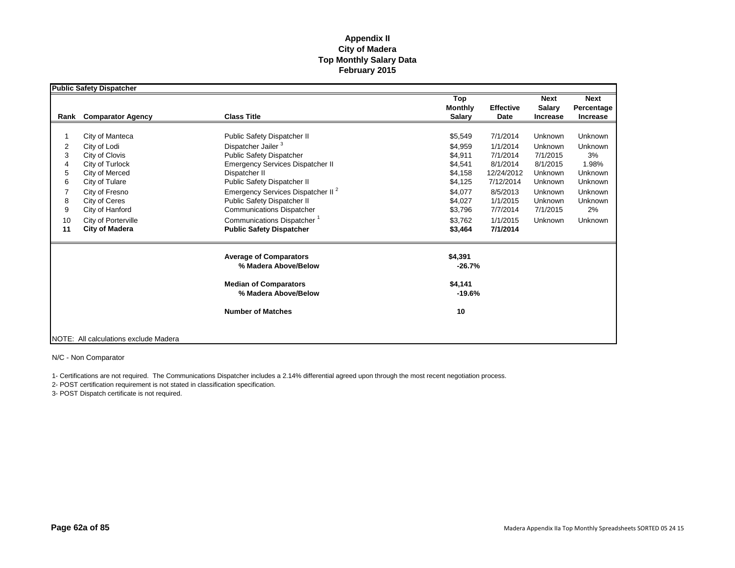|                                             | <b>Public Safety Dispatcher</b>                                                                                                                                                                                |                                                                                                                                                                                                                                                                                                                                                                                              |                                                                                                                       |                                                                                                                                     |                                                                                                               |                                                                                                              |
|---------------------------------------------|----------------------------------------------------------------------------------------------------------------------------------------------------------------------------------------------------------------|----------------------------------------------------------------------------------------------------------------------------------------------------------------------------------------------------------------------------------------------------------------------------------------------------------------------------------------------------------------------------------------------|-----------------------------------------------------------------------------------------------------------------------|-------------------------------------------------------------------------------------------------------------------------------------|---------------------------------------------------------------------------------------------------------------|--------------------------------------------------------------------------------------------------------------|
| Rank                                        | <b>Comparator Agency</b>                                                                                                                                                                                       | <b>Class Title</b>                                                                                                                                                                                                                                                                                                                                                                           | Top<br><b>Monthly</b><br><b>Salary</b>                                                                                | <b>Effective</b><br>Date                                                                                                            | <b>Next</b><br>Salary<br><b>Increase</b>                                                                      | <b>Next</b><br>Percentage<br>Increase                                                                        |
| 2<br>3<br>4<br>5<br>6<br>8<br>9<br>10<br>11 | City of Manteca<br>City of Lodi<br>City of Clovis<br>City of Turlock<br>City of Merced<br>City of Tulare<br>City of Fresno<br>City of Ceres<br>City of Hanford<br>City of Porterville<br><b>City of Madera</b> | Public Safety Dispatcher II<br>Dispatcher Jailer <sup>3</sup><br><b>Public Safety Dispatcher</b><br><b>Emergency Services Dispatcher II</b><br>Dispatcher II<br>Public Safety Dispatcher II<br>Emergency Services Dispatcher II <sup>2</sup><br>Public Safety Dispatcher II<br><b>Communications Dispatcher</b><br>Communications Dispatcher <sup>1</sup><br><b>Public Safety Dispatcher</b> | \$5,549<br>\$4.959<br>\$4,911<br>\$4,541<br>\$4,158<br>\$4,125<br>\$4,077<br>\$4,027<br>\$3,796<br>\$3.762<br>\$3,464 | 7/1/2014<br>1/1/2014<br>7/1/2014<br>8/1/2014<br>12/24/2012<br>7/12/2014<br>8/5/2013<br>1/1/2015<br>7/7/2014<br>1/1/2015<br>7/1/2014 | Unknown<br>Unknown<br>7/1/2015<br>8/1/2015<br>Unknown<br>Unknown<br>Unknown<br>Unknown<br>7/1/2015<br>Unknown | Unknown<br>Unknown<br>3%<br>1.98%<br>Unknown<br>Unknown<br><b>Unknown</b><br>Unknown<br>2%<br><b>Unknown</b> |
|                                             |                                                                                                                                                                                                                | <b>Average of Comparators</b><br>% Madera Above/Below<br><b>Median of Comparators</b><br>% Madera Above/Below<br><b>Number of Matches</b>                                                                                                                                                                                                                                                    | \$4,391<br>$-26.7%$<br>\$4,141<br>$-19.6%$<br>10                                                                      |                                                                                                                                     |                                                                                                               |                                                                                                              |
|                                             | NOTE: All calculations exclude Madera                                                                                                                                                                          |                                                                                                                                                                                                                                                                                                                                                                                              |                                                                                                                       |                                                                                                                                     |                                                                                                               |                                                                                                              |

N/C - Non Comparator

1- Certifications are not required. The Communications Dispatcher includes a 2.14% differential agreed upon through the most recent negotiation process.

2- POST certification requirement is not stated in classification specification.

3- POST Dispatch certificate is not required.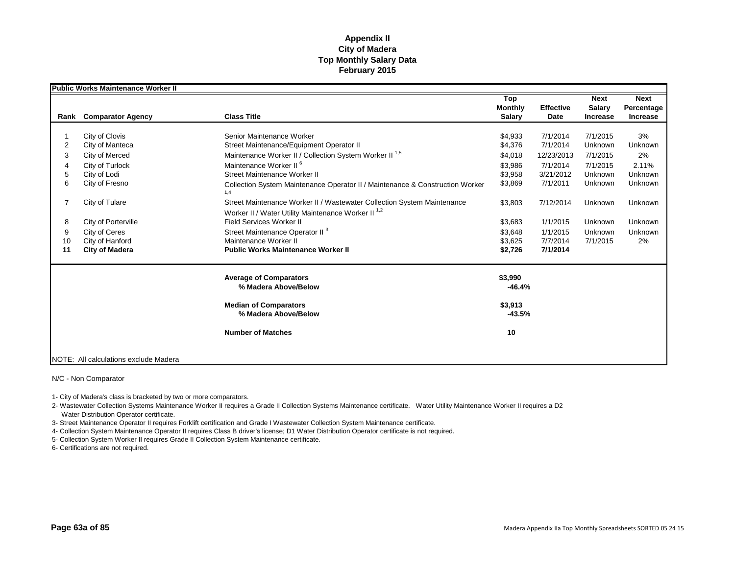|      | <b>Public Works Maintenance Worker II</b> |                                                                                                                                           |                |                  |               |             |
|------|-------------------------------------------|-------------------------------------------------------------------------------------------------------------------------------------------|----------------|------------------|---------------|-------------|
|      |                                           |                                                                                                                                           | Top            |                  | <b>Next</b>   | <b>Next</b> |
|      |                                           |                                                                                                                                           | <b>Monthly</b> | <b>Effective</b> | <b>Salary</b> | Percentage  |
| Rank | <b>Comparator Agency</b>                  | <b>Class Title</b>                                                                                                                        | <b>Salary</b>  | Date             | Increase      | Increase    |
|      |                                           |                                                                                                                                           |                |                  |               |             |
|      | City of Clovis                            | Senior Maintenance Worker                                                                                                                 | \$4,933        | 7/1/2014         | 7/1/2015      | 3%          |
| 2    | City of Manteca                           | Street Maintenance/Equipment Operator II                                                                                                  | \$4,376        | 7/1/2014         | Unknown       | Unknown     |
| 3    | City of Merced                            | Maintenance Worker II / Collection System Worker II <sup>1,5</sup>                                                                        | \$4,018        | 12/23/2013       | 7/1/2015      | 2%          |
|      | City of Turlock                           | Maintenance Worker II <sup>6</sup>                                                                                                        | \$3.986        | 7/1/2014         | 7/1/2015      | 2.11%       |
| 5    | City of Lodi                              | Street Maintenance Worker II                                                                                                              | \$3,958        | 3/21/2012        | Unknown       | Unknown     |
| 6    | City of Fresno                            | Collection System Maintenance Operator II / Maintenance & Construction Worker<br>1.4                                                      | \$3,869        | 7/1/2011         | Unknown       | Unknown     |
|      | City of Tulare                            | Street Maintenance Worker II / Wastewater Collection System Maintenance<br>Worker II / Water Utility Maintenance Worker II <sup>1,2</sup> | \$3,803        | 7/12/2014        | Unknown       | Unknown     |
| 8    | City of Porterville                       | <b>Field Services Worker II</b>                                                                                                           | \$3,683        | 1/1/2015         | Unknown       | Unknown     |
| 9    | City of Ceres                             | Street Maintenance Operator II <sup>3</sup>                                                                                               | \$3.648        | 1/1/2015         | Unknown       | Unknown     |
| 10   | City of Hanford                           | Maintenance Worker II                                                                                                                     | \$3,625        | 7/7/2014         | 7/1/2015      | 2%          |
| 11   | <b>City of Madera</b>                     | <b>Public Works Maintenance Worker II</b>                                                                                                 | \$2,726        | 7/1/2014         |               |             |
|      |                                           |                                                                                                                                           |                |                  |               |             |
|      |                                           | <b>Average of Comparators</b>                                                                                                             | \$3,990        |                  |               |             |
|      |                                           | % Madera Above/Below                                                                                                                      | $-46.4%$       |                  |               |             |
|      |                                           | <b>Median of Comparators</b>                                                                                                              | \$3,913        |                  |               |             |
|      |                                           | % Madera Above/Below                                                                                                                      | $-43.5%$       |                  |               |             |
|      |                                           | <b>Number of Matches</b>                                                                                                                  | 10             |                  |               |             |
|      |                                           |                                                                                                                                           |                |                  |               |             |
|      | NOTE: All calculations exclude Madera     |                                                                                                                                           |                |                  |               |             |

#### N/C - Non Comparator

1- City of Madera's class is bracketed by two or more comparators.

2- Wastewater Collection Systems Maintenance Worker II requires a Grade II Collection Systems Maintenance certificate. Water Utility Maintenance Worker II requires a D2 Water Distribution Operator certificate.

3- Street Maintenance Operator II requires Forklift certification and Grade I Wastewater Collection System Maintenance certificate.

4- Collection System Maintenance Operator II requires Class B driver's license; D1 Water Distribution Operator certificate is not required.

5- Collection System Worker II requires Grade II Collection System Maintenance certificate.

6- Certifications are not required.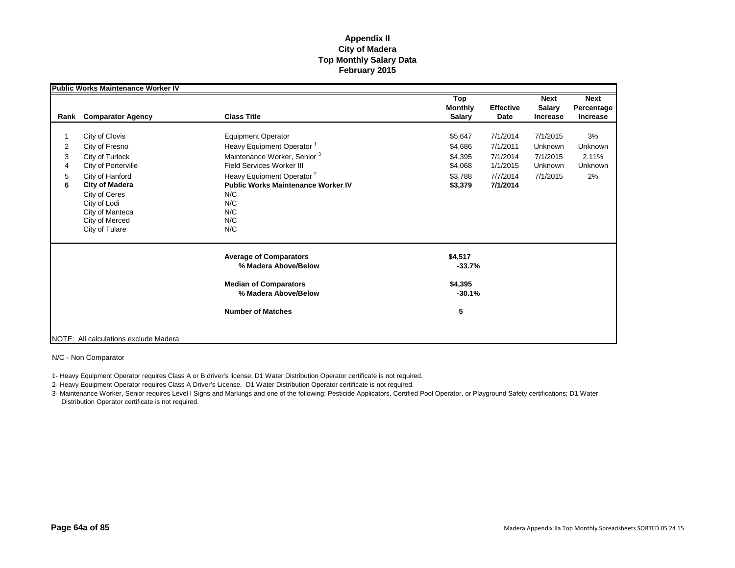|                       | <b>Public Works Maintenance Worker IV</b>                                                                                                                                                                      |                                                                                                                                                                                                                                                                     |                                                                |                                                                      |                                                        |                                         |
|-----------------------|----------------------------------------------------------------------------------------------------------------------------------------------------------------------------------------------------------------|---------------------------------------------------------------------------------------------------------------------------------------------------------------------------------------------------------------------------------------------------------------------|----------------------------------------------------------------|----------------------------------------------------------------------|--------------------------------------------------------|-----------------------------------------|
| Rank                  | <b>Comparator Agency</b>                                                                                                                                                                                       | <b>Class Title</b>                                                                                                                                                                                                                                                  | Top<br><b>Monthly</b><br><b>Salary</b>                         | <b>Effective</b><br>Date                                             | <b>Next</b><br>Salary<br><b>Increase</b>               | <b>Next</b><br>Percentage<br>Increase   |
| 2<br>3<br>4<br>5<br>6 | City of Clovis<br>City of Fresno<br>City of Turlock<br>City of Porterville<br>City of Hanford<br><b>City of Madera</b><br>City of Ceres<br>City of Lodi<br>City of Manteca<br>City of Merced<br>City of Tulare | <b>Equipment Operator</b><br>Heavy Equipment Operator <sup>1</sup><br>Maintenance Worker, Senior <sup>3</sup><br>Field Services Worker III<br>Heavy Equipment Operator <sup>2</sup><br><b>Public Works Maintenance Worker IV</b><br>N/C<br>N/C<br>N/C<br>N/C<br>N/C | \$5,647<br>\$4,686<br>\$4,395<br>\$4,068<br>\$3,788<br>\$3,379 | 7/1/2014<br>7/1/2011<br>7/1/2014<br>1/1/2015<br>7/7/2014<br>7/1/2014 | 7/1/2015<br>Unknown<br>7/1/2015<br>Unknown<br>7/1/2015 | 3%<br>Unknown<br>2.11%<br>Unknown<br>2% |
|                       |                                                                                                                                                                                                                | <b>Average of Comparators</b><br>% Madera Above/Below<br><b>Median of Comparators</b><br>% Madera Above/Below<br><b>Number of Matches</b>                                                                                                                           | \$4,517<br>$-33.7%$<br>\$4,395<br>$-30.1%$<br>5                |                                                                      |                                                        |                                         |
|                       | NOTE: All calculations exclude Madera                                                                                                                                                                          |                                                                                                                                                                                                                                                                     |                                                                |                                                                      |                                                        |                                         |

N/C - Non Comparator

1- Heavy Equipment Operator requires Class A or B driver's license; D1 Water Distribution Operator certificate is not required.

2- Heavy Equipment Operator requires Class A Driver's License. D1 Water Distribution Operator certificate is not required.

3- Maintenance Worker, Senior requires Level I Signs and Markings and one of the following: Pesticide Applicators, Certified Pool Operator, or Playground Safety certifications; D1 Water Distribution Operator certificate is not required.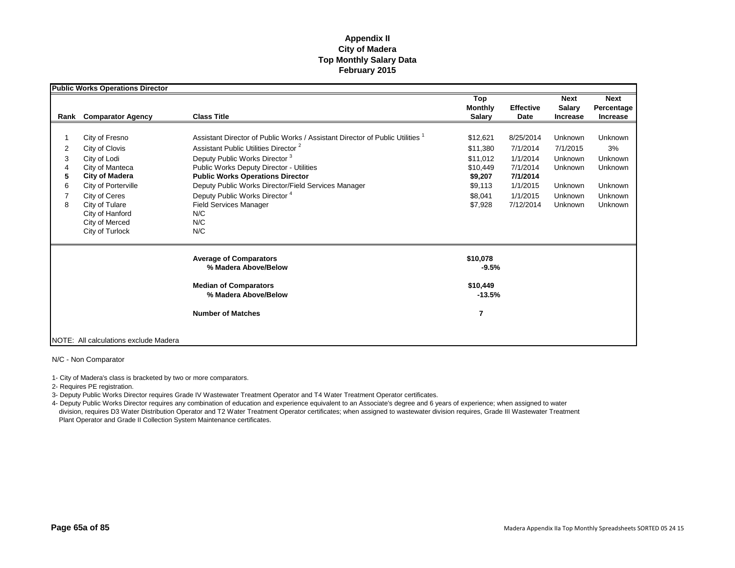|                       | <b>Public Works Operations Director</b>                                                                                                                                                                        |                                                                                                                                                                                                                                                                                                                                                                                                                                      |                                                                                          |                                                                                                |                                                                            |                                                                      |
|-----------------------|----------------------------------------------------------------------------------------------------------------------------------------------------------------------------------------------------------------|--------------------------------------------------------------------------------------------------------------------------------------------------------------------------------------------------------------------------------------------------------------------------------------------------------------------------------------------------------------------------------------------------------------------------------------|------------------------------------------------------------------------------------------|------------------------------------------------------------------------------------------------|----------------------------------------------------------------------------|----------------------------------------------------------------------|
| Rank                  | <b>Comparator Agency</b>                                                                                                                                                                                       | <b>Class Title</b>                                                                                                                                                                                                                                                                                                                                                                                                                   | Top<br><b>Monthly</b><br><b>Salary</b>                                                   | <b>Effective</b><br>Date                                                                       | <b>Next</b><br><b>Salary</b><br><b>Increase</b>                            | <b>Next</b><br>Percentage<br>Increase                                |
| 2<br>3<br>5<br>6<br>8 | City of Fresno<br>City of Clovis<br>City of Lodi<br>City of Manteca<br><b>City of Madera</b><br>City of Porterville<br>City of Ceres<br>City of Tulare<br>City of Hanford<br>City of Merced<br>City of Turlock | Assistant Director of Public Works / Assistant Director of Public Utilities<br>Assistant Public Utilities Director <sup>2</sup><br>Deputy Public Works Director <sup>3</sup><br><b>Public Works Deputy Director - Utilities</b><br><b>Public Works Operations Director</b><br>Deputy Public Works Director/Field Services Manager<br>Deputy Public Works Director <sup>4</sup><br><b>Field Services Manager</b><br>N/C<br>N/C<br>N/C | \$12,621<br>\$11,380<br>\$11,012<br>\$10,449<br>\$9,207<br>\$9,113<br>\$8,041<br>\$7,928 | 8/25/2014<br>7/1/2014<br>1/1/2014<br>7/1/2014<br>7/1/2014<br>1/1/2015<br>1/1/2015<br>7/12/2014 | Unknown<br>7/1/2015<br>Unknown<br>Unknown<br>Unknown<br>Unknown<br>Unknown | Unknown<br>3%<br>Unknown<br>Unknown<br>Unknown<br>Unknown<br>Unknown |
|                       |                                                                                                                                                                                                                | <b>Average of Comparators</b><br>% Madera Above/Below<br><b>Median of Comparators</b><br>% Madera Above/Below<br><b>Number of Matches</b>                                                                                                                                                                                                                                                                                            | \$10,078<br>$-9.5%$<br>\$10,449<br>$-13.5%$<br>$\overline{7}$                            |                                                                                                |                                                                            |                                                                      |
|                       | NOTE: All calculations exclude Madera                                                                                                                                                                          |                                                                                                                                                                                                                                                                                                                                                                                                                                      |                                                                                          |                                                                                                |                                                                            |                                                                      |

N/C - Non Comparator

1- City of Madera's class is bracketed by two or more comparators.

2- Requires PE registration.

3- Deputy Public Works Director requires Grade IV Wastewater Treatment Operator and T4 Water Treatment Operator certificates.

4- Deputy Public Works Director requires any combination of education and experience equivalent to an Associate's degree and 6 years of experience; when assigned to water division, requires D3 Water Distribution Operator and T2 Water Treatment Operator certificates; when assigned to wastewater division requires, Grade III Wastewater Treatment Plant Operator and Grade II Collection System Maintenance certificates.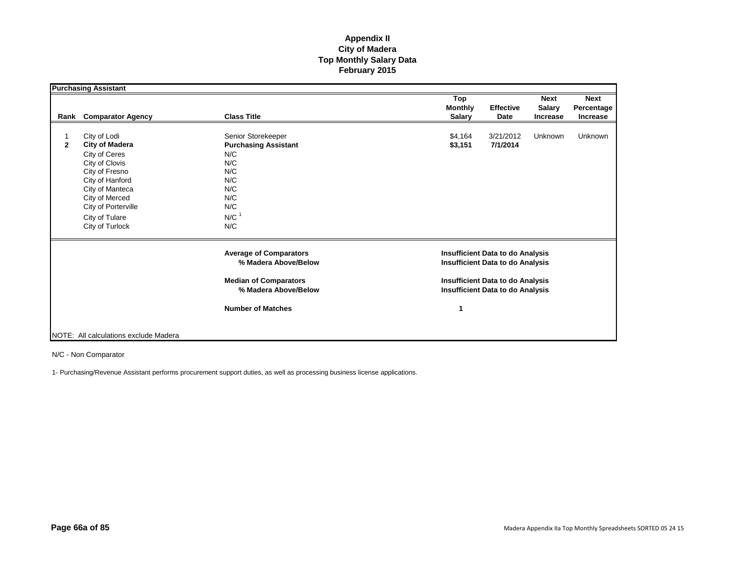|              | <b>Purchasing Assistant</b>                                                                                                                                                                                    |                                                                                                                                 |                                                                                                                                                                          |                                                 |                                       |  |
|--------------|----------------------------------------------------------------------------------------------------------------------------------------------------------------------------------------------------------------|---------------------------------------------------------------------------------------------------------------------------------|--------------------------------------------------------------------------------------------------------------------------------------------------------------------------|-------------------------------------------------|---------------------------------------|--|
|              | Rank Comparator Agency                                                                                                                                                                                         | <b>Class Title</b>                                                                                                              | Top<br><b>Monthly</b><br><b>Effective</b><br><b>Salary</b><br>Date                                                                                                       | <b>Next</b><br><b>Salary</b><br><b>Increase</b> | <b>Next</b><br>Percentage<br>Increase |  |
| $\mathbf{2}$ | City of Lodi<br><b>City of Madera</b><br>City of Ceres<br>City of Clovis<br>City of Fresno<br>City of Hanford<br>City of Manteca<br>City of Merced<br>City of Porterville<br>City of Tulare<br>City of Turlock | Senior Storekeeper<br><b>Purchasing Assistant</b><br>N/C<br>N/C<br>N/C<br>N/C<br>N/C<br>N/C<br>N/C<br>$N/C$ <sup>1</sup><br>N/C | \$4,164<br>3/21/2012<br>\$3,151<br>7/1/2014                                                                                                                              | Unknown                                         | <b>Unknown</b>                        |  |
|              |                                                                                                                                                                                                                | <b>Average of Comparators</b><br>% Madera Above/Below<br><b>Median of Comparators</b><br>% Madera Above/Below                   | <b>Insufficient Data to do Analysis</b><br><b>Insufficient Data to do Analysis</b><br><b>Insufficient Data to do Analysis</b><br><b>Insufficient Data to do Analysis</b> |                                                 |                                       |  |
|              | NOTE: All calculations exclude Madera                                                                                                                                                                          | <b>Number of Matches</b>                                                                                                        | 1                                                                                                                                                                        |                                                 |                                       |  |

N/C - Non Comparator

1- Purchasing/Revenue Assistant performs procurement support duties, as well as processing business license applications.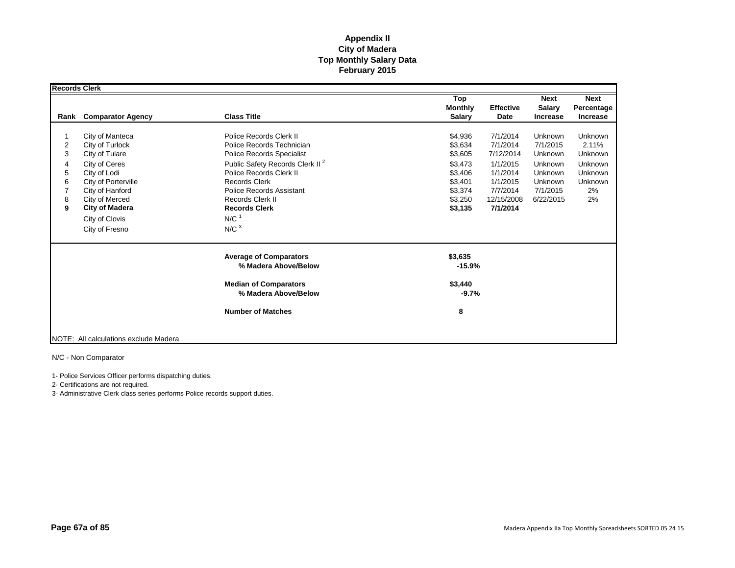| <b>Records Clerk</b>                                  |                                                                                                                                                                                                                |                                                                                                                                                                                                                                                                                                            |                                                                                                 |                                                                                                             |                                                                                          |                                                                                 |
|-------------------------------------------------------|----------------------------------------------------------------------------------------------------------------------------------------------------------------------------------------------------------------|------------------------------------------------------------------------------------------------------------------------------------------------------------------------------------------------------------------------------------------------------------------------------------------------------------|-------------------------------------------------------------------------------------------------|-------------------------------------------------------------------------------------------------------------|------------------------------------------------------------------------------------------|---------------------------------------------------------------------------------|
| Rank                                                  | <b>Comparator Agency</b>                                                                                                                                                                                       | <b>Class Title</b>                                                                                                                                                                                                                                                                                         | Top<br><b>Monthly</b><br><b>Salary</b>                                                          | <b>Effective</b><br>Date                                                                                    | <b>Next</b><br><b>Salary</b><br><b>Increase</b>                                          | <b>Next</b><br>Percentage<br>Increase                                           |
| $\overline{\mathbf{c}}$<br>3<br>4<br>5<br>6<br>8<br>9 | City of Manteca<br>City of Turlock<br>City of Tulare<br>City of Ceres<br>City of Lodi<br>City of Porterville<br>City of Hanford<br>City of Merced<br><b>City of Madera</b><br>City of Clovis<br>City of Fresno | Police Records Clerk II<br>Police Records Technician<br>Police Records Specialist<br>Public Safety Records Clerk II <sup>2</sup><br>Police Records Clerk II<br><b>Records Clerk</b><br><b>Police Records Assistant</b><br>Records Clerk II<br><b>Records Clerk</b><br>N/C <sup>1</sup><br>N/C <sup>3</sup> | \$4,936<br>\$3,634<br>\$3,605<br>\$3,473<br>\$3,406<br>\$3,401<br>\$3,374<br>\$3,250<br>\$3,135 | 7/1/2014<br>7/1/2014<br>7/12/2014<br>1/1/2015<br>1/1/2014<br>1/1/2015<br>7/7/2014<br>12/15/2008<br>7/1/2014 | Unknown<br>7/1/2015<br>Unknown<br>Unknown<br>Unknown<br>Unknown<br>7/1/2015<br>6/22/2015 | <b>Unknown</b><br>2.11%<br>Unknown<br>Unknown<br>Unknown<br>Unknown<br>2%<br>2% |
|                                                       |                                                                                                                                                                                                                | <b>Average of Comparators</b><br>% Madera Above/Below<br><b>Median of Comparators</b><br>% Madera Above/Below                                                                                                                                                                                              | \$3,635<br>$-15.9%$<br>\$3,440<br>$-9.7%$                                                       |                                                                                                             |                                                                                          |                                                                                 |
|                                                       |                                                                                                                                                                                                                | <b>Number of Matches</b>                                                                                                                                                                                                                                                                                   | 8                                                                                               |                                                                                                             |                                                                                          |                                                                                 |
|                                                       | NOTE: All calculations exclude Madera                                                                                                                                                                          |                                                                                                                                                                                                                                                                                                            |                                                                                                 |                                                                                                             |                                                                                          |                                                                                 |

N/C - Non Comparator

1- Police Services Officer performs dispatching duties.

2- Certifications are not required.

3- Administrative Clerk class series performs Police records support duties.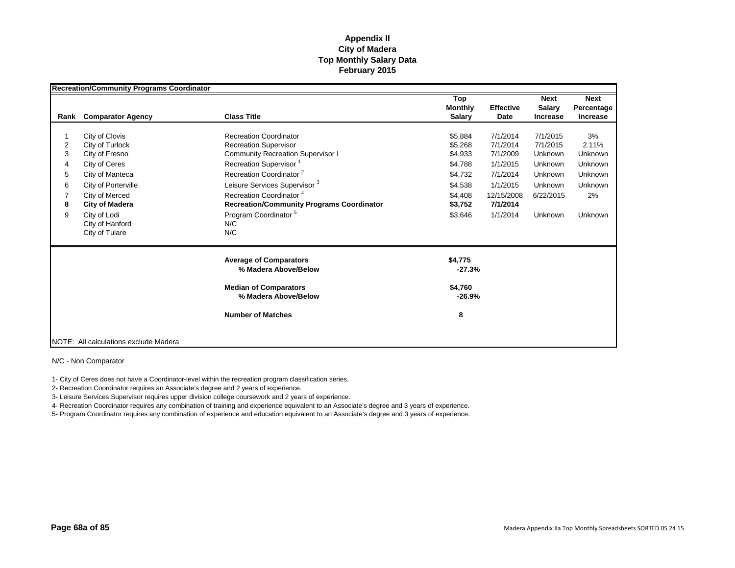|                                              | <b>Recreation/Community Programs Coordinator</b>                                                                                                                                                        |                                                                                                                                                                                                                                                                                                                                                                                 |                                                                                                 |                                                                                                            |                                                                                                 |                                                                                 |
|----------------------------------------------|---------------------------------------------------------------------------------------------------------------------------------------------------------------------------------------------------------|---------------------------------------------------------------------------------------------------------------------------------------------------------------------------------------------------------------------------------------------------------------------------------------------------------------------------------------------------------------------------------|-------------------------------------------------------------------------------------------------|------------------------------------------------------------------------------------------------------------|-------------------------------------------------------------------------------------------------|---------------------------------------------------------------------------------|
| Rank                                         | <b>Comparator Agency</b>                                                                                                                                                                                | <b>Class Title</b>                                                                                                                                                                                                                                                                                                                                                              | Top<br><b>Monthly</b><br><b>Salary</b>                                                          | <b>Effective</b><br>Date                                                                                   | <b>Next</b><br><b>Salary</b><br><b>Increase</b>                                                 | <b>Next</b><br>Percentage<br><b>Increase</b>                                    |
| $\overline{c}$<br>3<br>4<br>5<br>6<br>8<br>9 | City of Clovis<br>City of Turlock<br>City of Fresno<br>City of Ceres<br>City of Manteca<br>City of Porterville<br>City of Merced<br>City of Madera<br>City of Lodi<br>City of Hanford<br>City of Tulare | <b>Recreation Coordinator</b><br><b>Recreation Supervisor</b><br><b>Community Recreation Supervisor I</b><br>Recreation Supervisor <sup>1</sup><br>Recreation Coordinator <sup>2</sup><br>Leisure Services Supervisor <sup>3</sup><br>Recreation Coordinator <sup>4</sup><br><b>Recreation/Community Programs Coordinator</b><br>Program Coordinator <sup>5</sup><br>N/C<br>N/C | \$5,884<br>\$5.268<br>\$4,933<br>\$4,788<br>\$4,732<br>\$4,538<br>\$4,408<br>\$3,752<br>\$3,646 | 7/1/2014<br>7/1/2014<br>7/1/2009<br>1/1/2015<br>7/1/2014<br>1/1/2015<br>12/15/2008<br>7/1/2014<br>1/1/2014 | 7/1/2015<br>7/1/2015<br>Unknown<br><b>Unknown</b><br>Unknown<br>Unknown<br>6/22/2015<br>Unknown | 3%<br>2.11%<br>Unknown<br>Unknown<br>Unknown<br><b>Unknown</b><br>2%<br>Unknown |
|                                              |                                                                                                                                                                                                         | <b>Average of Comparators</b><br>% Madera Above/Below<br><b>Median of Comparators</b><br>% Madera Above/Below<br><b>Number of Matches</b>                                                                                                                                                                                                                                       | \$4,775<br>$-27.3%$<br>\$4,760<br>$-26.9%$<br>8                                                 |                                                                                                            |                                                                                                 |                                                                                 |
|                                              | NOTE: All calculations exclude Madera                                                                                                                                                                   |                                                                                                                                                                                                                                                                                                                                                                                 |                                                                                                 |                                                                                                            |                                                                                                 |                                                                                 |

N/C - Non Comparator

1- City of Ceres does not have a Coordinator-level within the recreation program classification series.

2- Recreation Coordinator requires an Associate's degree and 2 years of experience.

3- Leisure Services Supervisor requires upper division college coursework and 2 years of experience.

4- Recreation Coordinator requires any combination of training and experience equivalent to an Associate's degree and 3 years of experience.

5- Program Coordinator requires any combination of experience and education equivalent to an Associate's degree and 3 years of experience.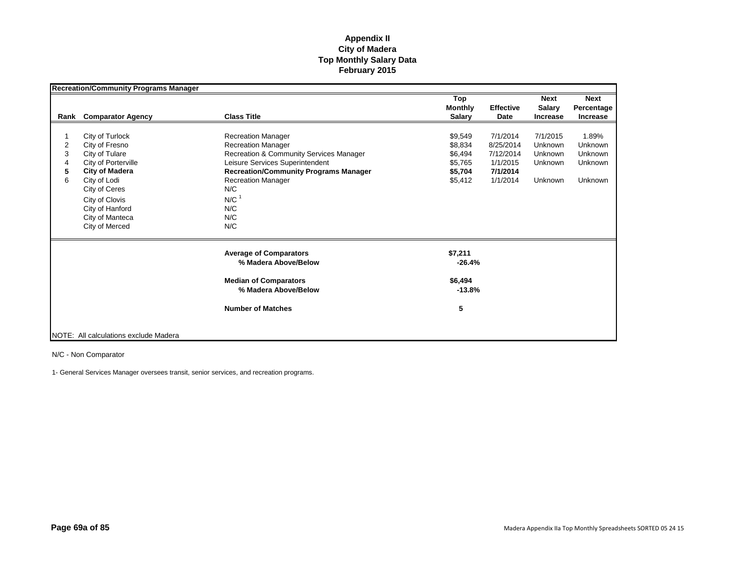|      | <b>Recreation/Community Programs Manager</b> |                                              |                |                  |                 |                 |
|------|----------------------------------------------|----------------------------------------------|----------------|------------------|-----------------|-----------------|
|      |                                              |                                              | Top            |                  | <b>Next</b>     | <b>Next</b>     |
|      |                                              |                                              | <b>Monthly</b> | <b>Effective</b> | Salary          | Percentage      |
| Rank | <b>Comparator Agency</b>                     | <b>Class Title</b>                           | <b>Salary</b>  | Date             | <b>Increase</b> | <b>Increase</b> |
|      |                                              |                                              |                |                  |                 |                 |
|      | City of Turlock                              | <b>Recreation Manager</b>                    | \$9,549        | 7/1/2014         | 7/1/2015        | 1.89%           |
| 2    | City of Fresno                               | <b>Recreation Manager</b>                    | \$8,834        | 8/25/2014        | Unknown         | <b>Unknown</b>  |
| 3    | City of Tulare                               | Recreation & Community Services Manager      | \$6,494        | 7/12/2014        | <b>Unknown</b>  | Unknown         |
| 4    | City of Porterville                          | Leisure Services Superintendent              | \$5,765        | 1/1/2015         | <b>Unknown</b>  | <b>Unknown</b>  |
| 5    | <b>City of Madera</b>                        | <b>Recreation/Community Programs Manager</b> | \$5,704        | 7/1/2014         |                 |                 |
| 6    | City of Lodi                                 | <b>Recreation Manager</b>                    | \$5,412        | 1/1/2014         | Unknown         | <b>Unknown</b>  |
|      | City of Ceres                                | N/C                                          |                |                  |                 |                 |
|      | City of Clovis                               | $N/C$ <sup>1</sup>                           |                |                  |                 |                 |
|      | City of Hanford                              | N/C                                          |                |                  |                 |                 |
|      | City of Manteca                              | N/C                                          |                |                  |                 |                 |
|      |                                              |                                              |                |                  |                 |                 |
|      | City of Merced                               | N/C                                          |                |                  |                 |                 |
|      |                                              | <b>Average of Comparators</b>                | \$7,211        |                  |                 |                 |
|      |                                              | % Madera Above/Below                         | $-26.4%$       |                  |                 |                 |
|      |                                              | <b>Median of Comparators</b>                 | \$6,494        |                  |                 |                 |
|      |                                              | % Madera Above/Below                         | $-13.8%$       |                  |                 |                 |
|      |                                              | <b>Number of Matches</b>                     | 5              |                  |                 |                 |
|      |                                              |                                              |                |                  |                 |                 |
|      | NOTE: All calculations exclude Madera        |                                              |                |                  |                 |                 |

N/C - Non Comparator

1- General Services Manager oversees transit, senior services, and recreation programs.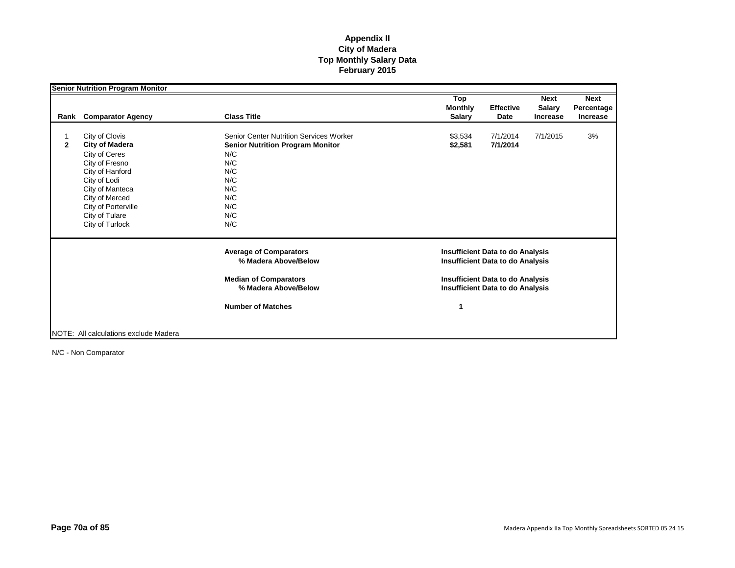|              |                                       |                                                       | Top            |                                                                                    | <b>Next</b>     | <b>Next</b> |
|--------------|---------------------------------------|-------------------------------------------------------|----------------|------------------------------------------------------------------------------------|-----------------|-------------|
|              |                                       |                                                       | <b>Monthly</b> | <b>Effective</b>                                                                   | <b>Salary</b>   | Percentage  |
| Rank         | <b>Comparator Agency</b>              | <b>Class Title</b>                                    | <b>Salary</b>  | Date                                                                               | <b>Increase</b> | Increase    |
|              | City of Clovis                        | <b>Senior Center Nutrition Services Worker</b>        | \$3,534        | 7/1/2014                                                                           | 7/1/2015        | 3%          |
| $\mathbf{2}$ | <b>City of Madera</b>                 | <b>Senior Nutrition Program Monitor</b>               | \$2,581        | 7/1/2014                                                                           |                 |             |
|              | City of Ceres                         | N/C                                                   |                |                                                                                    |                 |             |
|              | City of Fresno                        | N/C                                                   |                |                                                                                    |                 |             |
|              | City of Hanford                       | N/C                                                   |                |                                                                                    |                 |             |
|              | City of Lodi                          | N/C                                                   |                |                                                                                    |                 |             |
|              | City of Manteca                       | N/C                                                   |                |                                                                                    |                 |             |
|              | City of Merced                        | N/C                                                   |                |                                                                                    |                 |             |
|              | City of Porterville                   | N/C                                                   |                |                                                                                    |                 |             |
|              | City of Tulare                        | N/C                                                   |                |                                                                                    |                 |             |
|              | City of Turlock                       | N/C                                                   |                |                                                                                    |                 |             |
|              |                                       | <b>Average of Comparators</b><br>% Madera Above/Below |                | <b>Insufficient Data to do Analysis</b><br><b>Insufficient Data to do Analysis</b> |                 |             |
|              |                                       |                                                       |                |                                                                                    |                 |             |
|              |                                       | <b>Median of Comparators</b><br>% Madera Above/Below  |                | <b>Insufficient Data to do Analysis</b><br><b>Insufficient Data to do Analysis</b> |                 |             |
|              |                                       | <b>Number of Matches</b>                              | 1              |                                                                                    |                 |             |
|              |                                       |                                                       |                |                                                                                    |                 |             |
|              | NOTE: All calculations exclude Madera |                                                       |                |                                                                                    |                 |             |

N/C - Non Comparator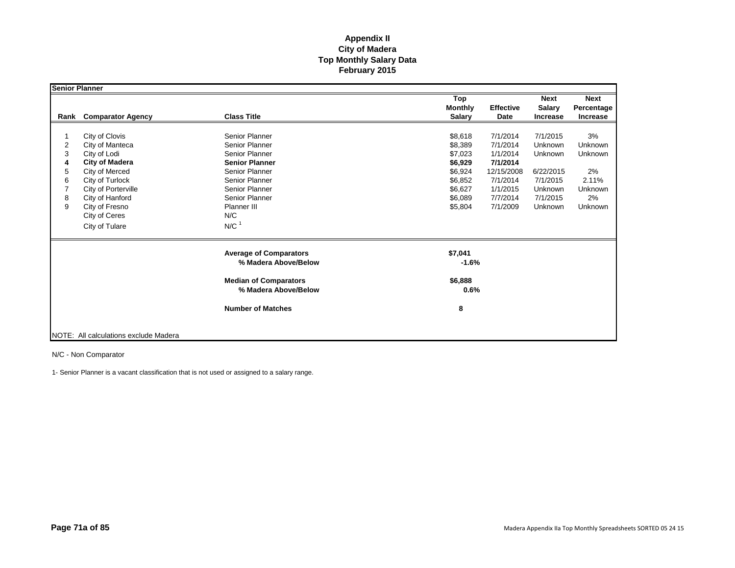| Senior Planner |                                       |                                                      |                                        |                          |                                          |                                              |
|----------------|---------------------------------------|------------------------------------------------------|----------------------------------------|--------------------------|------------------------------------------|----------------------------------------------|
| Rank           | <b>Comparator Agency</b>              | <b>Class Title</b>                                   | Top<br><b>Monthly</b><br><b>Salary</b> | <b>Effective</b><br>Date | <b>Next</b><br>Salary<br><b>Increase</b> | <b>Next</b><br>Percentage<br><b>Increase</b> |
|                |                                       |                                                      |                                        |                          |                                          |                                              |
|                | City of Clovis                        | Senior Planner                                       | \$8,618                                | 7/1/2014                 | 7/1/2015                                 | 3%                                           |
| 2              | City of Manteca                       | Senior Planner                                       | \$8,389                                | 7/1/2014                 | Unknown                                  | Unknown                                      |
| 3              | City of Lodi                          | Senior Planner                                       | \$7,023                                | 1/1/2014                 | Unknown                                  | <b>Unknown</b>                               |
| 4              | City of Madera                        | <b>Senior Planner</b>                                | \$6,929                                | 7/1/2014                 |                                          |                                              |
| 5              | City of Merced                        | Senior Planner                                       | \$6,924                                | 12/15/2008               | 6/22/2015                                | 2%                                           |
| 6              | City of Turlock                       | Senior Planner                                       | \$6,852                                | 7/1/2014                 | 7/1/2015                                 | 2.11%                                        |
|                | City of Porterville                   | Senior Planner                                       | \$6,627                                | 1/1/2015                 | Unknown                                  | <b>Unknown</b>                               |
| 8              | City of Hanford                       | Senior Planner                                       | \$6,089                                | 7/7/2014                 | 7/1/2015                                 | 2%                                           |
| 9              | City of Fresno                        | Planner III                                          | \$5,804                                | 7/1/2009                 | Unknown                                  | Unknown                                      |
|                | City of Ceres                         | N/C                                                  |                                        |                          |                                          |                                              |
|                | City of Tulare                        | $N/C$ <sup>1</sup>                                   |                                        |                          |                                          |                                              |
|                |                                       | <b>Average of Comparators</b>                        | \$7,041                                |                          |                                          |                                              |
|                |                                       | % Madera Above/Below                                 | $-1.6%$                                |                          |                                          |                                              |
|                |                                       | <b>Median of Comparators</b><br>% Madera Above/Below | \$6,888<br>0.6%                        |                          |                                          |                                              |
|                |                                       | <b>Number of Matches</b>                             | 8                                      |                          |                                          |                                              |
|                |                                       |                                                      |                                        |                          |                                          |                                              |
|                | NOTE: All calculations exclude Madera |                                                      |                                        |                          |                                          |                                              |

N/C - Non Comparator

1- Senior Planner is a vacant classification that is not used or assigned to a salary range.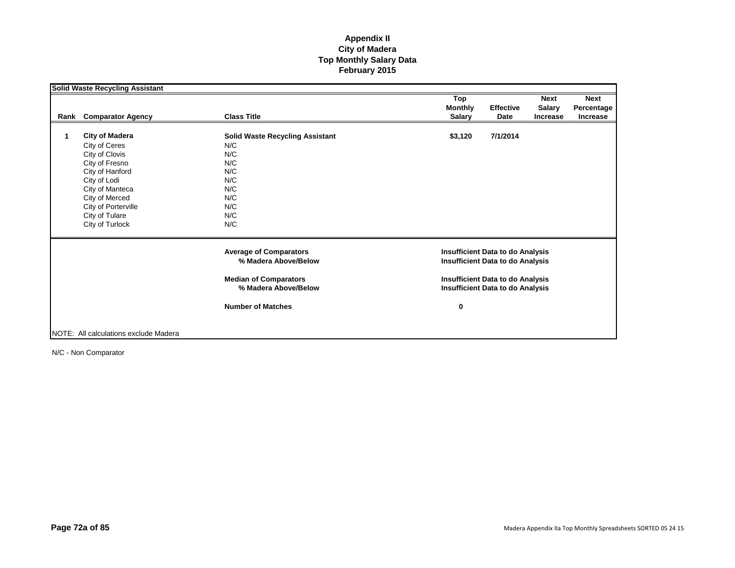|      | <b>Solid Waste Recycling Assistant</b> |                                                       | Top                                                                                |                  | <b>Next</b>     | <b>Next</b>     |
|------|----------------------------------------|-------------------------------------------------------|------------------------------------------------------------------------------------|------------------|-----------------|-----------------|
|      |                                        |                                                       | <b>Monthly</b>                                                                     | <b>Effective</b> | <b>Salary</b>   | Percentage      |
| Rank | <b>Comparator Agency</b>               | <b>Class Title</b>                                    | <b>Salary</b>                                                                      | Date             | <b>Increase</b> | <b>Increase</b> |
| 1    | <b>City of Madera</b>                  |                                                       |                                                                                    | 7/1/2014         |                 |                 |
|      |                                        | <b>Solid Waste Recycling Assistant</b><br>N/C         | \$3,120                                                                            |                  |                 |                 |
|      | City of Ceres                          |                                                       |                                                                                    |                  |                 |                 |
|      | City of Clovis                         | N/C                                                   |                                                                                    |                  |                 |                 |
|      | City of Fresno                         | N/C                                                   |                                                                                    |                  |                 |                 |
|      | City of Hanford                        | N/C                                                   |                                                                                    |                  |                 |                 |
|      | City of Lodi                           | N/C                                                   |                                                                                    |                  |                 |                 |
|      | City of Manteca                        | N/C                                                   |                                                                                    |                  |                 |                 |
|      | City of Merced                         | N/C                                                   |                                                                                    |                  |                 |                 |
|      | City of Porterville                    | N/C                                                   |                                                                                    |                  |                 |                 |
|      | City of Tulare                         | N/C                                                   |                                                                                    |                  |                 |                 |
|      | City of Turlock                        | N/C                                                   |                                                                                    |                  |                 |                 |
|      |                                        | <b>Average of Comparators</b><br>% Madera Above/Below | <b>Insufficient Data to do Analysis</b><br><b>Insufficient Data to do Analysis</b> |                  |                 |                 |
|      |                                        |                                                       |                                                                                    |                  |                 |                 |
|      |                                        | <b>Median of Comparators</b><br>% Madera Above/Below  | <b>Insufficient Data to do Analysis</b>                                            |                  |                 |                 |
|      |                                        |                                                       | <b>Insufficient Data to do Analysis</b>                                            |                  |                 |                 |
|      |                                        | <b>Number of Matches</b>                              | 0                                                                                  |                  |                 |                 |
|      |                                        |                                                       |                                                                                    |                  |                 |                 |
|      | NOTE: All calculations exclude Madera  |                                                       |                                                                                    |                  |                 |                 |

N/C - Non Comparator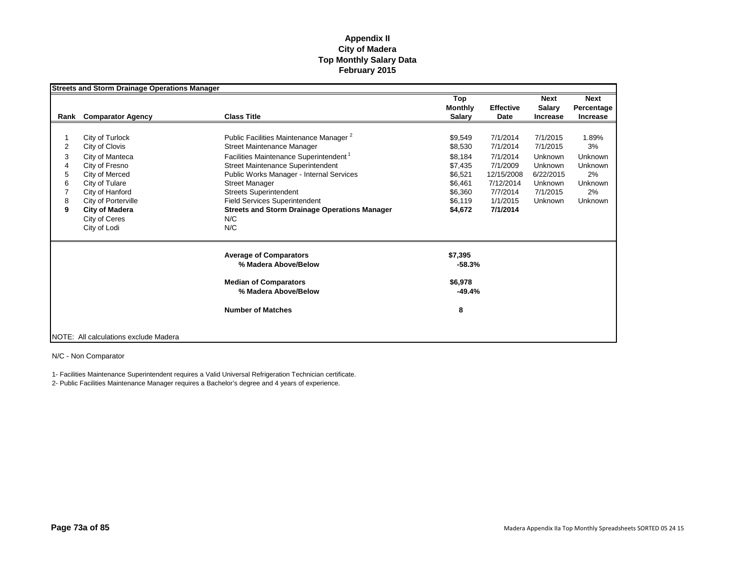|      | <b>Streets and Storm Drainage Operations Manager</b> |                                                      |                |                  |                 |                 |
|------|------------------------------------------------------|------------------------------------------------------|----------------|------------------|-----------------|-----------------|
|      |                                                      |                                                      | Top            |                  | <b>Next</b>     | <b>Next</b>     |
|      |                                                      |                                                      | <b>Monthly</b> | <b>Effective</b> | <b>Salary</b>   | Percentage      |
| Rank | <b>Comparator Agency</b>                             | <b>Class Title</b>                                   | <b>Salary</b>  | Date             | <b>Increase</b> | <b>Increase</b> |
|      |                                                      |                                                      |                |                  |                 |                 |
|      | City of Turlock                                      | Public Facilities Maintenance Manager <sup>2</sup>   | \$9,549        | 7/1/2014         | 7/1/2015        | 1.89%           |
| 2    | City of Clovis                                       | Street Maintenance Manager                           | \$8,530        | 7/1/2014         | 7/1/2015        | 3%              |
| 3    | City of Manteca                                      | Facilities Maintenance Superintendent <sup>1</sup>   | \$8,184        | 7/1/2014         | Unknown         | Unknown         |
| 4    | City of Fresno                                       | <b>Street Maintenance Superintendent</b>             | \$7,435        | 7/1/2009         | Unknown         | <b>Unknown</b>  |
| 5    | City of Merced                                       | Public Works Manager - Internal Services             | \$6,521        | 12/15/2008       | 6/22/2015       | 2%              |
| 6    | City of Tulare                                       | <b>Street Manager</b>                                | \$6,461        | 7/12/2014        | Unknown         | <b>Unknown</b>  |
|      | City of Hanford                                      | <b>Streets Superintendent</b>                        | \$6,360        | 7/7/2014         | 7/1/2015        | 2%              |
| 8    | City of Porterville                                  | <b>Field Services Superintendent</b>                 | \$6,119        | 1/1/2015         | Unknown         | <b>Unknown</b>  |
| 9    | <b>City of Madera</b>                                | <b>Streets and Storm Drainage Operations Manager</b> | \$4,672        | 7/1/2014         |                 |                 |
|      | City of Ceres                                        | N/C                                                  |                |                  |                 |                 |
|      | City of Lodi                                         | N/C                                                  |                |                  |                 |                 |
|      |                                                      | <b>Average of Comparators</b>                        | \$7,395        |                  |                 |                 |
|      |                                                      | % Madera Above/Below                                 | $-58.3%$       |                  |                 |                 |
|      |                                                      | <b>Median of Comparators</b>                         | \$6,978        |                  |                 |                 |
|      |                                                      | % Madera Above/Below                                 | $-49.4%$       |                  |                 |                 |
|      |                                                      | <b>Number of Matches</b>                             | 8              |                  |                 |                 |
|      |                                                      |                                                      |                |                  |                 |                 |
|      | NOTE: All calculations exclude Madera                |                                                      |                |                  |                 |                 |

N/C - Non Comparator

1- Facilities Maintenance Superintendent requires a Valid Universal Refrigeration Technician certificate.

2- Public Facilities Maintenance Manager requires a Bachelor's degree and 4 years of experience.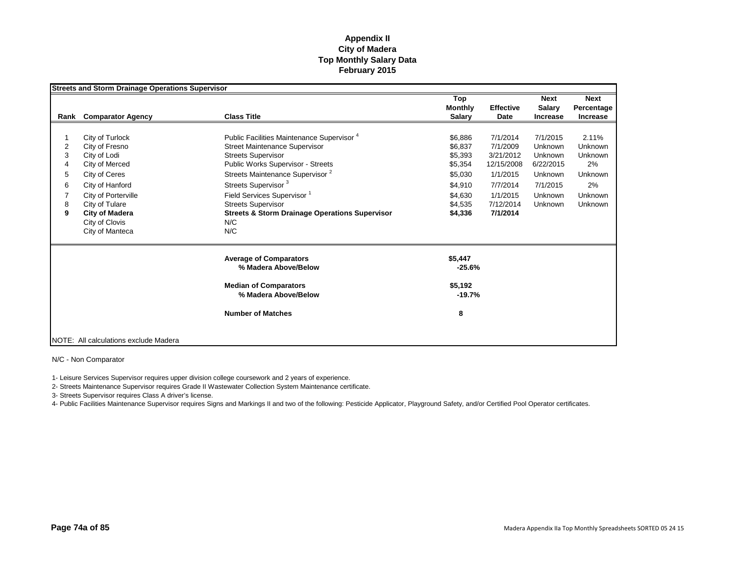|                                 | <b>Streets and Storm Drainage Operations Supervisor</b>                                                                                                                                                        |                                                                                                                                                                                                                                                                                                                                                                                                     |                                                                                                 |                                                                                                              |                                                                                          |                                                                                        |
|---------------------------------|----------------------------------------------------------------------------------------------------------------------------------------------------------------------------------------------------------------|-----------------------------------------------------------------------------------------------------------------------------------------------------------------------------------------------------------------------------------------------------------------------------------------------------------------------------------------------------------------------------------------------------|-------------------------------------------------------------------------------------------------|--------------------------------------------------------------------------------------------------------------|------------------------------------------------------------------------------------------|----------------------------------------------------------------------------------------|
| Rank                            | <b>Comparator Agency</b>                                                                                                                                                                                       | <b>Class Title</b>                                                                                                                                                                                                                                                                                                                                                                                  | Top<br><b>Monthly</b><br><b>Salary</b>                                                          | <b>Effective</b><br>Date                                                                                     | <b>Next</b><br><b>Salary</b><br><b>Increase</b>                                          | <b>Next</b><br>Percentage<br>Increase                                                  |
| 2<br>3<br>4<br>5<br>6<br>8<br>9 | City of Turlock<br>City of Fresno<br>City of Lodi<br>City of Merced<br>City of Ceres<br>City of Hanford<br>City of Porterville<br>City of Tulare<br><b>City of Madera</b><br>City of Clovis<br>City of Manteca | Public Facilities Maintenance Supervisor <sup>4</sup><br><b>Street Maintenance Supervisor</b><br><b>Streets Supervisor</b><br>Public Works Supervisor - Streets<br>Streets Maintenance Supervisor <sup>2</sup><br>Streets Supervisor <sup>3</sup><br>Field Services Supervisor <sup>1</sup><br><b>Streets Supervisor</b><br><b>Streets &amp; Storm Drainage Operations Supervisor</b><br>N/C<br>N/C | \$6,886<br>\$6.837<br>\$5,393<br>\$5,354<br>\$5,030<br>\$4,910<br>\$4,630<br>\$4,535<br>\$4,336 | 7/1/2014<br>7/1/2009<br>3/21/2012<br>12/15/2008<br>1/1/2015<br>7/7/2014<br>1/1/2015<br>7/12/2014<br>7/1/2014 | 7/1/2015<br>Unknown<br>Unknown<br>6/22/2015<br>Unknown<br>7/1/2015<br>Unknown<br>Unknown | 2.11%<br>Unknown<br><b>Unknown</b><br>2%<br>Unknown<br>2%<br>Unknown<br><b>Unknown</b> |
|                                 |                                                                                                                                                                                                                | <b>Average of Comparators</b><br>% Madera Above/Below<br><b>Median of Comparators</b><br>% Madera Above/Below<br><b>Number of Matches</b>                                                                                                                                                                                                                                                           | \$5,447<br>$-25.6%$<br>\$5,192<br>$-19.7%$<br>8                                                 |                                                                                                              |                                                                                          |                                                                                        |
|                                 | NOTE: All calculations exclude Madera                                                                                                                                                                          |                                                                                                                                                                                                                                                                                                                                                                                                     |                                                                                                 |                                                                                                              |                                                                                          |                                                                                        |

N/C - Non Comparator

1- Leisure Services Supervisor requires upper division college coursework and 2 years of experience.

2- Streets Maintenance Supervisor requires Grade II Wastewater Collection System Maintenance certificate.

3- Streets Supervisor requires Class A driver's license.

4- Public Facilities Maintenance Supervisor requires Signs and Markings II and two of the following: Pesticide Applicator, Playground Safety, and/or Certified Pool Operator certificates.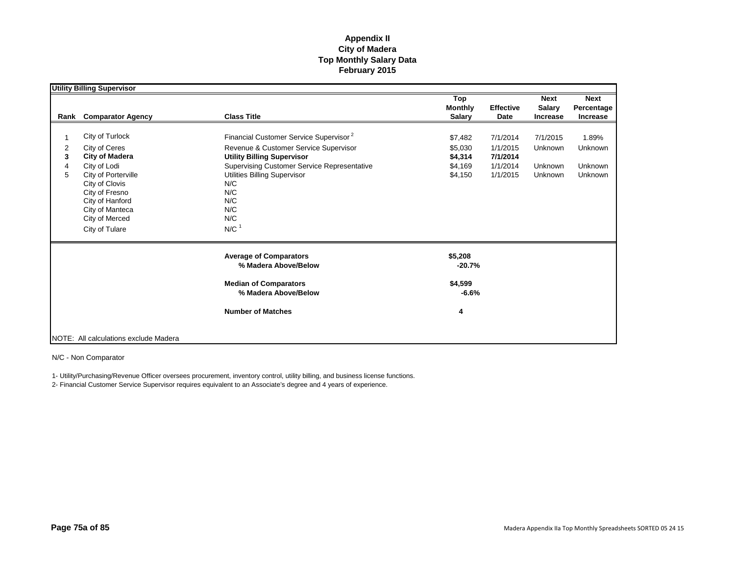|                               | <b>Utility Billing Supervisor</b>                                                                                                                                                                              |                                                                                                                                                                                                                                                                          |                                                     |                                                          |                                                  |                                                             |
|-------------------------------|----------------------------------------------------------------------------------------------------------------------------------------------------------------------------------------------------------------|--------------------------------------------------------------------------------------------------------------------------------------------------------------------------------------------------------------------------------------------------------------------------|-----------------------------------------------------|----------------------------------------------------------|--------------------------------------------------|-------------------------------------------------------------|
| Rank                          | <b>Comparator Agency</b>                                                                                                                                                                                       | <b>Class Title</b>                                                                                                                                                                                                                                                       | Top<br><b>Monthly</b><br><b>Salary</b>              | <b>Effective</b><br>Date                                 | <b>Next</b><br><b>Salary</b><br><b>Increase</b>  | <b>Next</b><br>Percentage<br><b>Increase</b>                |
| $\overline{2}$<br>3<br>4<br>5 | City of Turlock<br>City of Ceres<br><b>City of Madera</b><br>City of Lodi<br>City of Porterville<br>City of Clovis<br>City of Fresno<br>City of Hanford<br>City of Manteca<br>City of Merced<br>City of Tulare | Financial Customer Service Supervisor <sup>2</sup><br>Revenue & Customer Service Supervisor<br><b>Utility Billing Supervisor</b><br>Supervising Customer Service Representative<br>Utilities Billing Supervisor<br>N/C<br>N/C<br>N/C<br>N/C<br>N/C<br>$N/C$ <sup>1</sup> | \$7,482<br>\$5,030<br>\$4,314<br>\$4,169<br>\$4,150 | 7/1/2014<br>1/1/2015<br>7/1/2014<br>1/1/2014<br>1/1/2015 | 7/1/2015<br>Unknown<br>Unknown<br><b>Unknown</b> | 1.89%<br><b>Unknown</b><br><b>Unknown</b><br><b>Unknown</b> |
|                               |                                                                                                                                                                                                                | <b>Average of Comparators</b><br>% Madera Above/Below<br><b>Median of Comparators</b><br>% Madera Above/Below<br><b>Number of Matches</b>                                                                                                                                | \$5,208<br>$-20.7%$<br>\$4,599<br>$-6.6%$<br>4      |                                                          |                                                  |                                                             |
|                               | NOTE: All calculations exclude Madera                                                                                                                                                                          |                                                                                                                                                                                                                                                                          |                                                     |                                                          |                                                  |                                                             |

N/C - Non Comparator

1- Utility/Purchasing/Revenue Officer oversees procurement, inventory control, utility billing, and business license functions.

2- Financial Customer Service Supervisor requires equivalent to an Associate's degree and 4 years of experience.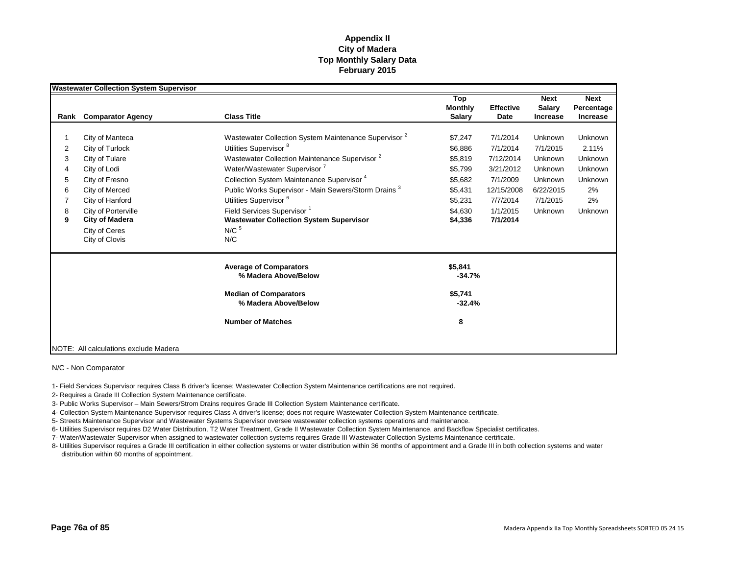|      | <b>Wastewater Collection System Supervisor</b> |                                                                  |                |                  |                 |                 |
|------|------------------------------------------------|------------------------------------------------------------------|----------------|------------------|-----------------|-----------------|
|      |                                                |                                                                  | Top            |                  | <b>Next</b>     | <b>Next</b>     |
|      |                                                |                                                                  | <b>Monthly</b> | <b>Effective</b> | <b>Salary</b>   | Percentage      |
| Rank | <b>Comparator Agency</b>                       | <b>Class Title</b>                                               | <b>Salary</b>  | Date             | <b>Increase</b> | <b>Increase</b> |
|      |                                                |                                                                  |                |                  |                 |                 |
|      | City of Manteca                                | Wastewater Collection System Maintenance Supervisor <sup>2</sup> | \$7,247        | 7/1/2014         | Unknown         | Unknown         |
| 2    | City of Turlock                                | Utilities Supervisor <sup>8</sup>                                | \$6,886        | 7/1/2014         | 7/1/2015        | 2.11%           |
| 3    | City of Tulare                                 | Wastewater Collection Maintenance Supervisor <sup>2</sup>        | \$5,819        | 7/12/2014        | Unknown         | Unknown         |
| 4    | City of Lodi                                   | Water/Wastewater Supervisor <sup>7</sup>                         | \$5,799        | 3/21/2012        | Unknown         | Unknown         |
| 5    | City of Fresno                                 | Collection System Maintenance Supervisor <sup>4</sup>            | \$5,682        | 7/1/2009         | Unknown         | <b>Unknown</b>  |
| 6    | City of Merced                                 | Public Works Supervisor - Main Sewers/Storm Drains <sup>3</sup>  | \$5,431        | 12/15/2008       | 6/22/2015       | 2%              |
|      | City of Hanford                                | Utilities Supervisor <sup>6</sup>                                | \$5,231        | 7/7/2014         | 7/1/2015        | 2%              |
| 8    | City of Porterville                            | Field Services Supervisor <sup>1</sup>                           | \$4.630        | 1/1/2015         | Unknown         | Unknown         |
| 9    | <b>City of Madera</b>                          | <b>Wastewater Collection System Supervisor</b>                   | \$4,336        | 7/1/2014         |                 |                 |
|      | City of Ceres                                  | $N/C$ <sup>5</sup>                                               |                |                  |                 |                 |
|      | City of Clovis                                 | N/C                                                              |                |                  |                 |                 |
|      |                                                | <b>Average of Comparators</b>                                    | \$5,841        |                  |                 |                 |
|      |                                                | % Madera Above/Below                                             | $-34.7%$       |                  |                 |                 |
|      |                                                | <b>Median of Comparators</b>                                     | \$5,741        |                  |                 |                 |
|      |                                                | % Madera Above/Below                                             | $-32.4%$       |                  |                 |                 |
|      |                                                | <b>Number of Matches</b>                                         | 8              |                  |                 |                 |
|      |                                                |                                                                  |                |                  |                 |                 |
|      | NOTE: All calculations exclude Madera          |                                                                  |                |                  |                 |                 |

N/C - Non Comparator

1- Field Services Supervisor requires Class B driver's license; Wastewater Collection System Maintenance certifications are not required.

2- Requires a Grade III Collection System Maintenance certificate.

3- Public Works Supervisor – Main Sewers/Strom Drains requires Grade III Collection System Maintenance certificate.

4- Collection System Maintenance Supervisor requires Class A driver's license; does not require Wastewater Collection System Maintenance certificate.

5- Streets Maintenance Supervisor and Wastewater Systems Supervisor oversee wastewater collection systems operations and maintenance.

6- Utilities Supervisor requires D2 Water Distribution, T2 Water Treatment, Grade II Wastewater Collection System Maintenance, and Backflow Specialist certificates.

7- Water/Wastewater Supervisor when assigned to wastewater collection systems requires Grade III Wastewater Collection Systems Maintenance certificate.

8- Utilities Supervisor requires a Grade III certification in either collection systems or water distribution within 36 months of appointment and a Grade III in both collection systems and water distribution within 60 months of appointment.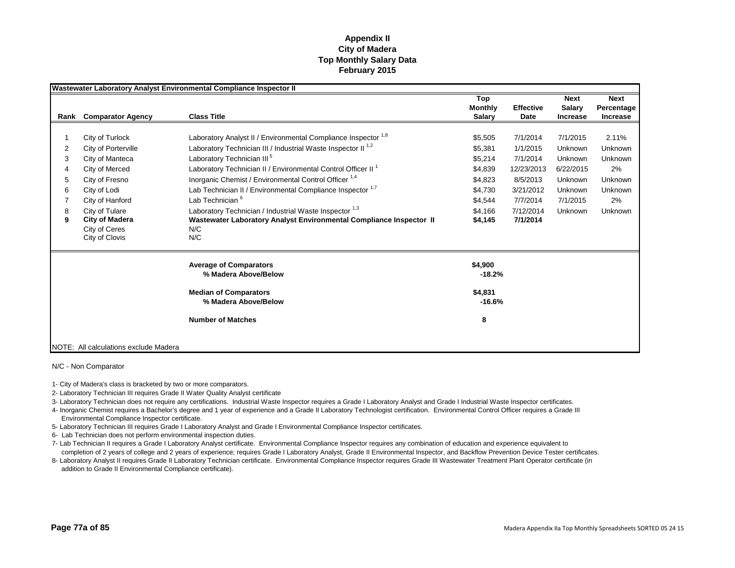|      |                                       | Wastewater Laboratory Analyst Environmental Compliance Inspector II       |                       |                  |                       |                           |
|------|---------------------------------------|---------------------------------------------------------------------------|-----------------------|------------------|-----------------------|---------------------------|
|      |                                       |                                                                           | Top<br><b>Monthly</b> | <b>Effective</b> | <b>Next</b><br>Salary | <b>Next</b><br>Percentage |
| Rank | <b>Comparator Agency</b>              | <b>Class Title</b>                                                        | Salary                | Date             | <b>Increase</b>       | <b>Increase</b>           |
|      |                                       |                                                                           |                       |                  |                       |                           |
|      | City of Turlock                       | Laboratory Analyst II / Environmental Compliance Inspector <sup>1,8</sup> | \$5,505               | 7/1/2014         | 7/1/2015              | 2.11%                     |
| 2    | City of Porterville                   | Laboratory Technician III / Industrial Waste Inspector II <sup>1,2</sup>  | \$5,381               | 1/1/2015         | Unknown               | Unknown                   |
| 3    | City of Manteca                       | Laboratory Technician III <sup>5</sup>                                    | \$5,214               | 7/1/2014         | Unknown               | Unknown                   |
|      | City of Merced                        | Laboratory Technician II / Environmental Control Officer II <sup>1</sup>  | \$4,839               | 12/23/2013       | 6/22/2015             | 2%                        |
| 5    | City of Fresno                        | Inorganic Chemist / Environmental Control Officer <sup>1,4</sup>          | \$4,823               | 8/5/2013         | Unknown               | Unknown                   |
| 6    | City of Lodi                          | Lab Technician II / Environmental Compliance Inspector 1,7                | \$4,730               | 3/21/2012        | Unknown               | Unknown                   |
|      | City of Hanford                       | Lab Technician <sup>6</sup>                                               | \$4,544               | 7/7/2014         | 7/1/2015              | 2%                        |
| 8    | City of Tulare                        | Laboratory Technician / Industrial Waste Inspector 1,3                    | \$4,166               | 7/12/2014        | Unknown               | Unknown                   |
| 9    | City of Madera                        | Wastewater Laboratory Analyst Environmental Compliance Inspector II       | \$4,145               | 7/1/2014         |                       |                           |
|      | City of Ceres                         | N/C                                                                       |                       |                  |                       |                           |
|      | City of Clovis                        | N/C                                                                       |                       |                  |                       |                           |
|      |                                       | <b>Average of Comparators</b>                                             | \$4,900               |                  |                       |                           |
|      |                                       | % Madera Above/Below                                                      | $-18.2%$              |                  |                       |                           |
|      |                                       | <b>Median of Comparators</b>                                              | \$4,831               |                  |                       |                           |
|      |                                       | % Madera Above/Below                                                      | $-16.6%$              |                  |                       |                           |
|      |                                       | <b>Number of Matches</b>                                                  | 8                     |                  |                       |                           |
|      |                                       |                                                                           |                       |                  |                       |                           |
|      | NOTE: All calculations exclude Madera |                                                                           |                       |                  |                       |                           |

N/C - Non Comparator

1- City of Madera's class is bracketed by two or more comparators.

2- Laboratory Technician III requires Grade II Water Quality Analyst certificate

3- Laboratory Technician does not require any certifications. Industrial Waste Inspector requires a Grade I Laboratory Analyst and Grade I Industrial Waste Inspector certificates.

4- Inorganic Chemist requires a Bachelor's degree and 1 year of experience and a Grade II Laboratory Technologist certification. Environmental Control Officer requires a Grade III Environmental Compliance Inspector certificate.

5- Laboratory Technician III requires Grade I Laboratory Analyst and Grade I Environmental Compliance Inspector certificates.

6- Lab Technician does not perform environmental inspection duties.

7- Lab Technician II requires a Grade I Laboratory Analyst certificate. Environmental Compliance Inspector requires any combination of education and experience equivalent to completion of 2 years of college and 2 years of experience; requires Grade I Laboratory Analyst, Grade II Environmental Inspector, and Backflow Prevention Device Tester certificates.

8- Laboratory Analyst II requires Grade II Laboratory Technician certificate. Environmental Compliance Inspector requires Grade III Wastewater Treatment Plant Operator certificate (in addition to Grade II Environmental Compliance certificate).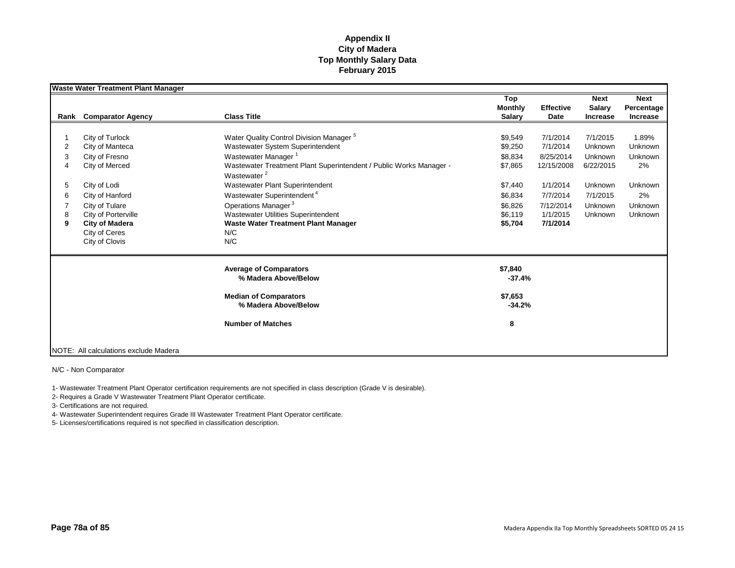|   | <b>Waste Water Treatment Plant Manager</b> |                                                                    |                |                  |               |             |
|---|--------------------------------------------|--------------------------------------------------------------------|----------------|------------------|---------------|-------------|
|   |                                            |                                                                    | Top            |                  | <b>Next</b>   | <b>Next</b> |
|   |                                            |                                                                    | <b>Monthly</b> | <b>Effective</b> | <b>Salary</b> | Percentage  |
|   | <b>Rank</b> Comparator Agency              | <b>Class Title</b>                                                 | <b>Salary</b>  | Date             | Increase      | Increase    |
|   |                                            |                                                                    |                |                  |               |             |
|   | City of Turlock                            | Water Quality Control Division Manager <sup>5</sup>                | \$9,549        | 7/1/2014         | 7/1/2015      | 1.89%       |
| 2 | City of Manteca                            | Wastewater System Superintendent                                   | \$9,250        | 7/1/2014         | Unknown       | Unknown     |
| 3 | City of Fresno                             | Wastewater Manager <sup>1</sup>                                    | \$8,834        | 8/25/2014        | Unknown       | Unknown     |
| 4 | City of Merced                             | Wastewater Treatment Plant Superintendent / Public Works Manager - | \$7,865        | 12/15/2008       | 6/22/2015     | 2%          |
|   |                                            | Wastewater <sup>2</sup>                                            |                |                  |               |             |
| 5 | City of Lodi                               | Wastewater Plant Superintendent                                    | \$7,440        | 1/1/2014         | Unknown       | Unknown     |
| 6 | City of Hanford                            | Wastewater Superintendent <sup>4</sup>                             | \$6,834        | 7/7/2014         | 7/1/2015      | 2%          |
|   | City of Tulare                             | Operations Manager <sup>3</sup>                                    | \$6,826        | 7/12/2014        | Unknown       | Unknown     |
| 8 | City of Porterville                        | Wastewater Utilities Superintendent                                | \$6,119        | 1/1/2015         | Unknown       | Unknown     |
| 9 | <b>City of Madera</b>                      | <b>Waste Water Treatment Plant Manager</b>                         | \$5,704        | 7/1/2014         |               |             |
|   | City of Ceres                              | N/C                                                                |                |                  |               |             |
|   | City of Clovis                             | N/C                                                                |                |                  |               |             |
|   |                                            | <b>Average of Comparators</b>                                      | \$7,840        |                  |               |             |
|   |                                            | % Madera Above/Below                                               | $-37.4%$       |                  |               |             |
|   |                                            | <b>Median of Comparators</b>                                       | \$7,653        |                  |               |             |
|   |                                            | % Madera Above/Below                                               | $-34.2%$       |                  |               |             |
|   |                                            | <b>Number of Matches</b>                                           | 8              |                  |               |             |
|   |                                            |                                                                    |                |                  |               |             |
|   | NOTE: All calculations exclude Madera      |                                                                    |                |                  |               |             |

N/C - Non Comparator

1- Wastewater Treatment Plant Operator certification requirements are not specified in class description (Grade V is desirable).

2- Requires a Grade V Wastewater Treatment Plant Operator certificate.

3- Certifications are not required.

4- Wastewater Superintendent requires Grade III Wastewater Treatment Plant Operator certificate.

5- Licenses/certifications required is not specified in classification description.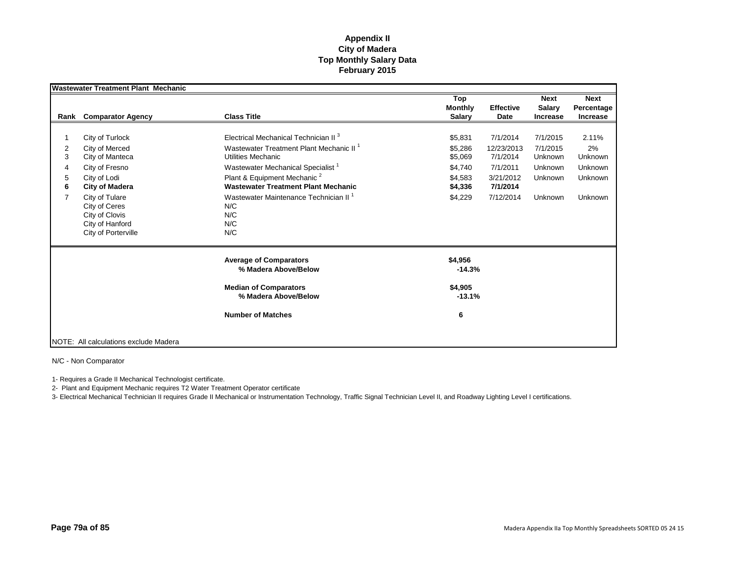|                | <b>Wastewater Treatment Plant Mechanic</b>                                                  |                                                                                       |                                        |                          |                                          |                                              |
|----------------|---------------------------------------------------------------------------------------------|---------------------------------------------------------------------------------------|----------------------------------------|--------------------------|------------------------------------------|----------------------------------------------|
| Rank           | <b>Comparator Agency</b>                                                                    | <b>Class Title</b>                                                                    | Top<br><b>Monthly</b><br><b>Salary</b> | <b>Effective</b><br>Date | <b>Next</b><br>Salary<br><b>Increase</b> | <b>Next</b><br>Percentage<br><b>Increase</b> |
|                |                                                                                             |                                                                                       |                                        |                          |                                          |                                              |
|                | City of Turlock                                                                             | Electrical Mechanical Technician II <sup>3</sup>                                      | \$5,831                                | 7/1/2014                 | 7/1/2015                                 | 2.11%                                        |
| 2<br>3         | City of Merced<br>City of Manteca                                                           | Wastewater Treatment Plant Mechanic II <sup>1</sup><br>Utilities Mechanic             | \$5.286<br>\$5,069                     | 12/23/2013<br>7/1/2014   | 7/1/2015<br>Unknown                      | 2%<br>Unknown                                |
| 4              | City of Fresno                                                                              | Wastewater Mechanical Specialist <sup>1</sup>                                         | \$4,740                                | 7/1/2011                 | Unknown                                  | Unknown                                      |
| 5<br>6         | City of Lodi<br><b>City of Madera</b>                                                       | Plant & Equipment Mechanic <sup>2</sup><br><b>Wastewater Treatment Plant Mechanic</b> | \$4,583<br>\$4,336                     | 3/21/2012<br>7/1/2014    | Unknown                                  | Unknown                                      |
| $\overline{7}$ | City of Tulare<br>City of Ceres<br>City of Clovis<br>City of Hanford<br>City of Porterville | Wastewater Maintenance Technician II <sup>1</sup><br>N/C<br>N/C<br>N/C<br>N/C         | \$4,229                                | 7/12/2014                | Unknown                                  | Unknown                                      |
|                |                                                                                             | <b>Average of Comparators</b><br>% Madera Above/Below                                 | \$4,956<br>$-14.3%$                    |                          |                                          |                                              |
|                |                                                                                             | <b>Median of Comparators</b><br>% Madera Above/Below                                  | \$4,905<br>$-13.1%$                    |                          |                                          |                                              |
|                |                                                                                             | <b>Number of Matches</b>                                                              | 6                                      |                          |                                          |                                              |
|                | NOTE: All calculations exclude Madera                                                       |                                                                                       |                                        |                          |                                          |                                              |

N/C - Non Comparator

1- Requires a Grade II Mechanical Technologist certificate.

2- Plant and Equipment Mechanic requires T2 Water Treatment Operator certificate

3- Electrical Mechanical Technician II requires Grade II Mechanical or Instrumentation Technology, Traffic Signal Technician Level II, and Roadway Lighting Level I certifications.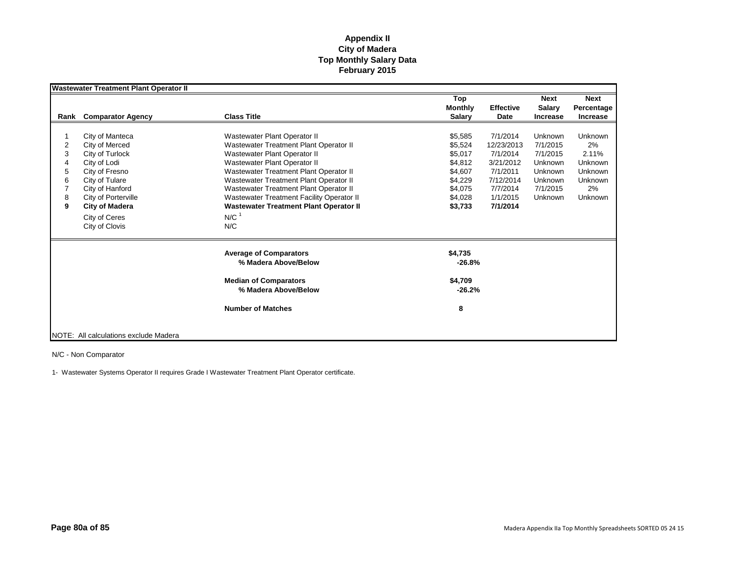|      | <b>Wastewater Treatment Plant Operator II</b> |                                                       |                                        |                          |                                          |                                              |
|------|-----------------------------------------------|-------------------------------------------------------|----------------------------------------|--------------------------|------------------------------------------|----------------------------------------------|
| Rank | <b>Comparator Agency</b>                      | <b>Class Title</b>                                    | Top<br><b>Monthly</b><br><b>Salarv</b> | <b>Effective</b><br>Date | <b>Next</b><br>Salary<br><b>Increase</b> | <b>Next</b><br>Percentage<br><b>Increase</b> |
|      |                                               |                                                       |                                        |                          |                                          |                                              |
|      | City of Manteca                               | Wastewater Plant Operator II                          | \$5.585                                | 7/1/2014                 | Unknown                                  | <b>Unknown</b>                               |
| 2    | City of Merced                                | Wastewater Treatment Plant Operator II                | \$5,524                                | 12/23/2013               | 7/1/2015                                 | 2%                                           |
| 3    | City of Turlock                               | Wastewater Plant Operator II                          | \$5,017                                | 7/1/2014                 | 7/1/2015                                 | 2.11%                                        |
| 4    | City of Lodi                                  | Wastewater Plant Operator II                          | \$4,812                                | 3/21/2012                | Unknown                                  | Unknown                                      |
| 5    | City of Fresno                                | Wastewater Treatment Plant Operator II                | \$4,607                                | 7/1/2011                 | Unknown                                  | Unknown                                      |
| 6    | City of Tulare                                | Wastewater Treatment Plant Operator II                | \$4,229                                | 7/12/2014                | Unknown                                  | Unknown                                      |
|      | City of Hanford                               | Wastewater Treatment Plant Operator II                | \$4,075                                | 7/7/2014                 | 7/1/2015                                 | 2%                                           |
| 8    | City of Porterville                           | Wastewater Treatment Facility Operator II             | \$4,028                                | 1/1/2015                 | Unknown                                  | <b>Unknown</b>                               |
| 9    | City of Madera                                | <b>Wastewater Treatment Plant Operator II</b>         | \$3,733                                | 7/1/2014                 |                                          |                                              |
|      | City of Ceres                                 | $N/C$ <sup>1</sup>                                    |                                        |                          |                                          |                                              |
|      | City of Clovis                                | N/C                                                   |                                        |                          |                                          |                                              |
|      |                                               | <b>Average of Comparators</b><br>% Madera Above/Below | \$4,735<br>$-26.8%$                    |                          |                                          |                                              |
|      |                                               | <b>Median of Comparators</b><br>% Madera Above/Below  | \$4,709<br>$-26.2%$                    |                          |                                          |                                              |
|      |                                               | <b>Number of Matches</b>                              | 8                                      |                          |                                          |                                              |
|      | NOTE: All calculations exclude Madera         |                                                       |                                        |                          |                                          |                                              |

N/C - Non Comparator

1- Wastewater Systems Operator II requires Grade I Wastewater Treatment Plant Operator certificate.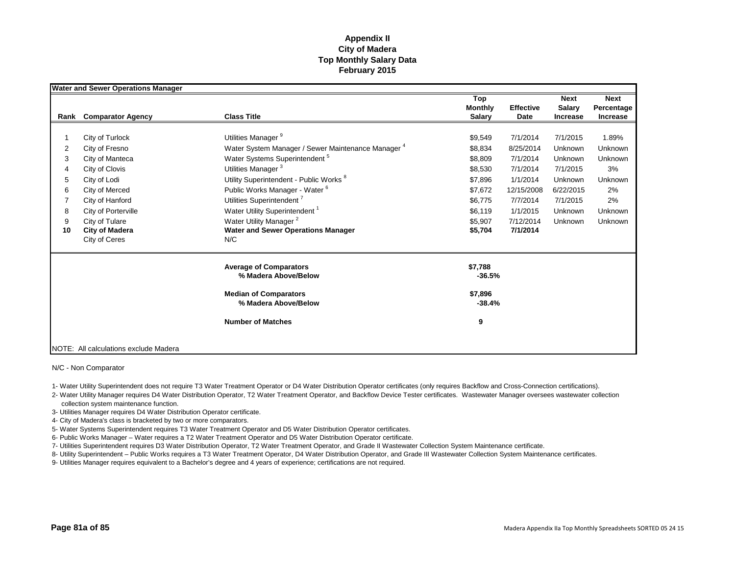|      | <b>Water and Sewer Operations Manager</b> |                                                               |                                        |                          |                                                 |                                              |
|------|-------------------------------------------|---------------------------------------------------------------|----------------------------------------|--------------------------|-------------------------------------------------|----------------------------------------------|
| Rank | <b>Comparator Agency</b>                  | <b>Class Title</b>                                            | Top<br><b>Monthly</b><br><b>Salary</b> | <b>Effective</b><br>Date | <b>Next</b><br><b>Salary</b><br><b>Increase</b> | <b>Next</b><br>Percentage<br><b>Increase</b> |
|      |                                           |                                                               |                                        |                          |                                                 |                                              |
|      | City of Turlock                           | Utilities Manager <sup>9</sup>                                | \$9,549                                | 7/1/2014                 | 7/1/2015                                        | 1.89%                                        |
| 2    | City of Fresno                            | Water System Manager / Sewer Maintenance Manager <sup>4</sup> | \$8,834                                | 8/25/2014                | Unknown                                         | Unknown                                      |
| 3    | City of Manteca                           | Water Systems Superintendent <sup>5</sup>                     | \$8,809                                | 7/1/2014                 | Unknown                                         | Unknown                                      |
| 4    | City of Clovis                            | Utilities Manager <sup>3</sup>                                | \$8,530                                | 7/1/2014                 | 7/1/2015                                        | 3%                                           |
| 5    | City of Lodi                              | Utility Superintendent - Public Works <sup>8</sup>            | \$7,896                                | 1/1/2014                 | Unknown                                         | Unknown                                      |
| 6    | City of Merced                            | Public Works Manager - Water <sup>6</sup>                     | \$7,672                                | 12/15/2008               | 6/22/2015                                       | 2%                                           |
| 7    | City of Hanford                           | Utilities Superintendent <sup>7</sup>                         | \$6,775                                | 7/7/2014                 | 7/1/2015                                        | 2%                                           |
| 8    | City of Porterville                       | Water Utility Superintendent <sup>1</sup>                     | \$6,119                                | 1/1/2015                 | Unknown                                         | Unknown                                      |
| 9    | City of Tulare                            | Water Utility Manager <sup>2</sup>                            | \$5,907                                | 7/12/2014                | Unknown                                         | Unknown                                      |
| 10   | <b>City of Madera</b>                     | <b>Water and Sewer Operations Manager</b>                     | \$5,704                                | 7/1/2014                 |                                                 |                                              |
|      | City of Ceres                             | N/C                                                           |                                        |                          |                                                 |                                              |
|      |                                           | <b>Average of Comparators</b><br>% Madera Above/Below         | \$7,788<br>$-36.5%$                    |                          |                                                 |                                              |
|      |                                           | <b>Median of Comparators</b><br>% Madera Above/Below          | \$7,896<br>$-38.4%$                    |                          |                                                 |                                              |
|      |                                           | <b>Number of Matches</b>                                      | 9                                      |                          |                                                 |                                              |
|      | NOTE: All calculations exclude Madera     |                                                               |                                        |                          |                                                 |                                              |

N/C - Non Comparator

1- Water Utility Superintendent does not require T3 Water Treatment Operator or D4 Water Distribution Operator certificates (only requires Backflow and Cross-Connection certifications).

2- Water Utility Manager requires D4 Water Distribution Operator, T2 Water Treatment Operator, and Backflow Device Tester certificates. Wastewater Manager oversees wastewater collection

collection system maintenance function.

3- Utilities Manager requires D4 Water Distribution Operator certificate.

4- City of Madera's class is bracketed by two or more comparators.

5- Water Systems Superintendent requires T3 Water Treatment Operator and D5 Water Distribution Operator certificates.

6- Public Works Manager – Water requires a T2 Water Treatment Operator and D5 Water Distribution Operator certificate.

7- Utilities Superintendent requires D3 Water Distribution Operator, T2 Water Treatment Operator, and Grade II Wastewater Collection System Maintenance certificate.

8- Utility Superintendent – Public Works requires a T3 Water Treatment Operator, D4 Water Distribution Operator, and Grade III Wastewater Collection System Maintenance certificates.

9- Utilities Manager requires equivalent to a Bachelor's degree and 4 years of experience; certifications are not required.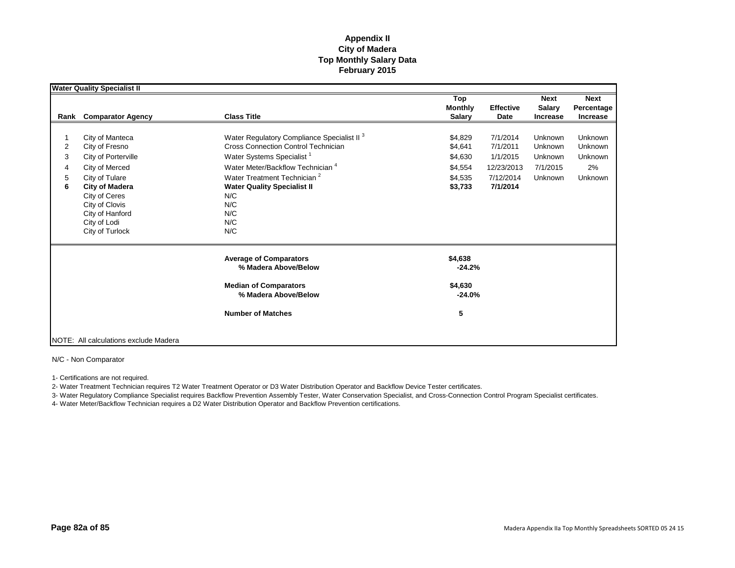|        | <b>Water Quality Specialist II</b>                                                                                               |                                                                                                                  |                                        |                          |                                          |                                              |
|--------|----------------------------------------------------------------------------------------------------------------------------------|------------------------------------------------------------------------------------------------------------------|----------------------------------------|--------------------------|------------------------------------------|----------------------------------------------|
| Rank   | <b>Comparator Agency</b>                                                                                                         | <b>Class Title</b>                                                                                               | Top<br><b>Monthly</b><br><b>Salary</b> | <b>Effective</b><br>Date | <b>Next</b><br>Salary<br><b>Increase</b> | <b>Next</b><br>Percentage<br><b>Increase</b> |
|        |                                                                                                                                  |                                                                                                                  |                                        |                          |                                          |                                              |
|        | City of Manteca                                                                                                                  | Water Regulatory Compliance Specialist II <sup>3</sup>                                                           | \$4,829                                | 7/1/2014                 | Unknown                                  | Unknown                                      |
| 2      | City of Fresno                                                                                                                   | <b>Cross Connection Control Technician</b>                                                                       | \$4,641                                | 7/1/2011                 | Unknown                                  | Unknown                                      |
| 3      | City of Porterville                                                                                                              | Water Systems Specialist <sup>1</sup>                                                                            | \$4,630                                | 1/1/2015                 | Unknown                                  | Unknown                                      |
| 4      | City of Merced                                                                                                                   | Water Meter/Backflow Technician <sup>4</sup>                                                                     | \$4,554                                | 12/23/2013               | 7/1/2015                                 | 2%                                           |
| 5<br>6 | City of Tulare<br><b>City of Madera</b><br>City of Ceres<br>City of Clovis<br>City of Hanford<br>City of Lodi<br>City of Turlock | Water Treatment Technician <sup>2</sup><br><b>Water Quality Specialist II</b><br>N/C<br>N/C<br>N/C<br>N/C<br>N/C | \$4,535<br>\$3,733                     | 7/12/2014<br>7/1/2014    | Unknown                                  | Unknown                                      |
|        |                                                                                                                                  | <b>Average of Comparators</b><br>% Madera Above/Below                                                            | \$4,638<br>$-24.2%$                    |                          |                                          |                                              |
|        |                                                                                                                                  | <b>Median of Comparators</b><br>% Madera Above/Below                                                             | \$4,630<br>$-24.0%$                    |                          |                                          |                                              |
|        |                                                                                                                                  | <b>Number of Matches</b>                                                                                         | 5                                      |                          |                                          |                                              |
|        | NOTE: All calculations exclude Madera                                                                                            |                                                                                                                  |                                        |                          |                                          |                                              |

N/C - Non Comparator

1- Certifications are not required.

2- Water Treatment Technician requires T2 Water Treatment Operator or D3 Water Distribution Operator and Backflow Device Tester certificates.

3- Water Regulatory Compliance Specialist requires Backflow Prevention Assembly Tester, Water Conservation Specialist, and Cross-Connection Control Program Specialist certificates.

4- Water Meter/Backflow Technician requires a D2 Water Distribution Operator and Backflow Prevention certifications.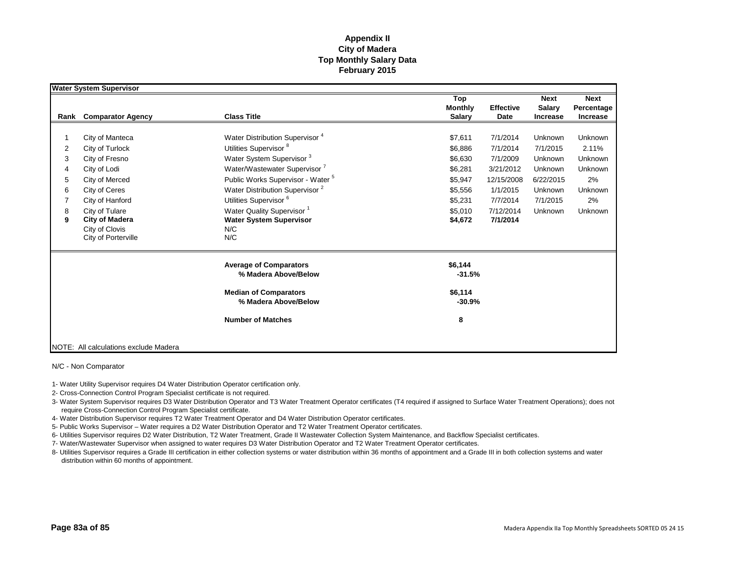|      | <b>Water System Supervisor</b>        |                                              |                |                  |                 |             |
|------|---------------------------------------|----------------------------------------------|----------------|------------------|-----------------|-------------|
|      |                                       |                                              | Top            |                  | <b>Next</b>     | <b>Next</b> |
|      |                                       |                                              | <b>Monthly</b> | <b>Effective</b> | <b>Salary</b>   | Percentage  |
| Rank | <b>Comparator Agency</b>              | <b>Class Title</b>                           | <b>Salary</b>  | Date             | <b>Increase</b> | Increase    |
|      |                                       |                                              |                |                  |                 |             |
|      | City of Manteca                       | Water Distribution Supervisor <sup>4</sup>   | \$7,611        | 7/1/2014         | Unknown         | Unknown     |
| 2    | City of Turlock                       | Utilities Supervisor <sup>8</sup>            | \$6,886        | 7/1/2014         | 7/1/2015        | 2.11%       |
| 3    | City of Fresno                        | Water System Supervisor <sup>3</sup>         | \$6,630        | 7/1/2009         | Unknown         | Unknown     |
| 4    | City of Lodi                          | Water/Wastewater Supervisor '                | \$6,281        | 3/21/2012        | Unknown         | Unknown     |
| 5    | City of Merced                        | Public Works Supervisor - Water <sup>5</sup> | \$5,947        | 12/15/2008       | 6/22/2015       | 2%          |
| 6    | City of Ceres                         | Water Distribution Supervisor <sup>2</sup>   | \$5,556        | 1/1/2015         | Unknown         | Unknown     |
|      | City of Hanford                       | Utilities Supervisor <sup>6</sup>            | \$5,231        | 7/7/2014         | 7/1/2015        | 2%          |
| 8    | City of Tulare                        | Water Quality Supervisor <sup>1</sup>        | \$5.010        | 7/12/2014        | Unknown         | Unknown     |
| 9    | <b>City of Madera</b>                 | <b>Water System Supervisor</b>               | \$4,672        | 7/1/2014         |                 |             |
|      | City of Clovis                        | N/C                                          |                |                  |                 |             |
|      | City of Porterville                   | N/C                                          |                |                  |                 |             |
|      |                                       | <b>Average of Comparators</b>                | \$6,144        |                  |                 |             |
|      |                                       | % Madera Above/Below                         | $-31.5%$       |                  |                 |             |
|      |                                       | <b>Median of Comparators</b>                 | \$6,114        |                  |                 |             |
|      |                                       | % Madera Above/Below                         | $-30.9%$       |                  |                 |             |
|      |                                       | <b>Number of Matches</b>                     | 8              |                  |                 |             |
|      |                                       |                                              |                |                  |                 |             |
|      | NOTE: All calculations exclude Madera |                                              |                |                  |                 |             |

N/C - Non Comparator

1- Water Utility Supervisor requires D4 Water Distribution Operator certification only.

2- Cross-Connection Control Program Specialist certificate is not required.

3- Water System Supervisor requires D3 Water Distribution Operator and T3 Water Treatment Operator certificates (T4 required if assigned to Surface Water Treatment Operations); does not require Cross-Connection Control Program Specialist certificate.

4- Water Distribution Supervisor requires T2 Water Treatment Operator and D4 Water Distribution Operator certificates.

5- Public Works Supervisor – Water requires a D2 Water Distribution Operator and T2 Water Treatment Operator certificates.

6- Utilities Supervisor requires D2 Water Distribution, T2 Water Treatment, Grade II Wastewater Collection System Maintenance, and Backflow Specialist certificates.

7- Water/Wastewater Supervisor when assigned to water requires D3 Water Distribution Operator and T2 Water Treatment Operator certificates.

8- Utilities Supervisor requires a Grade III certification in either collection systems or water distribution within 36 months of appointment and a Grade III in both collection systems and water distribution within 60 months of appointment.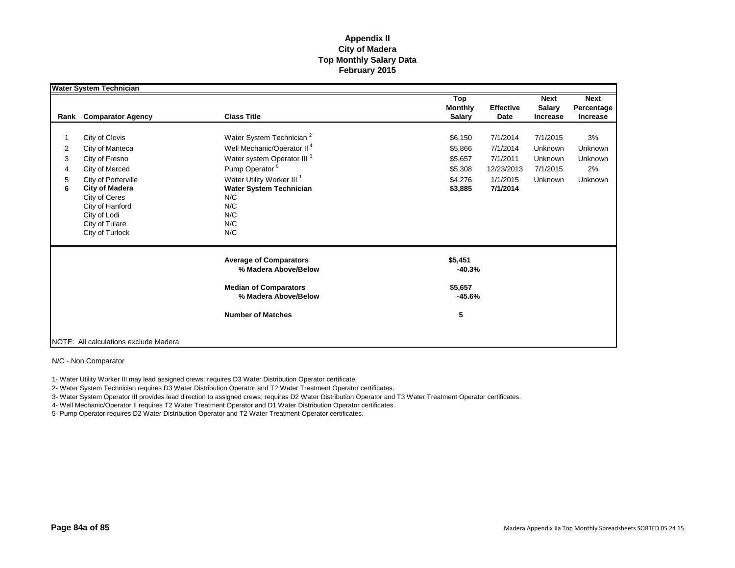|        | Water System Technician                                                                                                               |                                                                                                            |                                                                    |                                          |                                       |
|--------|---------------------------------------------------------------------------------------------------------------------------------------|------------------------------------------------------------------------------------------------------------|--------------------------------------------------------------------|------------------------------------------|---------------------------------------|
| Rank   | <b>Comparator Agency</b>                                                                                                              | <b>Class Title</b>                                                                                         | Top<br><b>Effective</b><br><b>Monthly</b><br><b>Salary</b><br>Date | <b>Next</b><br>Salary<br><b>Increase</b> | <b>Next</b><br>Percentage<br>Increase |
| 2      | City of Clovis<br>City of Manteca                                                                                                     | Water System Technician <sup>2</sup><br>Well Mechanic/Operator II <sup>4</sup>                             | 7/1/2014<br>\$6,150<br>7/1/2014<br>\$5,866                         | 7/1/2015<br>Unknown                      | 3%<br>Unknown                         |
| 3<br>4 | City of Fresno<br>City of Merced                                                                                                      | Water system Operator III <sup>3</sup><br>Pump Operator <sup>5</sup>                                       | 7/1/2011<br>\$5,657<br>\$5,308<br>12/23/2013                       | Unknown<br>7/1/2015                      | Unknown<br>2%                         |
| 5<br>6 | City of Porterville<br><b>City of Madera</b><br>City of Ceres<br>City of Hanford<br>City of Lodi<br>City of Tulare<br>City of Turlock | Water Utility Worker III <sup>1</sup><br><b>Water System Technician</b><br>N/C<br>N/C<br>N/C<br>N/C<br>N/C | \$4,276<br>1/1/2015<br>7/1/2014<br>\$3,885                         | Unknown                                  | Unknown                               |
|        |                                                                                                                                       | <b>Average of Comparators</b><br>% Madera Above/Below                                                      | \$5,451<br>$-40.3%$                                                |                                          |                                       |
|        |                                                                                                                                       | <b>Median of Comparators</b><br>% Madera Above/Below                                                       | \$5,657<br>$-45.6%$                                                |                                          |                                       |
|        |                                                                                                                                       | <b>Number of Matches</b>                                                                                   | 5                                                                  |                                          |                                       |
|        | NOTE: All calculations exclude Madera                                                                                                 |                                                                                                            |                                                                    |                                          |                                       |

N/C - Non Comparator

1- Water Utility Worker III may lead assigned crews; requires D3 Water Distribution Operator certificate.

2- Water System Technician requires D3 Water Distribution Operator and T2 Water Treatment Operator certificates.

3- Water System Operator III provides lead direction to assigned crews; requires D2 Water Distribution Operator and T3 Water Treatment Operator certificates.

4- Well Mechanic/Operator II requires T2 Water Treatment Operator and D1 Water Distribution Operator certificates.

5- Pump Operator requires D2 Water Distribution Operator and T2 Water Treatment Operator certificates.